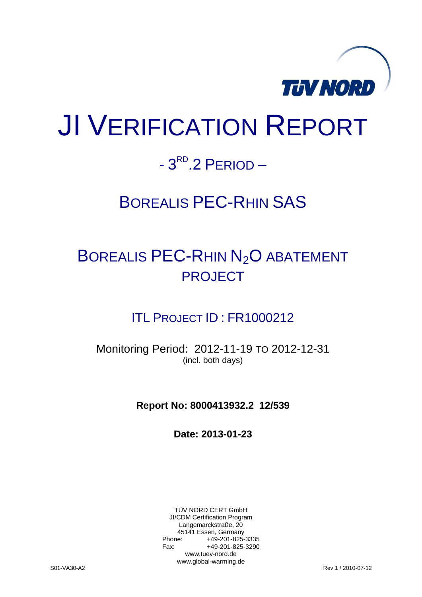

# JI VERIFICATION REPORT

# $-3^{RD}$ .2 PERIOD  $-$

# BOREALIS PEC-RHIN SAS

# BOREALIS PEC-RHIN N<sub>2</sub>O ABATEMENT PROJECT

# ITL PROJECT ID : FR1000212

Monitoring Period: 2012-11-19 TO 2012-12-31 (incl. both days)

**Report No: 8000413932.2 12/539**

**Date: 2013-01-23**

TÜV NORD CERT GmbH JI/CDM Certification Program Langemarckstraße, 20 45141 Essen, Germany<br>+49-201-825-49 +49-201-825-3335 Fax: +49-201-825-3290 www.tuev-nord.de www.global-warming.de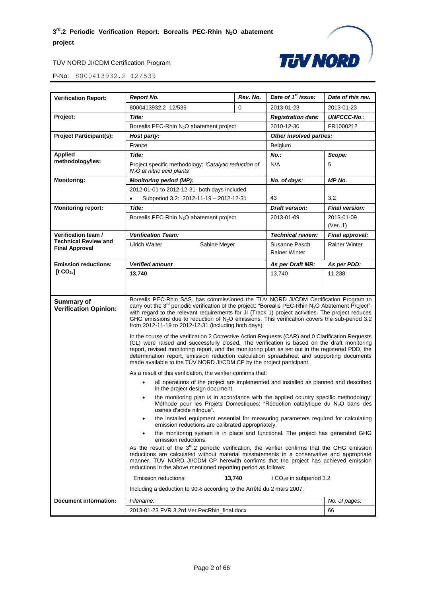

| <b>Verification Report:</b>                       | <b>Report No.</b>                                                                                                                                                                                                                                                                                                                                                                                                                                                                   | Rev. No.                              | Date of 1 <sup>st</sup> issue: | Date of this rev.     |
|---------------------------------------------------|-------------------------------------------------------------------------------------------------------------------------------------------------------------------------------------------------------------------------------------------------------------------------------------------------------------------------------------------------------------------------------------------------------------------------------------------------------------------------------------|---------------------------------------|--------------------------------|-----------------------|
|                                                   | 8000413932.2 12/539                                                                                                                                                                                                                                                                                                                                                                                                                                                                 | 0                                     | 2013-01-23                     | 2013-01-23            |
| Project:                                          | Title:                                                                                                                                                                                                                                                                                                                                                                                                                                                                              |                                       | <b>Registration date:</b>      | <b>UNFCCC-No.:</b>    |
|                                                   | Borealis PEC-Rhin N <sub>2</sub> O abatement project                                                                                                                                                                                                                                                                                                                                                                                                                                |                                       | 2010-12-30                     | FR1000212             |
| <b>Project Participant(s):</b>                    | Host party:                                                                                                                                                                                                                                                                                                                                                                                                                                                                         |                                       | Other involved parties:        |                       |
|                                                   | France                                                                                                                                                                                                                                                                                                                                                                                                                                                                              |                                       | Belgium                        |                       |
| <b>Applied</b>                                    | Title:                                                                                                                                                                                                                                                                                                                                                                                                                                                                              |                                       | $No.$ :                        | Scope:                |
| methodology/ies:                                  | Project specific methodology: 'Catalytic reduction of<br>$N2O$ at nitric acid plants'                                                                                                                                                                                                                                                                                                                                                                                               |                                       | N/A                            | 5                     |
| <b>Monitoring:</b>                                | <b>Monitoring period (MP):</b>                                                                                                                                                                                                                                                                                                                                                                                                                                                      |                                       | No. of days:                   | <b>MP No.</b>         |
|                                                   | 2012-01-01 to 2012-12-31- both days included                                                                                                                                                                                                                                                                                                                                                                                                                                        |                                       |                                |                       |
|                                                   | Subperiod 3.2: 2012-11-19 - 2012-12-31<br>$\bullet$                                                                                                                                                                                                                                                                                                                                                                                                                                 |                                       | 43                             | 3.2                   |
| <b>Monitoring report:</b>                         | Title:                                                                                                                                                                                                                                                                                                                                                                                                                                                                              |                                       | <b>Draft version:</b>          | <b>Final version:</b> |
|                                                   | Borealis PEC-Rhin $N_2O$ abatement project                                                                                                                                                                                                                                                                                                                                                                                                                                          |                                       | 2013-01-09                     | 2013-01-09            |
| Verification team /                               |                                                                                                                                                                                                                                                                                                                                                                                                                                                                                     |                                       |                                | (Ver. 1)              |
| <b>Technical Review and</b>                       | <b>Verification Team:</b>                                                                                                                                                                                                                                                                                                                                                                                                                                                           |                                       | <b>Technical review:</b>       | Final approval:       |
| <b>Final Approval</b>                             | Ulrich Walter<br>Sabine Meyer                                                                                                                                                                                                                                                                                                                                                                                                                                                       | Susanne Pasch<br><b>Rainer Winter</b> | <b>Rainer Winter</b>           |                       |
| <b>Emission reductions:</b>                       | <b>Verified amount</b>                                                                                                                                                                                                                                                                                                                                                                                                                                                              |                                       | As per Draft MR:               | As per PDD:           |
| [t CO <sub>2e</sub> ]                             | 13,740                                                                                                                                                                                                                                                                                                                                                                                                                                                                              |                                       | 13,740                         | 11,238                |
|                                                   |                                                                                                                                                                                                                                                                                                                                                                                                                                                                                     |                                       |                                |                       |
|                                                   |                                                                                                                                                                                                                                                                                                                                                                                                                                                                                     |                                       |                                |                       |
| <b>Summary of</b><br><b>Verification Opinion:</b> | Borealis PEC-Rhin SAS. has commissioned the TÜV NORD JI/CDM Certification Program to<br>carry out the 3 <sup>rd</sup> periodic verification of the project: "Borealis PEC-Rhin N <sub>2</sub> O Abatement Project",<br>with regard to the relevant requirements for JI (Track 1) project activities. The project reduces<br>GHG emissions due to reduction of $N_2O$ emissions. This verification covers the sub-period 3.2<br>from 2012-11-19 to 2012-12-31 (including both days). |                                       |                                |                       |
|                                                   | In the course of the verification 2 Corrective Action Requests (CAR) and 0 Clarification Requests<br>(CL) were raised and successfully closed. The verification is based on the draft monitoring<br>report, revised monitoring report, and the monitoring plan as set out in the registered PDD, the<br>determination report, emission reduction calculation spreadsheet and supporting documents<br>made available to the TÜV NORD JI/CDM CP by the project participant.           |                                       |                                |                       |
|                                                   | As a result of this verification, the verifier confirms that:                                                                                                                                                                                                                                                                                                                                                                                                                       |                                       |                                |                       |
|                                                   | all operations of the project are implemented and installed as planned and described<br>in the project design document.                                                                                                                                                                                                                                                                                                                                                             |                                       |                                |                       |
|                                                   | the monitoring plan is in accordance with the applied country specific methodology:<br>$\bullet$<br>Méthode pour les Projets Domestiques: "Réduction catalytique du N <sub>2</sub> O dans des<br>usines d'acide nitrique".                                                                                                                                                                                                                                                          |                                       |                                |                       |
|                                                   | the installed equipment essential for measuring parameters required for calculating<br>٠<br>emission reductions are calibrated appropriately.                                                                                                                                                                                                                                                                                                                                       |                                       |                                |                       |
|                                                   | the monitoring system is in place and functional. The project has generated GHG<br>$\bullet$<br>emission reductions.                                                                                                                                                                                                                                                                                                                                                                |                                       |                                |                       |
|                                                   | As the result of the $3rd$ .2 periodic verification, the verifier confirms that the GHG emission<br>reductions are calculated without material misstatements in a conservative and appropriate<br>manner. TÜV NORD JI/CDM CP herewith confirms that the project has achieved emission<br>reductions in the above mentioned reporting period as follows:<br>Emission reductions:<br>13,740<br>t CO <sub>2</sub> e in subperiod 3.2                                                   |                                       |                                |                       |
|                                                   |                                                                                                                                                                                                                                                                                                                                                                                                                                                                                     |                                       |                                |                       |
|                                                   | Including a deduction to 90% according to the Arrêté du 2 mars 2007.                                                                                                                                                                                                                                                                                                                                                                                                                |                                       |                                |                       |
| <b>Document information:</b>                      | Filename:                                                                                                                                                                                                                                                                                                                                                                                                                                                                           |                                       |                                | No. of pages:         |
|                                                   | 2013-01-23 FVR 3 2rd Ver PecRhin_final.docx<br>66                                                                                                                                                                                                                                                                                                                                                                                                                                   |                                       |                                |                       |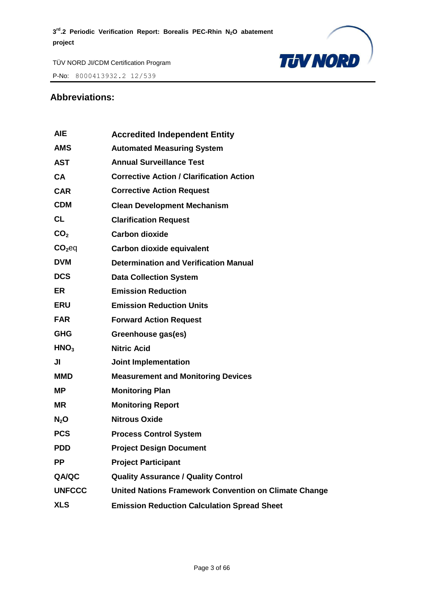

P-No: 8000413932.2 12/539

#### **Abbreviations:**

| <b>AIE</b>       | <b>Accredited Independent Entity</b>                         |
|------------------|--------------------------------------------------------------|
| <b>AMS</b>       | <b>Automated Measuring System</b>                            |
| <b>AST</b>       | <b>Annual Surveillance Test</b>                              |
| <b>CA</b>        | <b>Corrective Action / Clarification Action</b>              |
| <b>CAR</b>       | <b>Corrective Action Request</b>                             |
| <b>CDM</b>       | <b>Clean Development Mechanism</b>                           |
| <b>CL</b>        | <b>Clarification Request</b>                                 |
| CO <sub>2</sub>  | <b>Carbon dioxide</b>                                        |
| $CO2$ eq         | Carbon dioxide equivalent                                    |
| <b>DVM</b>       | <b>Determination and Verification Manual</b>                 |
| <b>DCS</b>       | <b>Data Collection System</b>                                |
| ER               | <b>Emission Reduction</b>                                    |
| <b>ERU</b>       | <b>Emission Reduction Units</b>                              |
| <b>FAR</b>       | <b>Forward Action Request</b>                                |
| <b>GHG</b>       | Greenhouse gas(es)                                           |
| HNO <sub>3</sub> | <b>Nitric Acid</b>                                           |
| JI               | <b>Joint Implementation</b>                                  |
| <b>MMD</b>       | <b>Measurement and Monitoring Devices</b>                    |
| <b>MP</b>        | <b>Monitoring Plan</b>                                       |
| <b>MR</b>        | <b>Monitoring Report</b>                                     |
| $N_2$ O          | <b>Nitrous Oxide</b>                                         |
| <b>PCS</b>       | <b>Process Control System</b>                                |
| <b>PDD</b>       | <b>Project Design Document</b>                               |
| <b>PP</b>        | <b>Project Participant</b>                                   |
| <b>QA/QC</b>     | <b>Quality Assurance / Quality Control</b>                   |
| <b>UNFCCC</b>    | <b>United Nations Framework Convention on Climate Change</b> |
| <b>XLS</b>       | <b>Emission Reduction Calculation Spread Sheet</b>           |
|                  |                                                              |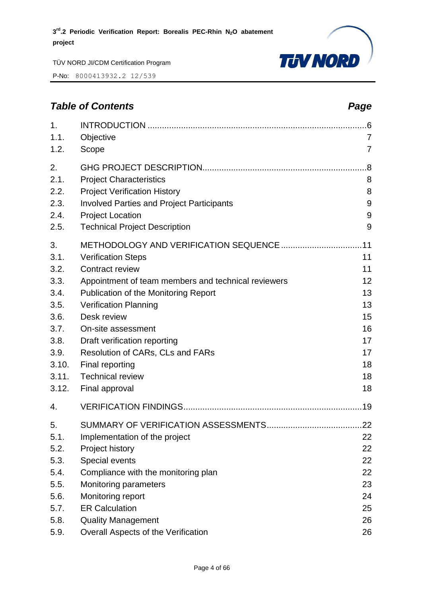

P-No: 8000413932.2 12/539

# *Table of Contents Page* 1. INTRODUCTION [............................................................................................6](#page-5-0) 1.1. [Objective](#page-6-0) 7 1.2. [Scope](#page-6-1) 7 2. [GHG PROJECT DESCRIPTION.....................................................................8](#page-7-0) 2.1. [Project Characteristics](#page-7-1) 8 2.2. [Project Verification History](#page-7-2) 8 2.3. [Involved Parties and Project Participants](#page-8-0) 9 2.4. [Project Location](#page-8-1) 9 2.5. [Technical Project Description](#page-8-2) 9 3. [METHODOLOGY AND VERIFICATION SEQUENCE..................................11](#page-10-0) 3.1. [Verification Steps](#page-10-1) 11 3.2. [Contract review](#page-10-2) 11 3.3. [Appointment of team members and technical reviewers](#page-11-0) 12 3.4. [Publication of the Monitoring Report](#page-12-0) 13 3.5. [Verification Planning](#page-12-1) 13 3.6. [Desk review](#page-14-0) 15 3.7. [On-site assessment](#page-15-0) 16 3.8. [Draft verification reporting](#page-16-0) 17 3.9. [Resolution of CARs, CLs and FARs](#page-16-1) 17 3.10. [Final reporting](#page-17-0) 18 3.11. [Technical review](#page-17-1) 18 3.12. [Final approval](#page-17-2) and the set of the set of the set of the set of the set of the set of the set of the set of the set of the set of the set of the set of the set of the set of the set of the set of the set of the set of 4. [VERIFICATION FINDINGS...........................................................................19](#page-18-0) 5. [SUMMARY OF VERIFICATION ASSESSMENTS........................................22](#page-21-0) 5.1. [Implementation of the project](#page-21-1) 22 5.2. [Project history](#page-21-2) 22 5.3. [Special](#page-21-3) events 22 5.4. [Compliance with the monitoring plan](#page-21-4) **22** and 22 5.5. [Monitoring parameters](#page-22-0) 23 5.6. [Monitoring report](#page-23-0) 24 5.7. [ER Calculation](#page-24-0) 25 5.8. [Quality Management](#page-25-0) 26 5.9. [Overall Aspects of the Verification](#page-25-1) 26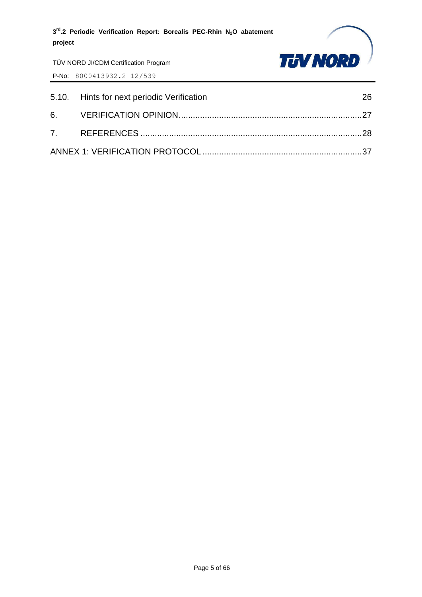

| 5.10. Hints for next periodic Verification | 26. |
|--------------------------------------------|-----|
|                                            |     |
|                                            |     |
|                                            |     |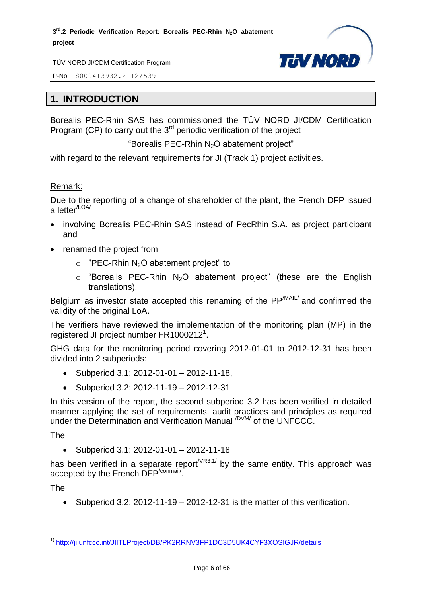

P-No: 8000413932.2 12/539

# <span id="page-5-0"></span>**1. INTRODUCTION**

Borealis PEC-Rhin SAS has commissioned the TÜV NORD JI/CDM Certification Program (CP) to carry out the 3<sup>rd</sup> periodic verification of the project

"Borealis PEC-Rhin N2O abatement project"

with regard to the relevant requirements for JI (Track 1) project activities.

#### Remark:

Due to the reporting of a change of shareholder of the plant, the French DFP issued a letter/LOA/

- involving Borealis PEC-Rhin SAS instead of PecRhin S.A. as project participant and
- renamed the project from
	- $\circ$  "PEC-Rhin N<sub>2</sub>O abatement project" to
	- $\circ$  "Borealis PEC-Rhin N<sub>2</sub>O abatement project" (these are the English translations).

Belgium as investor state accepted this renaming of the PP<sup>/MAIL/</sup> and confirmed the validity of the original LoA.

The verifiers have reviewed the implementation of the monitoring plan (MP) in the registered JI project number FR1000212<sup>1</sup>.

GHG data for the monitoring period covering 2012-01-01 to 2012-12-31 has been divided into 2 subperiods:

- Subperiod 3.1: 2012-01-01 2012-11-18,
- Subperiod 3.2: 2012-11-19 2012-12-31

In this version of the report, the second subperiod 3.2 has been verified in detailed manner applying the set of requirements, audit practices and principles as required under the Determination and Verification Manual <sup>/DVM/</sup> of the UNFCCC.

The

Subperiod 3.1: 2012-01-01 – 2012-11-18

has been verified in a separate report<sup> $V(R3.1/$ </sup> by the same entity. This approach was accepted by the French DFP<sup>/conmail/</sup>.

The

• Subperiod 3.2: 2012-11-19  $-$  2012-12-31 is the matter of this verification.

 $\overline{a}$ 1) <http://ji.unfccc.int/JIITLProject/DB/PK2RRNV3FP1DC3D5UK4CYF3XOSIGJR/details>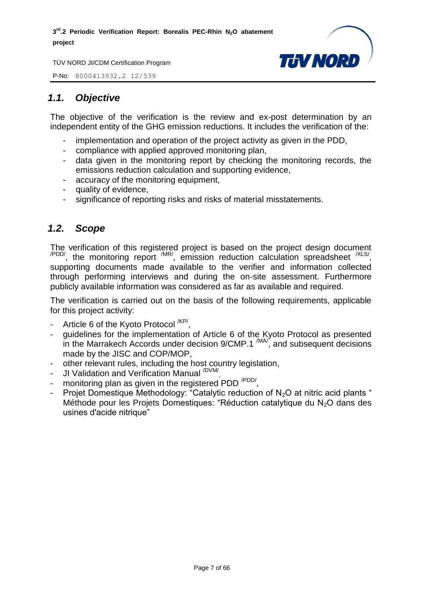

P-No: 8000413932.2 12/539

# <span id="page-6-0"></span>*1.1. Objective*

The objective of the verification is the review and ex-post determination by an independent entity of the GHG emission reductions. It includes the verification of the:

- implementation and operation of the project activity as given in the PDD,
- compliance with applied approved monitoring plan,
- data given in the monitoring report by checking the monitoring records, the emissions reduction calculation and supporting evidence,
- accuracy of the monitoring equipment,
- quality of evidence,
- significance of reporting risks and risks of material misstatements.

# <span id="page-6-1"></span>*1.2. Scope*

The verification of this registered project is based on the project design document  $\mu_{\text{PDD}}$ , the monitoring report  $\mu_{\text{IR}}$ , emission reduction calculation spreadsheet  $\mu_{\text{SND}}$ supporting documents made available to the verifier and information collected through performing interviews and during the on-site assessment. Furthermore publicly available information was considered as far as available and required.

The verification is carried out on the basis of the following requirements, applicable for this project activity:

- Article 6 of the Kyoto Protocol <sup>/KP/</sup>,
- quidelines for the implementation of Article 6 of the Kyoto Protocol as presented in the Marrakech Accords under decision 9/CMP.1<sup>/MA/</sup>, and subsequent decisions made by the JISC and COP/MOP,
- other relevant rules, including the host country legislation,
- JI Validation and Verification Manual <sup>/DVM/</sup>,
- monitoring plan as given in the registered PDD<sup>/PDD/</sup>,
- Projet Domestique Methodology: "Catalytic reduction of  $N<sub>2</sub>O$  at nitric acid plants " Méthode pour les Projets Domestiques: "Réduction catalytique du N<sub>2</sub>O dans des usines d'acide nitrique"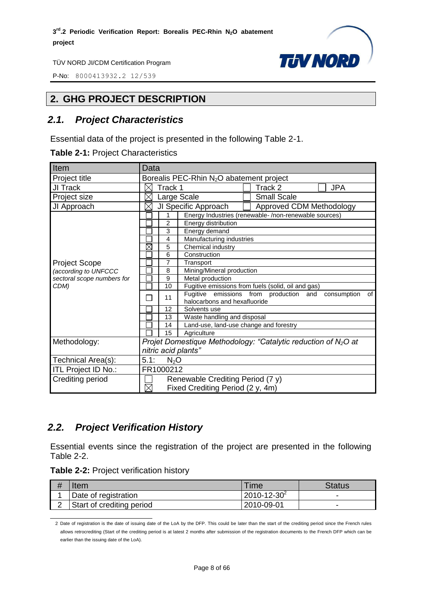

P-No: 8000413932.2 12/539

# <span id="page-7-0"></span>**2. GHG PROJECT DESCRIPTION**

# <span id="page-7-1"></span>*2.1. Project Characteristics*

Essential data of the project is presented in the following Table 2-1.

| Item                       | Data                |                                                                                             |                                                                  |            |  |  |  |
|----------------------------|---------------------|---------------------------------------------------------------------------------------------|------------------------------------------------------------------|------------|--|--|--|
| Project title              |                     | Borealis PEC-Rhin N <sub>2</sub> O abatement project                                        |                                                                  |            |  |  |  |
| JI Track                   | Track 1<br>X        |                                                                                             | Track 2                                                          | <b>JPA</b> |  |  |  |
| Project size               | $\times$            | Large Scale                                                                                 | <b>Small Scale</b>                                               |            |  |  |  |
| JI Approach                | $\times$            | JI Specific Approach                                                                        | Approved CDM Methodology                                         |            |  |  |  |
|                            |                     | Energy Industries (renewable-/non-renewable sources)                                        |                                                                  |            |  |  |  |
|                            | $\overline{2}$      | Energy distribution                                                                         |                                                                  |            |  |  |  |
|                            | 3                   | Energy demand                                                                               |                                                                  |            |  |  |  |
|                            | 4                   | Manufacturing industries                                                                    |                                                                  |            |  |  |  |
|                            | X<br>5              | Chemical industry                                                                           |                                                                  |            |  |  |  |
|                            | 6                   | Construction                                                                                |                                                                  |            |  |  |  |
| <b>Project Scope</b>       | 7                   | Transport                                                                                   |                                                                  |            |  |  |  |
| (according to UNFCCC       | 8                   | Mining/Mineral production                                                                   |                                                                  |            |  |  |  |
| sectoral scope numbers for | 9                   | Metal production                                                                            |                                                                  |            |  |  |  |
| CDM)                       | 10                  |                                                                                             | Fugitive emissions from fuels (solid, oil and gas)               |            |  |  |  |
|                            | 11                  | Fugitive emissions from production and<br>consumption<br>of<br>halocarbons and hexafluoride |                                                                  |            |  |  |  |
|                            | 12                  | Solvents use                                                                                |                                                                  |            |  |  |  |
|                            | 13                  | Waste handling and disposal                                                                 |                                                                  |            |  |  |  |
|                            | 14                  |                                                                                             | Land-use, land-use change and forestry                           |            |  |  |  |
|                            | 15                  | Agriculture                                                                                 |                                                                  |            |  |  |  |
| Methodology:               |                     |                                                                                             | Projet Domestique Methodology: "Catalytic reduction of $N_2O$ at |            |  |  |  |
|                            | nitric acid plants" |                                                                                             |                                                                  |            |  |  |  |
| Technical Area(s):         | 5.1:<br>$N_2O$      |                                                                                             |                                                                  |            |  |  |  |
| ITL Project ID No.:        | FR1000212           |                                                                                             |                                                                  |            |  |  |  |
| Crediting period           | $\boxtimes$         | Renewable Crediting Period (7 y)<br>Fixed Crediting Period (2 y, 4m)                        |                                                                  |            |  |  |  |

# <span id="page-7-2"></span>*2.2. Project Verification History*

Essential events since the registration of the project are presented in the following Table 2-2.

| Table 2-2: Project verification history |  |  |
|-----------------------------------------|--|--|
|-----------------------------------------|--|--|

 $\overline{a}$ 

| Item                      | Time               | Status |
|---------------------------|--------------------|--------|
| Date of registration      | $2010 - 12 - 30^2$ | -      |
| Start of crediting period | 2010-09-01         | ٠      |

<sup>2</sup> Date of registration is the date of issuing date of the LoA by the DFP. This could be later than the start of the crediting period since the French rules allows retrocrediting (Start of the crediting period is at latest 2 months after submission of the registration documents to the French DFP which can be earlier than the issuing date of the LoA).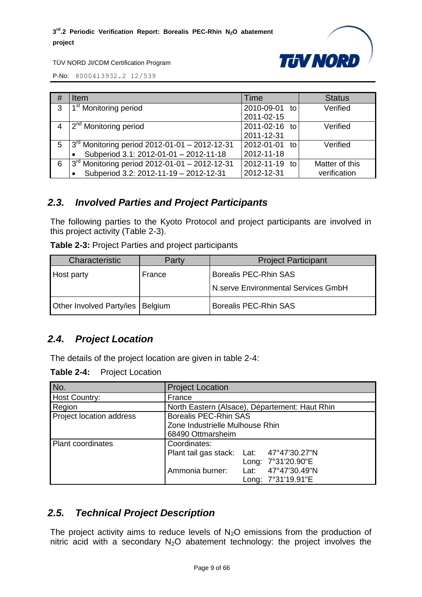

P-No: 8000413932.2 12/539

| # | <b>Item</b>                                        | Time             | <b>Status</b>  |
|---|----------------------------------------------------|------------------|----------------|
| 3 | 1 <sup>st</sup> Monitoring period                  | 2010-09-01 to    | Verified       |
|   |                                                    | 2011-02-15       |                |
| 4 | 2 <sup>nd</sup> Monitoring period                  | 2011-02-16 to    | Verified       |
|   |                                                    | 2011-12-31       |                |
| 5 | $3rd$ Monitoring period 2012-01-01 - 2012-12-31    | 2012-01-01 to    | Verified       |
|   | Subperiod 3.1: 2012-01-01 - 2012-11-18             | 2012-11-18       |                |
| 6 | $3^{rd}$ Monitoring period 2012-01-01 - 2012-12-31 | 2012-11-19<br>to | Matter of this |
|   | Subperiod 3.2: 2012-11-19 - 2012-12-31             | 2012-12-31       | verification   |

# <span id="page-8-0"></span>*2.3. Involved Parties and Project Participants*

The following parties to the Kyoto Protocol and project participants are involved in this project activity (Table 2-3).

**Table 2-3:** Project Parties and project participants

| Characteristic                     | Party  | <b>Project Participant</b>          |
|------------------------------------|--------|-------------------------------------|
| Host party                         | France | Borealis PEC-Rhin SAS               |
|                                    |        | N.serve Environmental Services GmbH |
| Other Involved Party/ies   Belgium |        | Borealis PEC-Rhin SAS               |

# <span id="page-8-1"></span>*2.4. Project Location*

The details of the project location are given in table 2-4:

**Table 2-4:** Project Location

| No.                      | <b>Project Location</b>                        |  |                    |  |
|--------------------------|------------------------------------------------|--|--------------------|--|
| <b>Host Country:</b>     | France                                         |  |                    |  |
| Region                   | North Eastern (Alsace), Département: Haut Rhin |  |                    |  |
| Project location address | <b>Borealis PEC-Rhin SAS</b>                   |  |                    |  |
|                          | Zone Industrielle Mulhouse Rhin                |  |                    |  |
|                          | 68490 Ottmarsheim                              |  |                    |  |
| <b>Plant coordinates</b> | Coordinates:                                   |  |                    |  |
|                          | Plant tail gas stack: Lat: 47°47'30.27"N       |  |                    |  |
|                          |                                                |  | Long: 7°31'20.90"E |  |
|                          | Ammonia burner:                                |  | Lat: 47°47'30.49"N |  |
|                          |                                                |  | Long: 7°31'19.91"E |  |

# <span id="page-8-2"></span>*2.5. Technical Project Description*

The project activity aims to reduce levels of  $N<sub>2</sub>O$  emissions from the production of nitric acid with a secondary  $N_2O$  abatement technology: the project involves the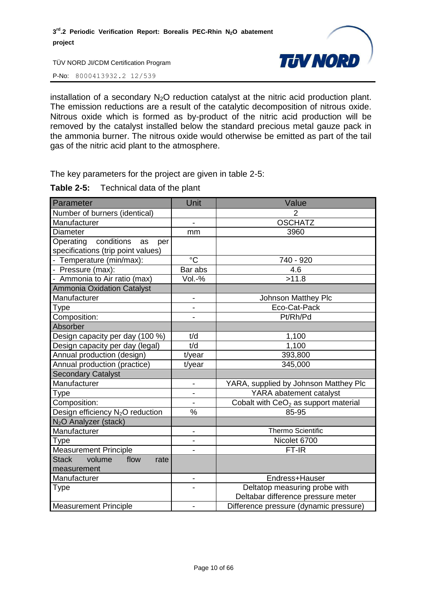

P-No: 8000413932.2 12/539

installation of a secondary  $N_2O$  reduction catalyst at the nitric acid production plant. The emission reductions are a result of the catalytic decomposition of nitrous oxide. Nitrous oxide which is formed as by-product of the nitric acid production will be removed by the catalyst installed below the standard precious metal gauze pack in the ammonia burner. The nitrous oxide would otherwise be emitted as part of the tail gas of the nitric acid plant to the atmosphere.

The key parameters for the project are given in table 2-5:

| <b>Table 2-5:</b> | Technical data of the plant |  |  |  |
|-------------------|-----------------------------|--|--|--|
|-------------------|-----------------------------|--|--|--|

| Parameter                                    | Unit                     | Value                                  |
|----------------------------------------------|--------------------------|----------------------------------------|
| Number of burners (identical)                |                          | $\overline{2}$                         |
| Manufacturer                                 |                          | <b>OSCHATZ</b>                         |
| <b>Diameter</b>                              | mm                       | 3960                                   |
| conditions<br>Operating<br>as<br>per         |                          |                                        |
| specifications (trip point values)           |                          |                                        |
| - Temperature (min/max):                     | $^{\circ}C$              | 740 - 920                              |
| - Pressure (max):                            | Bar abs                  | 4.6                                    |
| - Ammonia to Air ratio (max)                 | $Vol.-%$                 | >11.8                                  |
| <b>Ammonia Oxidation Catalyst</b>            |                          |                                        |
| Manufacturer                                 | $\overline{a}$           | <b>Johnson Matthey Plc</b>             |
| Type                                         | $\overline{\phantom{0}}$ | Eco-Cat-Pack                           |
| Composition:                                 | $\overline{\phantom{0}}$ | Pt/Rh/Pd                               |
| Absorber                                     |                          |                                        |
| Design capacity per day (100 %)              | t/d                      | 1,100                                  |
| Design capacity per day (legal)              | t/d                      | 1,100                                  |
| Annual production (design)                   | t/year                   | 393,800                                |
| Annual production (practice)                 | t/year                   | 345,000                                |
| <b>Secondary Catalyst</b>                    |                          |                                        |
| Manufacturer                                 | $\overline{\phantom{a}}$ | YARA, supplied by Johnson Matthey Plc  |
| Type                                         | $\overline{a}$           | YARA abatement catalyst                |
| Composition:                                 | $\blacksquare$           | Cobalt with $CeO2$ as support material |
| Design efficiency N <sub>2</sub> O reduction | %                        | 85-95                                  |
| N <sub>2</sub> O Analyzer (stack)            |                          |                                        |
| Manufacturer                                 | $\overline{\phantom{0}}$ | <b>Thermo Scientific</b>               |
| Type                                         | $\overline{\phantom{0}}$ | Nicolet 6700                           |
| <b>Measurement Principle</b>                 |                          | FT-IR                                  |
| volume<br><b>Stack</b><br>flow<br>rate       |                          |                                        |
| measurement                                  |                          |                                        |
| Manufacturer                                 | $\overline{\phantom{0}}$ | Endress+Hauser                         |
| Type                                         |                          | Deltatop measuring probe with          |
|                                              |                          | Deltabar difference pressure meter     |
| <b>Measurement Principle</b>                 | $\overline{\phantom{0}}$ | Difference pressure (dynamic pressure) |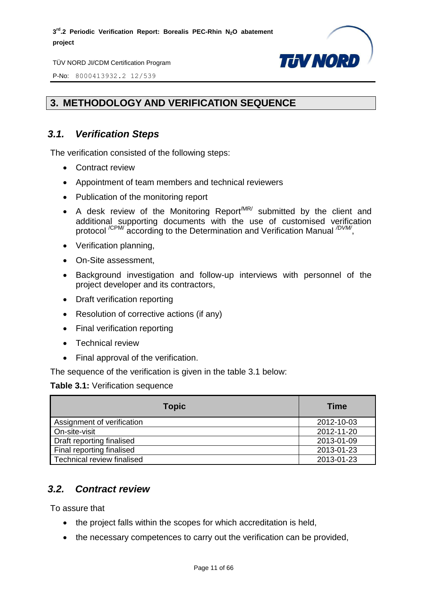

P-No: 8000413932.2 12/539

# <span id="page-10-0"></span>**3. METHODOLOGY AND VERIFICATION SEQUENCE**

# <span id="page-10-1"></span>*3.1. Verification Steps*

The verification consisted of the following steps:

- Contract review
- Appointment of team members and technical reviewers
- Publication of the monitoring report
- A desk review of the Monitoring Report  $M$ R/ submitted by the client and additional supporting documents with the use of customised verification protocol<sup>/CPM/</sup> according to the Determination and Verification Manual <sup>/DVM/</sup>,
- Verification planning,
- On-Site assessment.
- Background investigation and follow-up interviews with personnel of the project developer and its contractors,
- Draft verification reporting
- Resolution of corrective actions (if any)
- Final verification reporting
- Technical review
- Final approval of the verification.

The sequence of the verification is given in the table 3.1 below:

#### **Table 3.1:** Verification sequence

| <b>Topic</b>                      | <b>Time</b> |
|-----------------------------------|-------------|
| Assignment of verification        | 2012-10-03  |
| On-site-visit                     | 2012-11-20  |
| Draft reporting finalised         | 2013-01-09  |
| Final reporting finalised         | 2013-01-23  |
| <b>Technical review finalised</b> | 2013-01-23  |

# <span id="page-10-2"></span>*3.2. Contract review*

To assure that

- the project falls within the scopes for which accreditation is held,
- the necessary competences to carry out the verification can be provided,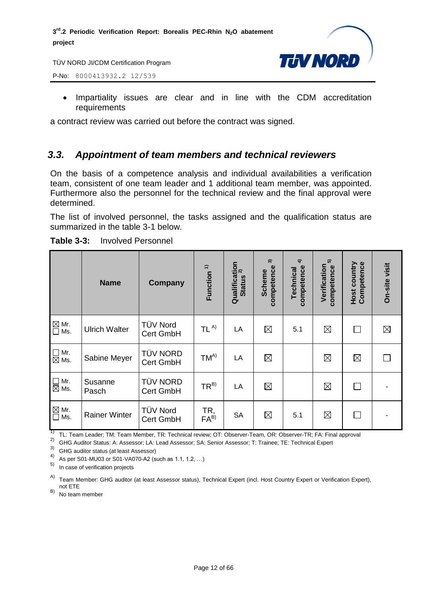

P-No: 8000413932.2 12/539

• Impartiality issues are clear and in line with the CDM accreditation requirements

a contract review was carried out before the contract was signed.

# <span id="page-11-0"></span>*3.3. Appointment of team members and technical reviewers*

On the basis of a competence analysis and individual availabilities a verification team, consistent of one team leader and 1 additional team member, was appointed. Furthermore also the personnel for the technical review and the final approval were determined.

The list of involved personnel, the tasks assigned and the qualification status are summarized in the table 3-1 below.

|                                                      | <b>Name</b>          | <b>Company</b>               | Function <sup>1)</sup>  | Qualification<br>Ctatine <sup>2)</sup><br><b>Status</b> | $\widehat{\mathcal{E}}$<br>competence<br><b>Scheme</b> | $\hat{+}$<br>competence<br>Technical | ົດ<br>Verification<br>competence | Host country<br>Competence | On-site visit |
|------------------------------------------------------|----------------------|------------------------------|-------------------------|---------------------------------------------------------|--------------------------------------------------------|--------------------------------------|----------------------------------|----------------------------|---------------|
| $\overline{\square}$ Mr.<br>$\overline{\square}$ Ms. | <b>Ulrich Walter</b> | TÜV Nord<br>Cert GmbH        | $TL^{A)}$               | LA                                                      | $\boxtimes$                                            | 5.1                                  | $\boxtimes$                      |                            | $\boxtimes$   |
| $\Box$ Mr.<br>$\overline{\boxtimes}$ Ms.             | Sabine Meyer         | <b>TÜV NORD</b><br>Cert GmbH | $TM^{A)}$               | LA                                                      | $\boxtimes$                                            |                                      | $\boxtimes$                      | $\boxtimes$                |               |
| $\Box$ Mr.<br>$\boxtimes$ Ms.                        | Susanne<br>Pasch     | <b>TÜV NORD</b><br>Cert GmbH | $TR^{B}$                | LA                                                      | $\boxtimes$                                            |                                      | $\boxtimes$                      |                            |               |
| $\boxtimes$ Mr.<br>$\square$ Ms.                     | <b>Rainer Winter</b> | TÜV Nord<br><b>Cert GmbH</b> | TR,<br>FA <sup>B)</sup> | <b>SA</b>                                               | $\boxtimes$                                            | 5.1                                  | $\boxtimes$                      |                            |               |

**Table 3-3:** Involved Personnel

<sup>1)</sup> TL: Team Leader; TM: Team Member, TR: Technical review; OT: Observer-Team, OR: Observer-TR; FA: Final approval

2) GHG Auditor Status: A: Assessor; LA: Lead Assessor; SA: Senior Assessor; T: Trainee; TE: Technical Expert

3) GHG auditor status (at least Assessor)

4) As per S01-MU03 or S01-VA070-A2 (such as 1.1, 1.2, …)

5) In case of verification projects

 $(B)$  No team member

A) Team Member: GHG auditor (at least Assessor status), Technical Expert (incl. Host Country Expert or Verification Expert), not ETE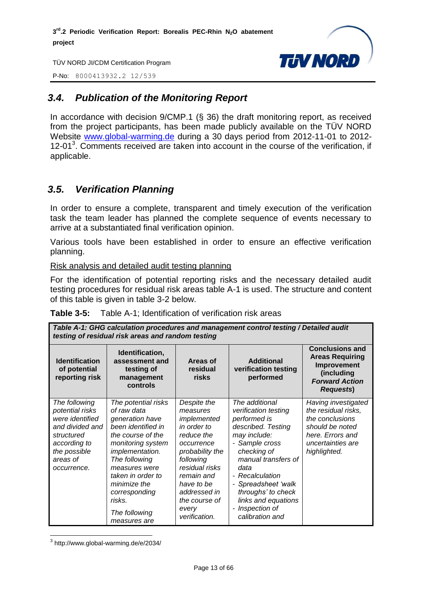

P-No: 8000413932.2 12/539

# <span id="page-12-0"></span>*3.4. Publication of the Monitoring Report*

In accordance with decision 9/CMP.1 (§ 36) the draft monitoring report, as received from the project participants, has been made publicly available on the TÜV NORD Website [www.global-warming.de](http://www.global-warming.de/) during a 30 days period from 2012-11-01 to 2012- 12-01<sup>3</sup>. Comments received are taken into account in the course of the verification, if applicable.

# <span id="page-12-1"></span>*3.5. Verification Planning*

In order to ensure a complete, transparent and timely execution of the verification task the team leader has planned the complete sequence of events necessary to arrive at a substantiated final verification opinion.

Various tools have been established in order to ensure an effective verification planning.

Risk analysis and detailed audit testing planning

For the identification of potential reporting risks and the necessary detailed audit testing procedures for residual risk areas table A-1 is used. The structure and content of this table is given in table 3-2 below.

| Table 3-5: | Table A-1; Identification of verification risk areas |
|------------|------------------------------------------------------|
|------------|------------------------------------------------------|

| Table A-1: GHG calculation procedures and management control testing / Detailed audit<br>testing of residual risk areas and random testing      |                                                                                                                                                                                                                                                                             |                                                                                                                                                                                                                            |                                                                                                                                                                                                                                                                                           |                                                                                                                                           |  |
|-------------------------------------------------------------------------------------------------------------------------------------------------|-----------------------------------------------------------------------------------------------------------------------------------------------------------------------------------------------------------------------------------------------------------------------------|----------------------------------------------------------------------------------------------------------------------------------------------------------------------------------------------------------------------------|-------------------------------------------------------------------------------------------------------------------------------------------------------------------------------------------------------------------------------------------------------------------------------------------|-------------------------------------------------------------------------------------------------------------------------------------------|--|
| <b>Identification</b><br>of potential<br>reporting risk                                                                                         | Identification,<br>assessment and<br>testing of<br>management<br>controls                                                                                                                                                                                                   | Areas of<br>residual<br>risks                                                                                                                                                                                              | <b>Additional</b><br>verification testing<br>performed                                                                                                                                                                                                                                    | <b>Conclusions and</b><br><b>Areas Requiring</b><br>Improvement<br>(including<br><b>Forward Action</b><br><b>Requests)</b>                |  |
| The following<br>potential risks<br>were identified<br>and divided and<br>structured<br>according to<br>the possible<br>areas of<br>occurrence. | The potential risks<br>of raw data<br>generation have<br>been identified in<br>the course of the<br>monitoring system<br>implementation.<br>The following<br>measures were<br>taken in order to<br>minimize the<br>corresponding<br>risks.<br>The following<br>measures are | Despite the<br>measures<br>implemented<br>in order to<br>reduce the<br>occurrence<br>probability the<br>following<br>residual risks<br>remain and<br>have to be<br>addressed in<br>the course of<br>every<br>verification. | The additional<br>verification testing<br>performed is<br>described. Testing<br>may include:<br>- Sample cross<br>checking of<br>manual transfers of<br>data<br>- Recalculation<br>- Spreadsheet 'walk<br>throughs' to check<br>links and equations<br>- Inspection of<br>calibration and | Having investigated<br>the residual risks,<br>the conclusions<br>should be noted<br>here. Errors and<br>uncertainties are<br>highlighted. |  |

3 http://www.global-warming.de/e/2034/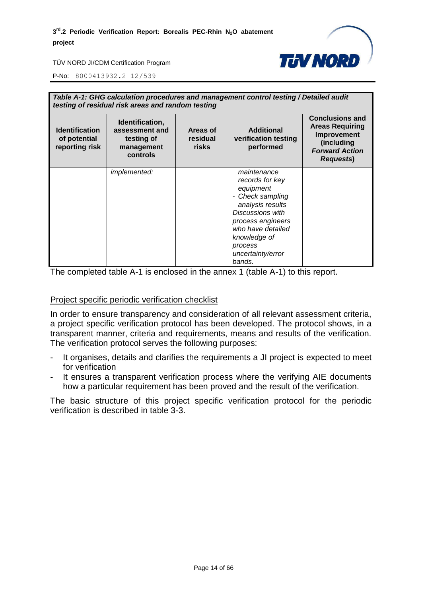

P-No: 8000413932.2 12/539

| <b>Identification</b><br>of potential<br>reporting risk | testing of residual risk areas and random testing<br>Identification,<br>assessment and<br>testing of<br>management<br>controls | Areas of<br>residual<br>risks | Table A-1: GHG calculation procedures and management control testing / Detailed audit<br><b>Additional</b><br>verification testing<br>performed                                                             | <b>Conclusions and</b><br><b>Areas Requiring</b><br><b>Improvement</b><br>(including<br><b>Forward Action</b><br><b>Requests</b> ) |
|---------------------------------------------------------|--------------------------------------------------------------------------------------------------------------------------------|-------------------------------|-------------------------------------------------------------------------------------------------------------------------------------------------------------------------------------------------------------|------------------------------------------------------------------------------------------------------------------------------------|
|                                                         | <i>implemented:</i>                                                                                                            |                               | maintenance<br>records for key<br>equipment<br>- Check sampling<br>analysis results<br>Discussions with<br>process engineers<br>who have detailed<br>knowledge of<br>process<br>uncertainty/error<br>bands. |                                                                                                                                    |

The completed table A-1 is enclosed in the annex 1 (table A-1) to this report.

#### Project specific periodic verification checklist

In order to ensure transparency and consideration of all relevant assessment criteria, a project specific verification protocol has been developed. The protocol shows, in a transparent manner, criteria and requirements, means and results of the verification. The verification protocol serves the following purposes:

- It organises, details and clarifies the requirements a JI project is expected to meet for verification
- It ensures a transparent verification process where the verifying AIE documents how a particular requirement has been proved and the result of the verification.

The basic structure of this project specific verification protocol for the periodic verification is described in table 3-3.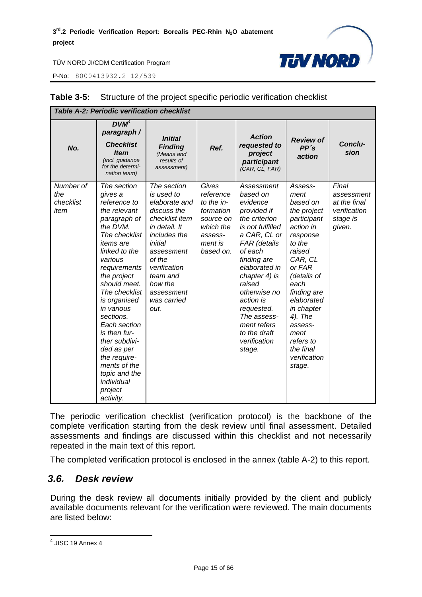

P-No: 8000413932.2 12/539

| <b>Table A-2: Periodic verification checklist</b> |                                                                                                                                                                                                                                                                                                                                                                                                                      |                                                                                                                                                                                                                             |                                                                                                            |                                                                                                                                                                                                                                                                                                                 |                                                                                                                                                                                                                                                                                 |                                                                           |
|---------------------------------------------------|----------------------------------------------------------------------------------------------------------------------------------------------------------------------------------------------------------------------------------------------------------------------------------------------------------------------------------------------------------------------------------------------------------------------|-----------------------------------------------------------------------------------------------------------------------------------------------------------------------------------------------------------------------------|------------------------------------------------------------------------------------------------------------|-----------------------------------------------------------------------------------------------------------------------------------------------------------------------------------------------------------------------------------------------------------------------------------------------------------------|---------------------------------------------------------------------------------------------------------------------------------------------------------------------------------------------------------------------------------------------------------------------------------|---------------------------------------------------------------------------|
| No.                                               | DVM <sup>4</sup><br>paragraph /<br><b>Checklist</b><br><b>Item</b><br>(incl. guidance<br>for the determi-<br>nation team)                                                                                                                                                                                                                                                                                            | <b>Initial</b><br><b>Finding</b><br>(Means and<br>results of<br>assessment)                                                                                                                                                 | Ref.                                                                                                       | <b>Action</b><br>requested to<br>project<br>participant<br>(CAR, CL, FAR)                                                                                                                                                                                                                                       | <b>Review of</b><br>PP's<br>action                                                                                                                                                                                                                                              | Conclu-<br>sion                                                           |
| Number of<br>the<br>checklist<br>item             | The section<br>gives a<br>reference to<br>the relevant<br>paragraph of<br>the DVM.<br>The checklist<br><i>items</i> are<br>linked to the<br>various<br>requirements<br>the project<br>should meet.<br>The checklist<br>is organised<br>in various<br>sections.<br>Each section<br>is then fur-<br>ther subdivi-<br>ded as per<br>the require-<br>ments of the<br>topic and the<br>individual<br>project<br>activity. | The section<br>is used to<br>elaborate and<br>discuss the<br>checklist item<br>in detail. It<br>includes the<br>initial<br>assessment<br>of the<br>verification<br>team and<br>how the<br>assessment<br>was carried<br>out. | Gives<br>reference<br>to the in-<br>formation<br>source on<br>which the<br>assess-<br>ment is<br>based on. | Assessment<br>based on<br>evidence<br>provided if<br>the criterion<br>is not fulfilled<br>a CAR, CL or<br>FAR (details<br>of each<br>finding are<br>elaborated in<br>chapter 4) is<br>raised<br>otherwise no<br>action is<br>requested.<br>The assess-<br>ment refers<br>to the draft<br>verification<br>stage. | Assess-<br>ment<br>based on<br>the project<br>participant<br>action in<br>response<br>to the<br>raised<br>CAR, CL<br>or FAR<br>(details of<br>each<br>finding are<br>elaborated<br>in chapter<br>4). The<br>assess-<br>ment<br>refers to<br>the final<br>verification<br>stage. | Final<br>assessment<br>at the final<br>verification<br>stage is<br>given. |

#### **Table 3-5:** Structure of the project specific periodic verification checklist

The periodic verification checklist (verification protocol) is the backbone of the complete verification starting from the desk review until final assessment. Detailed assessments and findings are discussed within this checklist and not necessarily repeated in the main text of this report.

The completed verification protocol is enclosed in the annex (table A-2) to this report.

#### <span id="page-14-0"></span>*3.6. Desk review*

During the desk review all documents initially provided by the client and publicly available documents relevant for the verification were reviewed. The main documents are listed below:

 4 JISC 19 Annex 4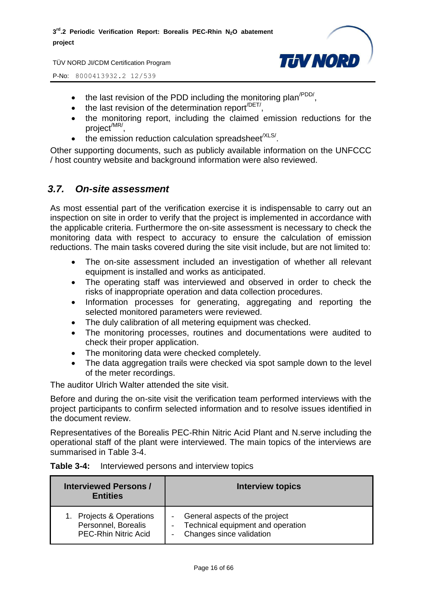

P-No: 8000413932.2 12/539

- $\bullet$  the last revision of the PDD including the monitoring plan<sup>/PDD/</sup>,
- $\bullet$  the last revision of the determination report<sup>/DET/</sup>,
- the monitoring report, including the claimed emission reductions for the project/MR/ ,
- $\bullet$  the emission reduction calculation spreadsheet<sup>/XLS/</sup>.

Other supporting documents, such as publicly available information on the UNFCCC / host country website and background information were also reviewed.

# <span id="page-15-0"></span>*3.7. On-site assessment*

As most essential part of the verification exercise it is indispensable to carry out an inspection on site in order to verify that the project is implemented in accordance with the applicable criteria. Furthermore the on-site assessment is necessary to check the monitoring data with respect to accuracy to ensure the calculation of emission reductions. The main tasks covered during the site visit include, but are not limited to:

- The on-site assessment included an investigation of whether all relevant equipment is installed and works as anticipated.
- The operating staff was interviewed and observed in order to check the risks of inappropriate operation and data collection procedures.
- Information processes for generating, aggregating and reporting the selected monitored parameters were reviewed.
- The duly calibration of all metering equipment was checked.
- The monitoring processes, routines and documentations were audited to check their proper application.
- The monitoring data were checked completely.
- The data aggregation trails were checked via spot sample down to the level of the meter recordings.

The auditor Ulrich Walter attended the site visit.

Before and during the on-site visit the verification team performed interviews with the project participants to confirm selected information and to resolve issues identified in the document review.

Representatives of the Borealis PEC-Rhin Nitric Acid Plant and N.serve including the operational staff of the plant were interviewed. The main topics of the interviews are summarised in Table 3-4.

| <b>Interviewed Persons /</b><br><b>Entities</b> | <b>Interview topics</b>           |  |
|-------------------------------------------------|-----------------------------------|--|
| <b>Projects &amp; Operations</b>                | General aspects of the project    |  |
| Personnel, Borealis                             | Technical equipment and operation |  |
| <b>PEC-Rhin Nitric Acid</b>                     | Changes since validation          |  |

#### **Table 3-4:** Interviewed persons and interview topics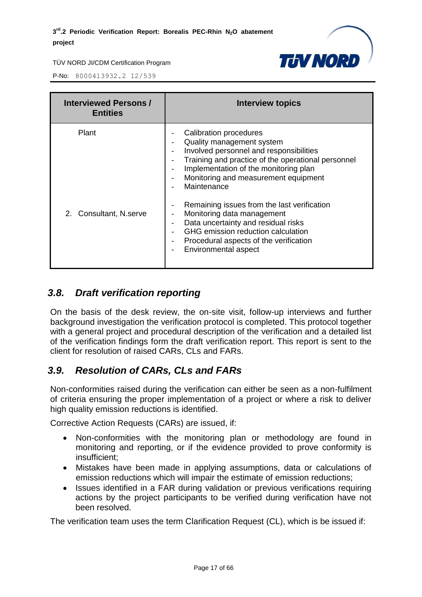

P-No: 8000413932.2 12/539

| <b>Interviewed Persons /</b><br><b>Entities</b> | <b>Interview topics</b>                                                                                                                                                                                                                                                                                                                                                                                                                                                                                                                                                                                                          |
|-------------------------------------------------|----------------------------------------------------------------------------------------------------------------------------------------------------------------------------------------------------------------------------------------------------------------------------------------------------------------------------------------------------------------------------------------------------------------------------------------------------------------------------------------------------------------------------------------------------------------------------------------------------------------------------------|
| Plant<br>2. Consultant, N.serve                 | Calibration procedures<br>Quality management system<br>$\qquad \qquad -$<br>Involved personnel and responsibilities<br>$\overline{a}$<br>Training and practice of the operational personnel<br>Implementation of the monitoring plan<br>$\overline{\phantom{0}}$<br>Monitoring and measurement equipment<br>$\overline{\phantom{0}}$<br>Maintenance<br>Remaining issues from the last verification<br>$\qquad \qquad -$<br>Monitoring data management<br>Data uncertainty and residual risks<br>GHG emission reduction calculation<br>Procedural aspects of the verification<br>$\overline{\phantom{0}}$<br>Environmental aspect |

# <span id="page-16-0"></span>*3.8. Draft verification reporting*

On the basis of the desk review, the on-site visit, follow-up interviews and further background investigation the verification protocol is completed. This protocol together with a general project and procedural description of the verification and a detailed list of the verification findings form the draft verification report. This report is sent to the client for resolution of raised CARs, CLs and FARs.

# <span id="page-16-1"></span>*3.9. Resolution of CARs, CLs and FARs*

Non-conformities raised during the verification can either be seen as a non-fulfilment of criteria ensuring the proper implementation of a project or where a risk to deliver high quality emission reductions is identified.

Corrective Action Requests (CARs) are issued, if:

- Non-conformities with the monitoring plan or methodology are found in monitoring and reporting, or if the evidence provided to prove conformity is insufficient;
- Mistakes have been made in applying assumptions, data or calculations of emission reductions which will impair the estimate of emission reductions;
- Issues identified in a FAR during validation or previous verifications requiring actions by the project participants to be verified during verification have not been resolved.

The verification team uses the term Clarification Request (CL), which is be issued if: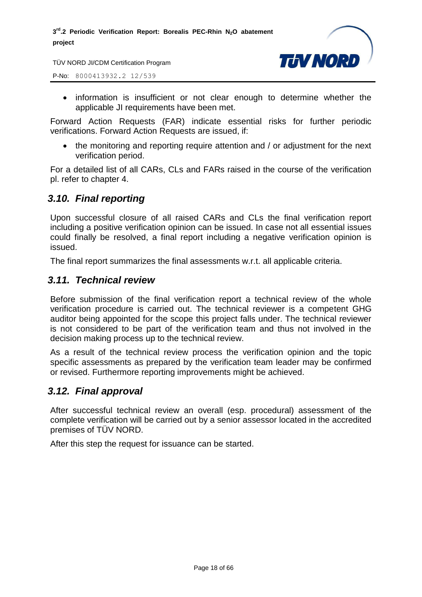

P-No: 8000413932.2 12/539

• information is insufficient or not clear enough to determine whether the applicable JI requirements have been met.

Forward Action Requests (FAR) indicate essential risks for further periodic verifications. Forward Action Requests are issued, if:

• the monitoring and reporting require attention and / or adjustment for the next verification period.

For a detailed list of all CARs, CLs and FARs raised in the course of the verification pl. refer to chapter 4.

# <span id="page-17-0"></span>*3.10. Final reporting*

Upon successful closure of all raised CARs and CLs the final verification report including a positive verification opinion can be issued. In case not all essential issues could finally be resolved, a final report including a negative verification opinion is issued.

The final report summarizes the final assessments w.r.t. all applicable criteria.

#### <span id="page-17-1"></span>*3.11. Technical review*

Before submission of the final verification report a technical review of the whole verification procedure is carried out. The technical reviewer is a competent GHG auditor being appointed for the scope this project falls under. The technical reviewer is not considered to be part of the verification team and thus not involved in the decision making process up to the technical review.

As a result of the technical review process the verification opinion and the topic specific assessments as prepared by the verification team leader may be confirmed or revised. Furthermore reporting improvements might be achieved.

# <span id="page-17-2"></span>*3.12. Final approval*

After successful technical review an overall (esp. procedural) assessment of the complete verification will be carried out by a senior assessor located in the accredited premises of TÜV NORD.

After this step the request for issuance can be started.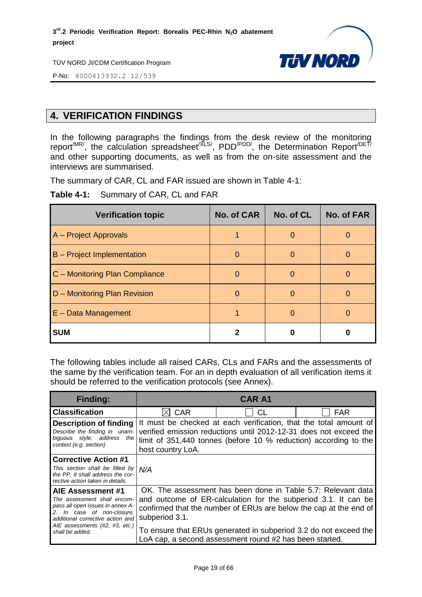

P-No: 8000413932.2 12/539

# <span id="page-18-0"></span>**4. VERIFICATION FINDINGS**

In the following paragraphs the findings from the desk review of the monitoring report<sup>/MR/</sup>, the calculation spreadsheet<sup>/XLS/</sup>, PDD<sup>/PDD/</sup>, the Determination Report<sup>/DET/</sup> and other supporting documents, as well as from the on-site assessment and the interviews are summarised.

The summary of CAR, CL and FAR issued are shown in Table 4-1:

**Table 4-1:** Summary of CAR, CL and FAR

| <b>Verification topic</b>         | <b>No. of CAR</b> | No. of CL | <b>No. of FAR</b> |
|-----------------------------------|-------------------|-----------|-------------------|
| A - Project Approvals             |                   | O         |                   |
| <b>B</b> – Project Implementation | O                 | O         |                   |
| C - Monitoring Plan Compliance    | O                 | O         |                   |
| D - Monitoring Plan Revision      | $\Omega$          | O         |                   |
| $E$ – Data Management             |                   | O         |                   |
| <b>SUM</b>                        |                   | 0         |                   |

The following tables include all raised CARs, CLs and FARs and the assessments of the same by the verification team. For an in depth evaluation of all verification items it should be referred to the verification protocols (see Annex).

| <b>Finding:</b>                                                                                                                                                                                             |                                                                                                                                                                                                                                 | <b>CAR A1</b>                                                                                                                                                                                                                                                 |                                                                   |  |
|-------------------------------------------------------------------------------------------------------------------------------------------------------------------------------------------------------------|---------------------------------------------------------------------------------------------------------------------------------------------------------------------------------------------------------------------------------|---------------------------------------------------------------------------------------------------------------------------------------------------------------------------------------------------------------------------------------------------------------|-------------------------------------------------------------------|--|
| <b>Classification</b>                                                                                                                                                                                       | CAR                                                                                                                                                                                                                             | <b>CL</b>                                                                                                                                                                                                                                                     | <b>FAR</b>                                                        |  |
| <b>Description of finding</b><br>Describe the finding in unam-<br>biguous style; address<br>the<br>context (e.g. section)                                                                                   | It must be checked at each verification, that the total amount of<br>verified emission reductions until 2012-12-31 does not exceed the<br>limit of 351,440 tonnes (before 10 % reduction) according to the<br>host country LoA. |                                                                                                                                                                                                                                                               |                                                                   |  |
| <b>Corrective Action #1</b><br>This section shall be filled by $N/A$<br>the PP. It shall address the cor-<br>rective action taken in details.                                                               |                                                                                                                                                                                                                                 |                                                                                                                                                                                                                                                               |                                                                   |  |
| AIE Assessment #1<br>The assessment shall encom-<br>pass all open issues in annex A-<br>2. In case of non-closure.<br>additional corrective action and<br>AIE assessments (#2, #3, etc.)<br>shall be added. | subperiod 3.1.                                                                                                                                                                                                                  | OK. The assessment has been done in Table 5.7: Relevant data<br>and outcome of ER-calculation for the subperiod 3.1. It can be<br>To ensure that ERUs generated in subperiod 3.2 do not exceed the<br>LoA cap, a second assessment round #2 has been started. | confirmed that the number of ERUs are below the cap at the end of |  |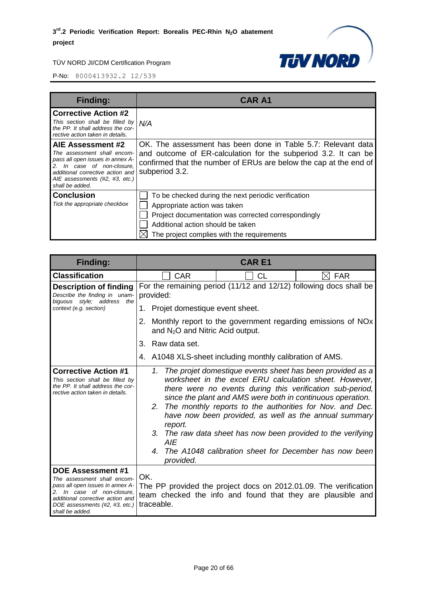

| <b>Finding:</b>                                                                                                                                                                                                         | CAR A1                                                                                                                                                                                                                        |
|-------------------------------------------------------------------------------------------------------------------------------------------------------------------------------------------------------------------------|-------------------------------------------------------------------------------------------------------------------------------------------------------------------------------------------------------------------------------|
| <b>Corrective Action #2</b><br>This section shall be filled by<br>the PP. It shall address the cor-<br>rective action taken in details.                                                                                 | N/A                                                                                                                                                                                                                           |
| AIE Assessment #2<br>The assessment shall encom-<br>pass all open issues in annex A-<br>In case of non-closure,<br>$2^{\circ}$<br>additional corrective action and<br>AIE assessments (#2, #3, etc.)<br>shall be added. | OK. The assessment has been done in Table 5.7: Relevant data<br>and outcome of ER-calculation for the subperiod 3.2. It can be<br>confirmed that the number of ERUs are below the cap at the end of<br>subperiod 3.2.         |
| <b>Conclusion</b><br>Tick the appropriate checkbox                                                                                                                                                                      | To be checked during the next periodic verification<br>Appropriate action was taken<br>Project documentation was corrected correspondingly<br>Additional action should be taken<br>The project complies with the requirements |

| <b>Finding:</b>                                                                                                                                                                                                    |                                                                                 | <b>CARE1</b>                                             |                                                                                                                                                                                                                                                                                                                                                                                                                                                                                                 |  |  |
|--------------------------------------------------------------------------------------------------------------------------------------------------------------------------------------------------------------------|---------------------------------------------------------------------------------|----------------------------------------------------------|-------------------------------------------------------------------------------------------------------------------------------------------------------------------------------------------------------------------------------------------------------------------------------------------------------------------------------------------------------------------------------------------------------------------------------------------------------------------------------------------------|--|--|
| <b>Classification</b>                                                                                                                                                                                              | <b>CAR</b>                                                                      | CL                                                       | $\boxtimes$ FAR                                                                                                                                                                                                                                                                                                                                                                                                                                                                                 |  |  |
| <b>Description of finding</b><br>Describe the finding in unam-<br>biguous style; address the                                                                                                                       | For the remaining period (11/12 and 12/12) following docs shall be<br>provided: |                                                          |                                                                                                                                                                                                                                                                                                                                                                                                                                                                                                 |  |  |
| context (e.g. section)                                                                                                                                                                                             | 1. Projet domestique event sheet.                                               |                                                          |                                                                                                                                                                                                                                                                                                                                                                                                                                                                                                 |  |  |
|                                                                                                                                                                                                                    | 2.                                                                              | and $N2O$ and Nitric Acid output.                        | Monthly report to the government regarding emissions of NO <sub>x</sub>                                                                                                                                                                                                                                                                                                                                                                                                                         |  |  |
|                                                                                                                                                                                                                    | 3. Raw data set.                                                                |                                                          |                                                                                                                                                                                                                                                                                                                                                                                                                                                                                                 |  |  |
|                                                                                                                                                                                                                    |                                                                                 | 4. A1048 XLS-sheet including monthly calibration of AMS. |                                                                                                                                                                                                                                                                                                                                                                                                                                                                                                 |  |  |
| <b>Corrective Action #1</b><br>This section shall be filled by<br>the PP. It shall address the cor-<br>rective action taken in details.                                                                            | 1.<br>report.<br>AIE<br>$\overline{4}$<br>provided.                             |                                                          | The projet domestique events sheet has been provided as a<br>worksheet in the excel ERU calculation sheet. However,<br>there were no events during this verification sub-period,<br>since the plant and AMS were both in continuous operation.<br>2. The monthly reports to the authorities for Nov. and Dec.<br>have now been provided, as well as the annual summary<br>3. The raw data sheet has now been provided to the verifying<br>The A1048 calibration sheet for December has now been |  |  |
| <b>DOE Assessment #1</b><br>The assessment shall encom-<br>pass all open issues in annex A-<br>2. In case of non-closure,<br>additional corrective action and<br>DOE assessments (#2, #3, etc.)<br>shall be added. | OK.<br>traceable.                                                               |                                                          | The PP provided the project docs on 2012.01.09. The verification<br>team checked the info and found that they are plausible and                                                                                                                                                                                                                                                                                                                                                                 |  |  |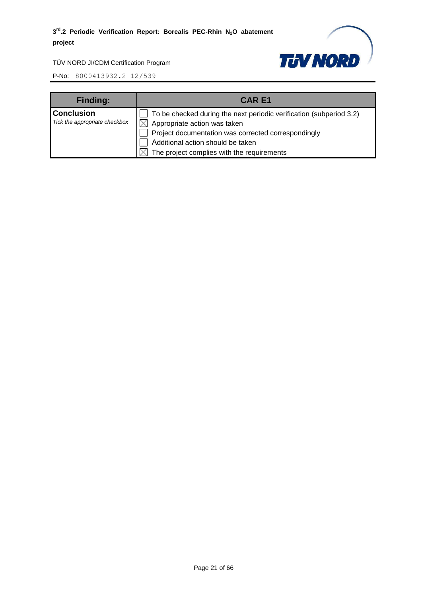#### **3 rd .2 Periodic Verification Report: Borealis PEC-Rhin N2O abatement project**



TÜV NORD JI/CDM Certification Program

| <b>Finding:</b>                                    | <b>CAR E1</b>                                                                                                                          |
|----------------------------------------------------|----------------------------------------------------------------------------------------------------------------------------------------|
| <b>Conclusion</b><br>Tick the appropriate checkbox | To be checked during the next periodic verification (subperiod 3.2)<br>Appropriate action was taken                                    |
|                                                    | Project documentation was corrected correspondingly<br>Additional action should be taken<br>The project complies with the requirements |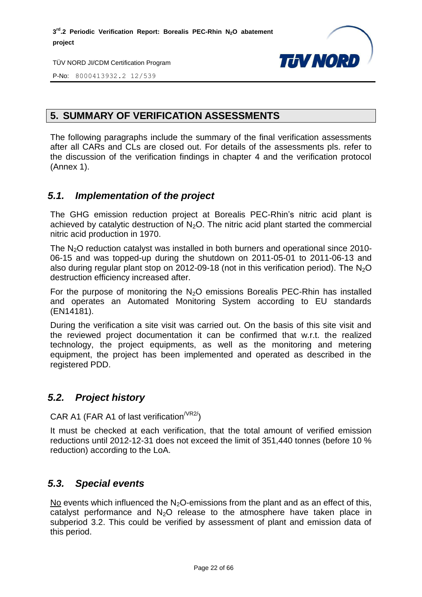

P-No: 8000413932.2 12/539

# <span id="page-21-0"></span>**5. SUMMARY OF VERIFICATION ASSESSMENTS**

The following paragraphs include the summary of the final verification assessments after all CARs and CLs are closed out. For details of the assessments pls. refer to the discussion of the verification findings in chapter 4 and the verification protocol (Annex 1).

#### <span id="page-21-1"></span>*5.1. Implementation of the project*

The GHG emission reduction project at Borealis PEC-Rhin's nitric acid plant is achieved by catalytic destruction of  $N_2O$ . The nitric acid plant started the commercial nitric acid production in 1970.

The  $N<sub>2</sub>O$  reduction catalyst was installed in both burners and operational since 2010-06-15 and was topped-up during the shutdown on 2011-05-01 to 2011-06-13 and also during regular plant stop on 2012-09-18 (not in this verification period). The  $N_2O$ destruction efficiency increased after.

For the purpose of monitoring the  $N_2O$  emissions Borealis PEC-Rhin has installed and operates an Automated Monitoring System according to EU standards (EN14181).

During the verification a site visit was carried out. On the basis of this site visit and the reviewed project documentation it can be confirmed that w.r.t. the realized technology, the project equipments, as well as the monitoring and metering equipment, the project has been implemented and operated as described in the registered PDD.

# <span id="page-21-2"></span>*5.2. Project history*

CAR A1 (FAR A1 of last verification<sup> $V$ R2</sup>)

It must be checked at each verification, that the total amount of verified emission reductions until 2012-12-31 does not exceed the limit of 351,440 tonnes (before 10 % reduction) according to the LoA.

# <span id="page-21-3"></span>*5.3. Special events*

<span id="page-21-4"></span>No events which influenced the  $N_2O$ -emissions from the plant and as an effect of this, catalyst performance and  $N<sub>2</sub>O$  release to the atmosphere have taken place in subperiod 3.2. This could be verified by assessment of plant and emission data of this period.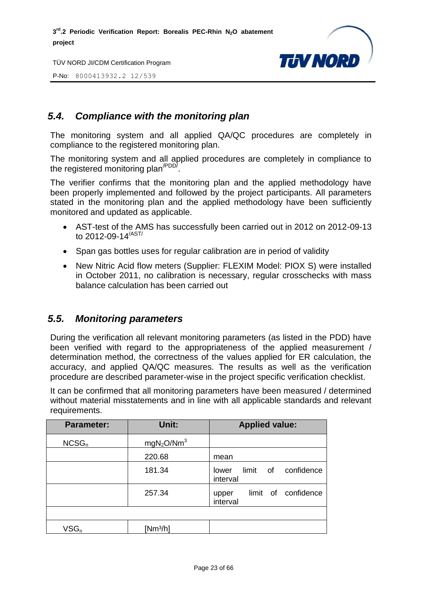

P-No: 8000413932.2 12/539

# *5.4. Compliance with the monitoring plan*

The monitoring system and all applied QA/QC procedures are completely in compliance to the registered monitoring plan.

The monitoring system and all applied procedures are completely in compliance to the registered monitoring plan<sup>/PDD/</sup>.

The verifier confirms that the monitoring plan and the applied methodology have been properly implemented and followed by the project participants. All parameters stated in the monitoring plan and the applied methodology have been sufficiently monitored and updated as applicable.

- AST-test of the AMS has successfully been carried out in 2012 on 2012-09-13 to 2012-09-14/AST/
- Span gas bottles uses for regular calibration are in period of validity
- New Nitric Acid flow meters (Supplier: FLEXIM Model: PIOX S) were installed in October 2011, no calibration is necessary, regular crosschecks with mass balance calculation has been carried out

# <span id="page-22-0"></span>*5.5. Monitoring parameters*

During the verification all relevant monitoring parameters (as listed in the PDD) have been verified with regard to the appropriateness of the applied measurement / determination method, the correctness of the values applied for ER calculation, the accuracy, and applied QA/QC measures. The results as well as the verification procedure are described parameter-wise in the project specific verification checklist.

It can be confirmed that all monitoring parameters have been measured / determined without material misstatements and in line with all applicable standards and relevant requirements.

| <b>Parameter:</b> | Unit:                              | <b>Applied value:</b>                       |
|-------------------|------------------------------------|---------------------------------------------|
| NCSG <sub>n</sub> | mgN <sub>2</sub> O/Nm <sup>3</sup> |                                             |
|                   | 220.68                             | mean                                        |
|                   | 181.34                             | limit of<br>confidence<br>lower<br>interval |
|                   | 257.34                             | limit of confidence<br>upper<br>interval    |
|                   |                                    |                                             |
| $VSG_n$           | [ $Nm3/h$ ]                        |                                             |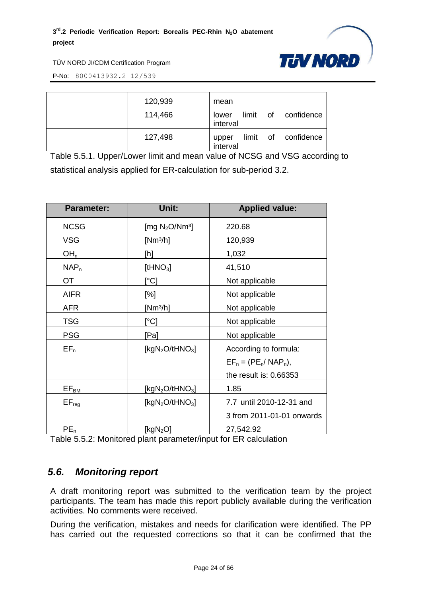

P-No: 8000413932.2 12/539

| 120,939 | mean                                  |  |
|---------|---------------------------------------|--|
| 114,466 | lower limit of confidence<br>interval |  |
| 127,498 | upper limit of confidence<br>interval |  |

Table 5.5.1. Upper/Lower limit and mean value of NCSG and VSG according to statistical analysis applied for ER-calculation for sub-period 3.2.

<span id="page-23-0"></span>

| Parameter:      | Unit:                                   | <b>Applied value:</b>     |
|-----------------|-----------------------------------------|---------------------------|
| <b>NCSG</b>     | [mg $N_2O/Nm^3$ ]                       | 220.68                    |
| <b>VSG</b>      | [Nm <sup>3/</sup> h]                    | 120,939                   |
| OH <sub>n</sub> | [h]                                     | 1,032                     |
| $NAP_n$         | [t $HNO3$ ]                             | 41,510                    |
| OT              | [°C]                                    | Not applicable            |
| <b>AIFR</b>     | [%]                                     | Not applicable            |
| <b>AFR</b>      | $[Nm^3/h]$                              | Not applicable            |
| <b>TSG</b>      | '°C]                                    | Not applicable            |
| <b>PSG</b>      | [Pa]                                    | Not applicable            |
| $EF_n$          | [kgN <sub>2</sub> O/tHNO <sub>3</sub> ] | According to formula:     |
|                 |                                         | $EF_n = (PE_n / NAP_n)$ , |
|                 |                                         | the result is: 0.66353    |
| $EF_{BM}$       | [kgN <sub>2</sub> O/tHNO <sub>3</sub> ] | 1.85                      |
| $EF_{reg}$      | [kgN <sub>2</sub> O/tHNO <sub>3</sub> ] | 7.7 until 2010-12-31 and  |
|                 |                                         | 3 from 2011-01-01 onwards |
| $PE_n$          | [kg $N_2O$ ]                            | 27,542.92                 |

Table 5.5.2: Monitored plant parameter/input for ER calculation

# *5.6. Monitoring report*

A draft monitoring report was submitted to the verification team by the project participants. The team has made this report publicly available during the verification activities. No comments were received.

During the verification, mistakes and needs for clarification were identified. The PP has carried out the requested corrections so that it can be confirmed that the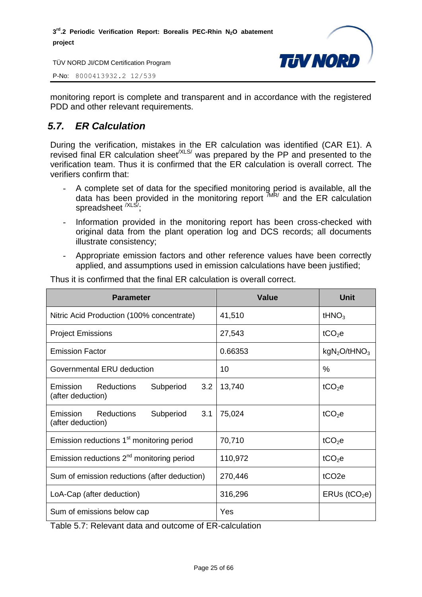

P-No: 8000413932.2 12/539

monitoring report is complete and transparent and in accordance with the registered PDD and other relevant requirements.

# <span id="page-24-0"></span>*5.7. ER Calculation*

During the verification, mistakes in the ER calculation was identified (CAR E1). A revised final ER calculation sheet/XLS/ was prepared by the PP and presented to the verification team. Thus it is confirmed that the ER calculation is overall correct. The verifiers confirm that:

- A complete set of data for the specified monitoring period is available, all the data has been provided in the monitoring report  $^{7MR}$  and the ER calculation spreadsheet <sup>/XLS/</sup>;
- Information provided in the monitoring report has been cross-checked with original data from the plant operation log and DCS records; all documents illustrate consistency;
- Appropriate emission factors and other reference values have been correctly applied, and assumptions used in emission calculations have been justified;

| <b>Parameter</b>                                                       | <b>Value</b> | Unit                                 |
|------------------------------------------------------------------------|--------------|--------------------------------------|
| Nitric Acid Production (100% concentrate)                              | 41,510       | tHN $O_3$                            |
| <b>Project Emissions</b>                                               | 27,543       | tCO <sub>2</sub> e                   |
| <b>Emission Factor</b>                                                 | 0.66353      | kgN <sub>2</sub> O/tHNO <sub>3</sub> |
| Governmental ERU deduction                                             | 10           | $\%$                                 |
| Reductions<br>3.2<br>Emission<br>Subperiod<br>(after deduction)        | 13,740       | tCO <sub>2</sub> e                   |
| Emission<br><b>Reductions</b><br>Subperiod<br>3.1<br>(after deduction) | 75,024       | tCO <sub>2</sub> e                   |
| Emission reductions 1 <sup>st</sup> monitoring period                  | 70,710       | tCO <sub>2</sub> e                   |
| Emission reductions $2^{nd}$ monitoring period                         | 110,972      | tCO <sub>2</sub> e                   |
| Sum of emission reductions (after deduction)                           | 270,446      | tCO <sub>2e</sub>                    |
| LoA-Cap (after deduction)                                              | 316,296      | $ERUs$ (tCO <sub>2</sub> e)          |
| Sum of emissions below cap                                             | Yes          |                                      |

Thus it is confirmed that the final ER calculation is overall correct.

Table 5.7: Relevant data and outcome of ER-calculation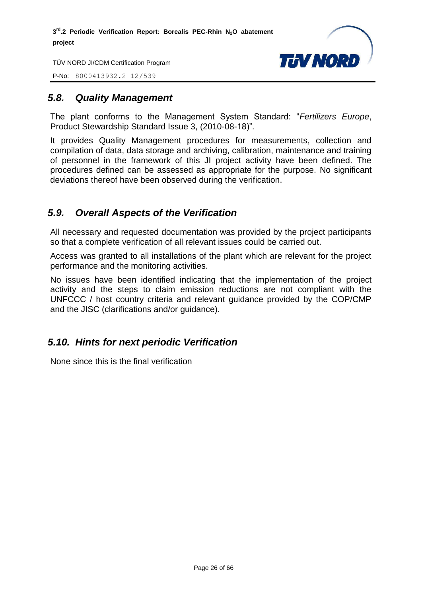

P-No: 8000413932.2 12/539

# <span id="page-25-0"></span>*5.8. Quality Management*

The plant conforms to the Management System Standard: "*Fertilizers Europe*, Product Stewardship Standard Issue 3, (2010-08-18)".

It provides Quality Management procedures for measurements, collection and compilation of data, data storage and archiving, calibration, maintenance and training of personnel in the framework of this JI project activity have been defined. The procedures defined can be assessed as appropriate for the purpose. No significant deviations thereof have been observed during the verification.

# <span id="page-25-1"></span>*5.9. Overall Aspects of the Verification*

All necessary and requested documentation was provided by the project participants so that a complete verification of all relevant issues could be carried out.

Access was granted to all installations of the plant which are relevant for the project performance and the monitoring activities.

No issues have been identified indicating that the implementation of the project activity and the steps to claim emission reductions are not compliant with the UNFCCC / host country criteria and relevant guidance provided by the COP/CMP and the JISC (clarifications and/or guidance).

# <span id="page-25-2"></span>*5.10. Hints for next periodic Verification*

None since this is the final verification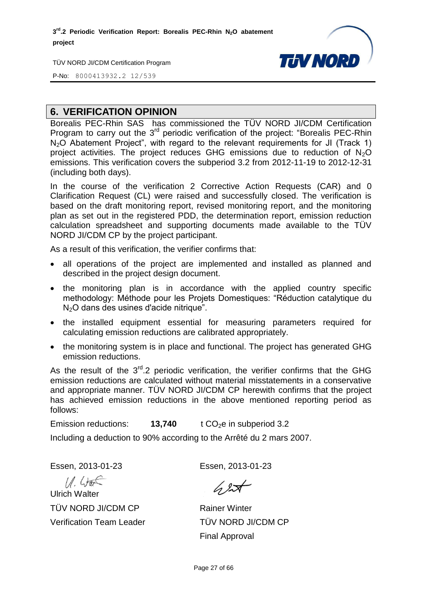

P-No: 8000413932.2 12/539

# <span id="page-26-0"></span>**6. VERIFICATION OPINION**

Borealis PEC-Rhin SAS has commissioned the TÜV NORD JI/CDM Certification Program to carry out the 3<sup>rd</sup> periodic verification of the project: "Borealis PEC-Rhin N<sub>2</sub>O Abatement Project", with regard to the relevant requirements for JI (Track 1) project activities. The project reduces GHG emissions due to reduction of  $N_2O$ emissions. This verification covers the subperiod 3.2 from 2012-11-19 to 2012-12-31 (including both days).

In the course of the verification 2 Corrective Action Requests (CAR) and 0 Clarification Request (CL) were raised and successfully closed. The verification is based on the draft monitoring report, revised monitoring report, and the monitoring plan as set out in the registered PDD, the determination report, emission reduction calculation spreadsheet and supporting documents made available to the TÜV NORD JI/CDM CP by the project participant.

As a result of this verification, the verifier confirms that:

- all operations of the project are implemented and installed as planned and described in the project design document.
- the monitoring plan is in accordance with the applied country specific methodology: Méthode pour les Projets Domestiques: "Réduction catalytique du N<sub>2</sub>O dans des usines d'acide nitrique".
- the installed equipment essential for measuring parameters required for calculating emission reductions are calibrated appropriately.
- the monitoring system is in place and functional. The project has generated GHG emission reductions.

As the result of the  $3<sup>rd</sup>$ . 2 periodic verification, the verifier confirms that the GHG emission reductions are calculated without material misstatements in a conservative and appropriate manner. TÜV NORD JI/CDM CP herewith confirms that the project has achieved emission reductions in the above mentioned reporting period as follows:

Emission reductions: **13,740** t CO<sub>2</sub>e in subperiod 3.2

Including a deduction to 90% according to the Arrêté du 2 mars 2007.

Essen, 2013-01-23 Essen, 2013-01-23

 $U.445$ 

Ulrich Walter TÜV NORD JI/CDM CP Verification Team Leader

 $\sqrt{2}$ 

Rainer Winter TÜV NORD JI/CDM CP Final Approval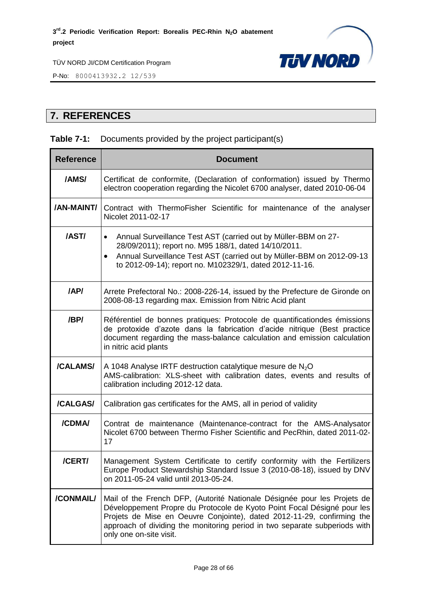

P-No: 8000413932.2 12/539

# <span id="page-27-0"></span>**7. REFERENCES**

# **Table 7-1:** Documents provided by the project participant(s)

| <b>Reference</b> | <b>Document</b>                                                                                                                                                                                                                                                                                                                        |
|------------------|----------------------------------------------------------------------------------------------------------------------------------------------------------------------------------------------------------------------------------------------------------------------------------------------------------------------------------------|
| /AMS/            | Certificat de conformite, (Declaration of conformation) issued by Thermo<br>electron cooperation regarding the Nicolet 6700 analyser, dated 2010-06-04                                                                                                                                                                                 |
| /AN-MAINT/       | Contract with ThermoFisher Scientific for maintenance of the analyser<br>Nicolet 2011-02-17                                                                                                                                                                                                                                            |
| /AST/            | Annual Surveillance Test AST (carried out by Müller-BBM on 27-<br>$\bullet$<br>28/09/2011); report no. M95 188/1, dated 14/10/2011.<br>Annual Surveillance Test AST (carried out by Müller-BBM on 2012-09-13<br>$\bullet$<br>to 2012-09-14); report no. M102329/1, dated 2012-11-16.                                                   |
| /AP/             | Arrete Prefectoral No.: 2008-226-14, issued by the Prefecture de Gironde on<br>2008-08-13 regarding max. Emission from Nitric Acid plant                                                                                                                                                                                               |
| /BP/             | Référentiel de bonnes pratiques: Protocole de quantificationdes émissions<br>de protoxide d'azote dans la fabrication d'acide nitrique (Best practice<br>document regarding the mass-balance calculation and emission calculation<br>in nitric acid plants                                                                             |
| /CALAMS/         | A 1048 Analyse IRTF destruction catalytique mesure de $N_2O$<br>AMS-calibration: XLS-sheet with calibration dates, events and results of<br>calibration including 2012-12 data.                                                                                                                                                        |
| /CALGAS/         | Calibration gas certificates for the AMS, all in period of validity                                                                                                                                                                                                                                                                    |
| /CDMA/           | Contrat de maintenance (Maintenance-contract for the AMS-Analysator<br>Nicolet 6700 between Thermo Fisher Scientific and PecRhin, dated 2011-02-<br>17                                                                                                                                                                                 |
| /CERT/           | Management System Certificate to certify conformity with the Fertilizers<br>Europe Product Stewardship Standard Issue 3 (2010-08-18), issued by DNV<br>on 2011-05-24 valid until 2013-05-24.                                                                                                                                           |
| /CONMAIL/        | Mail of the French DFP, (Autorité Nationale Désignée pour les Projets de<br>Développement Propre du Protocole de Kyoto Point Focal Désigné pour les<br>Projets de Mise en Oeuvre Conjointe), dated 2012-11-29, confirming the<br>approach of dividing the monitoring period in two separate subperiods with<br>only one on-site visit. |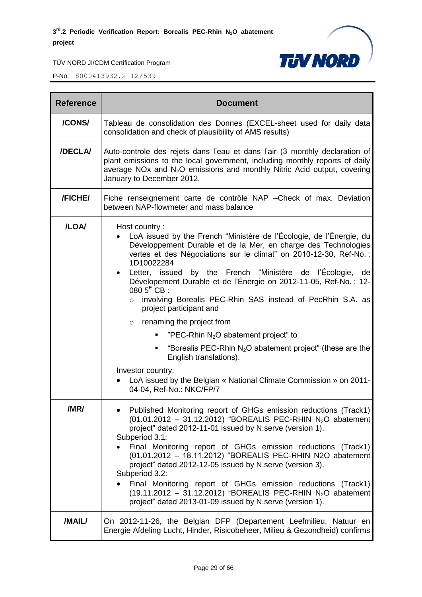

| <b>Reference</b> | <b>Document</b>                                                                                                                                                                                                                                                                                                                                                                                                                                                                                                                                                                                                                                                                                                                                                                                              |
|------------------|--------------------------------------------------------------------------------------------------------------------------------------------------------------------------------------------------------------------------------------------------------------------------------------------------------------------------------------------------------------------------------------------------------------------------------------------------------------------------------------------------------------------------------------------------------------------------------------------------------------------------------------------------------------------------------------------------------------------------------------------------------------------------------------------------------------|
| /CONS/           | Tableau de consolidation des Donnes (EXCEL-sheet used for daily data<br>consolidation and check of plausibility of AMS results)                                                                                                                                                                                                                                                                                                                                                                                                                                                                                                                                                                                                                                                                              |
| /DECLA/          | Auto-controle des rejets dans l'eau et dans l'air (3 monthly declaration of<br>plant emissions to the local government, including monthly reports of daily<br>average NOx and $N_2O$ emissions and monthly Nitric Acid output, covering<br>January to December 2012.                                                                                                                                                                                                                                                                                                                                                                                                                                                                                                                                         |
| /FICHE/          | Fiche renseignement carte de contrôle NAP - Check of max. Deviation<br>between NAP-flowmeter and mass balance                                                                                                                                                                                                                                                                                                                                                                                                                                                                                                                                                                                                                                                                                                |
| /LOA/            | Host country:<br>LoA issued by the French "Ministère de l'Écologie, de l'Énergie, du<br>Développement Durable et de la Mer, en charge des Technologies<br>vertes et des Négociations sur le climat" on 2010-12-30, Ref-No. :<br>1D10022284<br>by the French "Ministère de l'Écologie,<br>Letter, issued<br>de<br>$\bullet$<br>Dévelopement Durable et de l'Énergie on 2012-11-05, Ref-No. : 12-<br>$0805E$ CB :<br>o involving Borealis PEC-Rhin SAS instead of PecRhin S.A. as<br>project participant and<br>renaming the project from<br>$\circ$<br>"PEC-Rhin $N_2O$ abatement project" to<br>"Borealis PEC-Rhin $N_2O$ abatement project" (these are the<br>English translations).<br>Investor country:<br>LoA issued by the Belgian « National Climate Commission » on 2011-<br>04-04, Ref-No.: NKC/FP/7 |
| /MR/             | Published Monitoring report of GHGs emission reductions (Track1)<br>$(01.01.2012 - 31.12.2012)$ "BOREALIS PEC-RHIN N <sub>2</sub> O abatement<br>project" dated 2012-11-01 issued by N.serve (version 1).<br>Subperiod 3.1:<br>Final Monitoring report of GHGs emission reductions (Track1)<br>(01.01.2012 - 18.11.2012) "BOREALIS PEC-RHIN N2O abatement<br>project" dated 2012-12-05 issued by N.serve (version 3).<br>Subperiod 3.2:<br>Final Monitoring report of GHGs emission reductions (Track1)<br>$(19.11.2012 - 31.12.2012)$ "BOREALIS PEC-RHIN N <sub>2</sub> O abatement<br>project" dated 2013-01-09 issued by N.serve (version 1).                                                                                                                                                             |
| /MAIL/           | On 2012-11-26, the Belgian DFP (Departement Leefmilieu, Natuur en<br>Energie Afdeling Lucht, Hinder, Risicobeheer, Milieu & Gezondheid) confirms                                                                                                                                                                                                                                                                                                                                                                                                                                                                                                                                                                                                                                                             |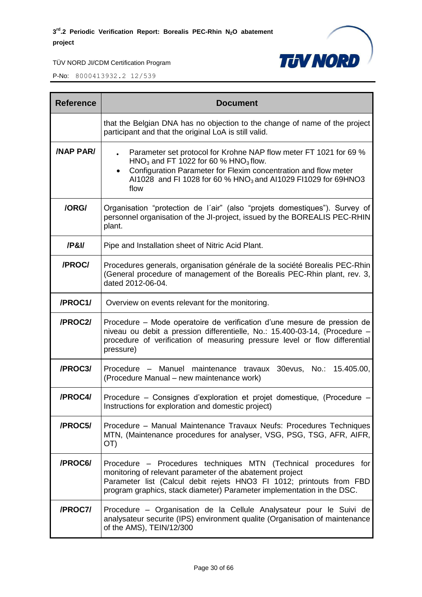

| <b>Reference</b>       | <b>Document</b>                                                                                                                                                                                                                                                                    |
|------------------------|------------------------------------------------------------------------------------------------------------------------------------------------------------------------------------------------------------------------------------------------------------------------------------|
|                        | that the Belgian DNA has no objection to the change of name of the project<br>participant and that the original LoA is still valid.                                                                                                                                                |
| <b><i>NAP PARI</i></b> | Parameter set protocol for Krohne NAP flow meter FT 1021 for 69 %<br>$HNO3$ and FT 1022 for 60 % $HNO3$ flow.<br>Configuration Parameter for Flexim concentration and flow meter<br>$\bullet$<br>Al1028 and FI 1028 for 60 % HNO <sub>3</sub> and Al1029 FI1029 for 69HNO3<br>flow |
| /ORG/                  | Organisation "protection de l'air" (also "projets domestiques"). Survey of<br>personnel organisation of the JI-project, issued by the BOREALIS PEC-RHIN<br>plant.                                                                                                                  |
| /P&I/                  | Pipe and Installation sheet of Nitric Acid Plant.                                                                                                                                                                                                                                  |
| /PROC/                 | Procedures generals, organisation générale de la société Borealis PEC-Rhin<br>(General procedure of management of the Borealis PEC-Rhin plant, rev. 3,<br>dated 2012-06-04.                                                                                                        |
| /PROC1/                | Overview on events relevant for the monitoring.                                                                                                                                                                                                                                    |
| /PROC2/                | Procedure – Mode operatoire de verification d'une mesure de pression de<br>niveau ou debit a pression differentielle, No.: 15.400-03-14, (Procedure -<br>procedure of verification of measuring pressure level or flow differential<br>pressure)                                   |
| /PROC3/                | Procedure - Manuel maintenance travaux 30evus, No.:<br>15.405.00,<br>(Procedure Manual – new maintenance work)                                                                                                                                                                     |
| /PROC4/                | Procedure – Consignes d'exploration et projet domestique, (Procedure –<br>Instructions for exploration and domestic project)                                                                                                                                                       |
| /PROC5/                | Procedure – Manual Maintenance Travaux Neufs: Procedures Techniques<br>MTN, (Maintenance procedures for analyser, VSG, PSG, TSG, AFR, AIFR,<br>OT)                                                                                                                                 |
| /PROC6/                | Procedure – Procedures techniques MTN (Technical procedures for<br>monitoring of relevant parameter of the abatement project<br>Parameter list (Calcul debit rejets HNO3 FI 1012; printouts from FBD<br>program graphics, stack diameter) Parameter implementation in the DSC.     |
| /PROC7/                | Procedure – Organisation de la Cellule Analysateur pour le Suivi de<br>analysateur securite (IPS) environment qualite (Organisation of maintenance<br>of the AMS), TEIN/12/300                                                                                                     |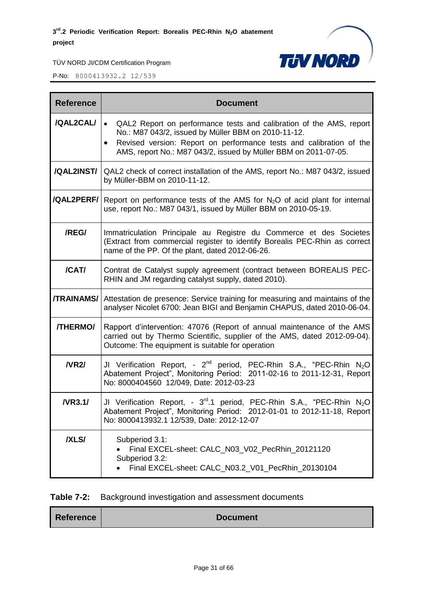

P-No: 8000413932.2 12/539

| <b>Reference</b>  | <b>Document</b>                                                                                                                                                                                                                                                                                |
|-------------------|------------------------------------------------------------------------------------------------------------------------------------------------------------------------------------------------------------------------------------------------------------------------------------------------|
| /QAL2CAL/         | QAL2 Report on performance tests and calibration of the AMS, report<br>$\bullet$<br>No.: M87 043/2, issued by Müller BBM on 2010-11-12.<br>Revised version: Report on performance tests and calibration of the<br>$\bullet$<br>AMS, report No.: M87 043/2, issued by Müller BBM on 2011-07-05. |
| /QAL2INST/        | QAL2 check of correct installation of the AMS, report No.: M87 043/2, issued<br>by Müller-BBM on 2010-11-12.                                                                                                                                                                                   |
| /QAL2PERF/        | Report on performance tests of the AMS for $N_2O$ of acid plant for internal<br>use, report No.: M87 043/1, issued by Müller BBM on 2010-05-19.                                                                                                                                                |
| /REG/             | Immatriculation Principale au Registre du Commerce et des Societes<br>(Extract from commercial register to identify Borealis PEC-Rhin as correct<br>name of the PP. Of the plant, dated 2012-06-26.                                                                                            |
| /CAT/             | Contrat de Catalyst supply agreement (contract between BOREALIS PEC-<br>RHIN and JM regarding catalyst supply, dated 2010).                                                                                                                                                                    |
| <b>/TRAINAMS/</b> | Attestation de presence: Service training for measuring and maintains of the<br>analyser Nicolet 6700: Jean BIGI and Benjamin CHAPUS, dated 2010-06-04.                                                                                                                                        |
| /THERMO/          | Rapport d'intervention: 47076 (Report of annual maintenance of the AMS<br>carried out by Thermo Scientific, supplier of the AMS, dated 2012-09-04).<br>Outcome: The equipment is suitable for operation                                                                                        |
| <b>NR2/</b>       | JI Verification Report, - $2^{nd}$ period, PEC-Rhin S.A., "PEC-Rhin N <sub>2</sub> O<br>Abatement Project", Monitoring Period: 2011-02-16 to 2011-12-31, Report<br>No: 8000404560 12/049, Date: 2012-03-23                                                                                     |
| <b>/VR3.1/</b>    | JI Verification Report, - $3^{rd}$ .1 period, PEC-Rhin S.A., "PEC-Rhin N <sub>2</sub> O<br>Abatement Project", Monitoring Period: 2012-01-01 to 2012-11-18, Report<br>No: 8000413932.1 12/539, Date: 2012-12-07                                                                                |
| <b>IXLSI</b>      | Subperiod 3.1:<br>Final EXCEL-sheet: CALC_N03_V02_PecRhin_20121120<br>Subperiod 3.2:<br>Final EXCEL-sheet: CALC_N03.2_V01_PecRhin_20130104                                                                                                                                                     |

**Table 7-2:** Background investigation and assessment documents

| Reference | <b>Document</b> |
|-----------|-----------------|
|-----------|-----------------|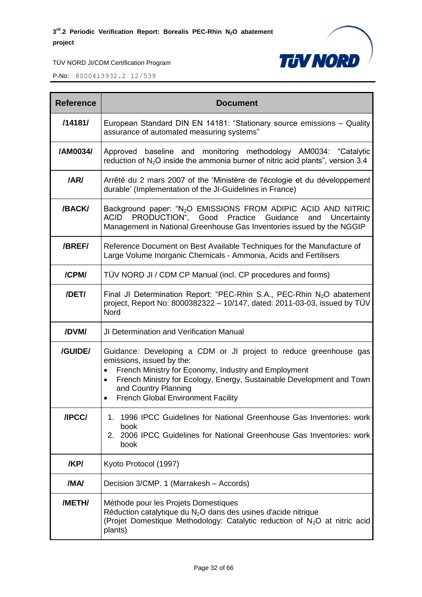

| <b>Reference</b> | <b>Document</b>                                                                                                                                                                                                                                                                                                                             |
|------------------|---------------------------------------------------------------------------------------------------------------------------------------------------------------------------------------------------------------------------------------------------------------------------------------------------------------------------------------------|
| /14181/          | European Standard DIN EN 14181: "Stationary source emissions - Quality<br>assurance of automated measuring systems"                                                                                                                                                                                                                         |
| /AM0034/         | baseline and monitoring methodology AM0034: "Catalytic<br>Approved<br>reduction of $N_2O$ inside the ammonia burner of nitric acid plants", version 3.4                                                                                                                                                                                     |
| /AR/             | Arrêté du 2 mars 2007 of the 'Ministère de l'écologie et du développement<br>durable' (Implementation of the JI-Guidelines in France)                                                                                                                                                                                                       |
| /BACK/           | Background paper: "N <sub>2</sub> O EMISSIONS FROM ADIPIC ACID AND NITRIC<br>ACID PRODUCTION", Good Practice Guidance<br>and<br>Uncertainty<br>Management in National Greenhouse Gas Inventories issued by the NGGIP                                                                                                                        |
| /BREF/           | Reference Document on Best Available Techniques for the Manufacture of<br>Large Volume Inorganic Chemicals - Ammonia, Acids and Fertilisers                                                                                                                                                                                                 |
| /CPM/            | TÜV NORD JI / CDM CP Manual (incl. CP procedures and forms)                                                                                                                                                                                                                                                                                 |
| /DET/            | Final JI Determination Report: "PEC-Rhin S.A., PEC-Rhin N <sub>2</sub> O abatement<br>project, Report No: 8000382322 - 10/147, dated: 2011-03-03, issued by TÜV<br><b>Nord</b>                                                                                                                                                              |
| /DVM/            | JI Determination and Verification Manual                                                                                                                                                                                                                                                                                                    |
| /GUIDE/          | Guidance: Developing a CDM or JI project to reduce greenhouse gas<br>emissions, issued by the:<br>French Ministry for Economy, Industry and Employment<br>$\bullet$<br>French Ministry for Ecology, Energy, Sustainable Development and Town<br>$\bullet$<br>and Country Planning<br><b>French Global Environment Facility</b><br>$\bullet$ |
| /IPCC/           | 1996 IPCC Guidelines for National Greenhouse Gas Inventories: work<br>1.<br>book<br>2006 IPCC Guidelines for National Greenhouse Gas Inventories: work<br>2.<br>book                                                                                                                                                                        |
| /KP/             | Kyoto Protocol (1997)                                                                                                                                                                                                                                                                                                                       |
| /MA/             | Decision 3/CMP. 1 (Marrakesh - Accords)                                                                                                                                                                                                                                                                                                     |
| /METH/           | Méthode pour les Projets Domestiques<br>Réduction catalytique du N <sub>2</sub> O dans des usines d'acide nitrique<br>(Projet Domestique Methodology: Catalytic reduction of N <sub>2</sub> O at nitric acid<br>plants)                                                                                                                     |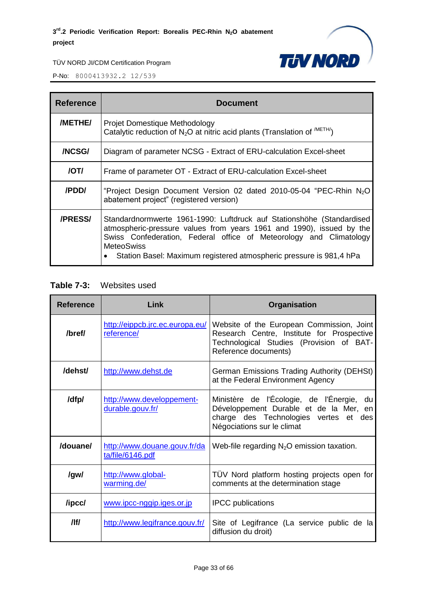

P-No: 8000413932.2 12/539

| <b>Reference</b> | <b>Document</b>                                                                                                                                                                                                                                                                                                 |
|------------------|-----------------------------------------------------------------------------------------------------------------------------------------------------------------------------------------------------------------------------------------------------------------------------------------------------------------|
| /METHE/          | Projet Domestique Methodology<br>Catalytic reduction of $N_2O$ at nitric acid plants (Translation of $^{METH}$ )                                                                                                                                                                                                |
| <b>/NCSG/</b>    | Diagram of parameter NCSG - Extract of ERU-calculation Excel-sheet                                                                                                                                                                                                                                              |
| /OT/             | Frame of parameter OT - Extract of ERU-calculation Excel-sheet                                                                                                                                                                                                                                                  |
| /PDD/            | "Project Design Document Version 02 dated 2010-05-04 "PEC-Rhin N <sub>2</sub> O<br>abatement project" (registered version)                                                                                                                                                                                      |
| /PRESS/          | Standardnormwerte 1961-1990: Luftdruck auf Stationshöhe (Standardised<br>atmospheric-pressure values from years 1961 and 1990), issued by the<br>Swiss Confederation, Federal office of Meteorology and Climatology<br><b>MeteoSwiss</b><br>Station Basel: Maximum registered atmospheric pressure is 981,4 hPa |

#### **Table 7-3:** Websites used

| <b>Reference</b> | Link                                             | <b>Organisation</b>                                                                                                                                         |
|------------------|--------------------------------------------------|-------------------------------------------------------------------------------------------------------------------------------------------------------------|
| /bref/           | http://eippcb.jrc.ec.europa.eu/<br>reference/    | Website of the European Commission, Joint<br>Research Centre, Institute for Prospective<br>Technological Studies (Provision of BAT-<br>Reference documents) |
| /dehst/          | http://www.dehst.de                              | German Emissions Trading Authority (DEHSt)<br>at the Federal Environment Agency                                                                             |
| /dfp/            | http://www.developpement-<br>durable.gouv.fr/    | Ministère de l'Écologie, de l'Énergie, du<br>Développement Durable et de la Mer, en<br>charge des Technologies vertes et des<br>Négociations sur le climat  |
| /douane/         | http://www.douane.gouv.fr/da<br>ta/file/6146.pdf | Web-file regarding $N_2O$ emission taxation.                                                                                                                |
| /gw/             | http://www.global-<br>warming.de/                | TÜV Nord platform hosting projects open for<br>comments at the determination stage                                                                          |
| /ipcc/           | www.ipcc-nggip.iges.or.jp                        | <b>IPCC</b> publications                                                                                                                                    |
| /lf/             | http://www.legifrance.gouv.fr/                   | Site of Legifrance (La service public de la<br>diffusion du droit)                                                                                          |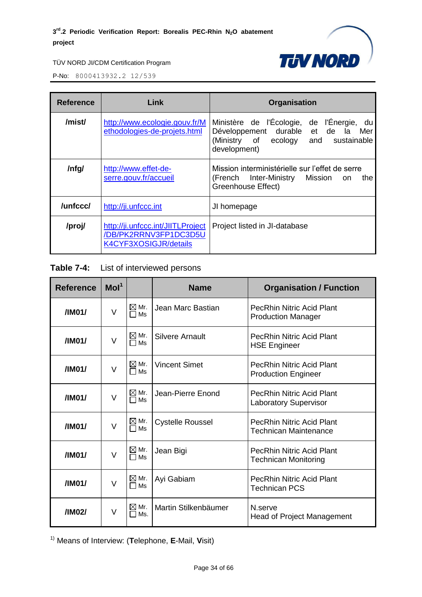

P-No: 8000413932.2 12/539

| <b>Reference</b> | Link                                                                                | Organisation                                                                                                                               |  |  |
|------------------|-------------------------------------------------------------------------------------|--------------------------------------------------------------------------------------------------------------------------------------------|--|--|
| /mist/           | http://www.ecologie.gouv.fr/M<br>ethodologies-de-projets.html                       | Ministère de l'Écologie, de l'Énergie, du<br>Développement durable et de la<br>Mer<br>(Ministry of ecology and sustainable<br>development) |  |  |
| /nfg/            | http://www.effet-de-<br>serre.gouv.fr/accueil                                       | Mission interministérielle sur l'effet de serre<br>(French Inter-Ministry Mission<br>the<br>on.<br>Greenhouse Effect)                      |  |  |
| /unfccc/         | http://ji.unfccc.int                                                                | JI homepage                                                                                                                                |  |  |
| /proj/           | http://ji.unfccc.int/JIITLProject<br>/DB/PK2RRNV3FP1DC3D5U<br>K4CYF3XOSIGJR/details | Project listed in JI-database                                                                                                              |  |  |

**Table 7-4:** List of interviewed persons

| <b>Reference</b> | Mol <sup>1</sup> |                                | <b>Name</b>             | <b>Organisation / Function</b>                                   |
|------------------|------------------|--------------------------------|-------------------------|------------------------------------------------------------------|
| /IM01/           | $\vee$           | $\boxtimes$ Mr.<br>Ms          | Jean Marc Bastian       | <b>PecRhin Nitric Acid Plant</b><br><b>Production Manager</b>    |
| /IM01/           | V                | $\boxtimes$ Mr.<br>□ Ms        | <b>Silvere Arnault</b>  | <b>PecRhin Nitric Acid Plant</b><br><b>HSE Engineer</b>          |
| /IM01/           | $\vee$           | $\boxtimes$ Mr.<br>□ Ms        | <b>Vincent Simet</b>    | PecRhin Nitric Acid Plant<br><b>Production Engineer</b>          |
| /IM01/           | V                | $\boxtimes$ Mr.<br>$\neg$ Ms   | Jean-Pierre Enond       | <b>PecRhin Nitric Acid Plant</b><br><b>Laboratory Supervisor</b> |
| /IM01/           | V                | $\boxtimes$ Mr.<br>□ Ms        | <b>Cystelle Roussel</b> | <b>PecRhin Nitric Acid Plant</b><br><b>Technican Maintenance</b> |
| /IM01/           | V                | $\boxtimes$ Mr.<br>$\sqcap$ Ms | Jean Bigi               | <b>PecRhin Nitric Acid Plant</b><br><b>Technican Monitoring</b>  |
| /IM01/           | $\vee$           | $\boxtimes$ Mr.<br>ヿ Ms        | Ayi Gabiam              | <b>PecRhin Nitric Acid Plant</b><br><b>Technican PCS</b>         |
| /IM02/           | $\vee$           | $\boxtimes$ Mr.<br>Ms.         | Martin Stilkenbäumer    | N serve<br>Head of Project Management                            |

1) Means of Interview: (**T**elephone, **E**-Mail, **V**isit)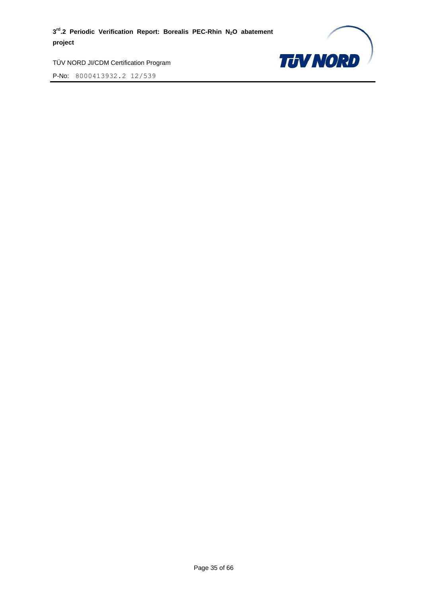**3 rd .2 Periodic Verification Report: Borealis PEC-Rhin N2O abatement project** 



TÜV NORD JI/CDM Certification Program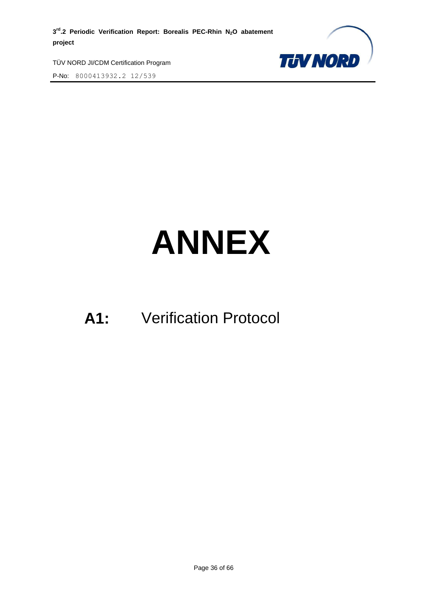**3 rd .2 Periodic Verification Report: Borealis PEC-Rhin N2O abatement project** 

**TUV NORD** 

TÜV NORD JI/CDM Certification Program

P-No: 8000413932.2 12/539

# **ANNEX**

# **A1:** Verification Protocol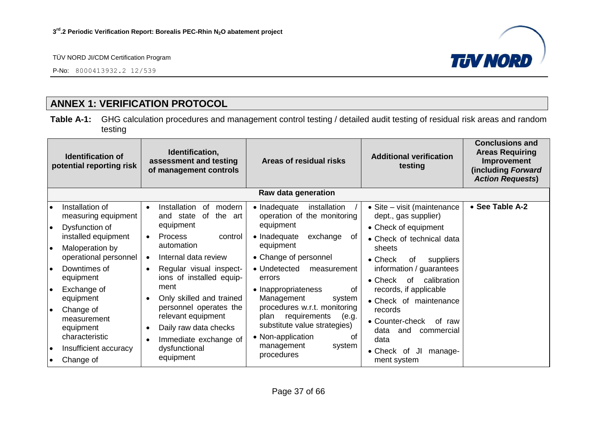P-No: 8000413932.2 12/539



# **ANNEX 1: VERIFICATION PROTOCOL**

**Table A-1:** GHG calculation procedures and management control testing / detailed audit testing of residual risk areas and random testing

<span id="page-36-0"></span>

|                  | <b>Identification of</b><br>potential reporting risk            | Identification,<br>assessment and testing<br>of management controls                            | Areas of residual risks                                                                                                  | <b>Additional verification</b><br>testing                                   | <b>Conclusions and</b><br><b>Areas Requiring</b><br>Improvement<br>(including Forward<br><b>Action Requests)</b> |
|------------------|-----------------------------------------------------------------|------------------------------------------------------------------------------------------------|--------------------------------------------------------------------------------------------------------------------------|-----------------------------------------------------------------------------|------------------------------------------------------------------------------------------------------------------|
|                  |                                                                 |                                                                                                | Raw data generation                                                                                                      |                                                                             |                                                                                                                  |
| $\bullet$<br>l e | Installation of<br>measuring equipment<br>Dysfunction of        | Installation<br>modern<br>0f<br>$\bullet$<br>the<br>and state<br>of<br>art<br>equipment        | • Inadequate<br>installation<br>operation of the monitoring<br>equipment                                                 | • Site – visit (maintenance<br>dept., gas supplier)<br>• Check of equipment | • See Table A-2                                                                                                  |
| l e              | installed equipment<br>Maloperation by<br>operational personnel | Process<br>control<br>$\bullet$<br>automation<br>Internal data review                          | • Inadequate<br>exchange<br>0f<br>equipment<br>• Change of personnel                                                     | • Check of technical data<br>sheets<br>$\bullet$ Check<br>0f<br>suppliers   |                                                                                                                  |
| l e              | Downtimes of<br>equipment                                       | Regular visual inspect-<br>$\bullet$<br>ions of installed equip-                               | • Undetected<br>measurement<br>errors                                                                                    | information / guarantees<br>calibration<br>$\bullet$ Check<br>of            |                                                                                                                  |
| l e              | Exchange of<br>equipment                                        | ment<br>Only skilled and trained                                                               | • Inappropriateness<br>of<br>Management<br>system                                                                        | records, if applicable<br>• Check of maintenance                            |                                                                                                                  |
| $\bullet$        | Change of<br>measurement<br>equipment<br>characteristic         | personnel operates the<br>relevant equipment<br>Daily raw data checks<br>Immediate exchange of | procedures w.r.t. monitoring<br>requirements<br>plan<br>(e.g.<br>substitute value strategies)<br>• Non-application<br>Ωt | records<br>• Counter-check<br>of raw<br>data<br>and<br>commercial<br>data   |                                                                                                                  |
| ∣∙<br>$\bullet$  | Insufficient accuracy<br>Change of                              | dysfunctional<br>equipment                                                                     | management<br>system<br>procedures                                                                                       | • Check of<br>JI<br>manage-<br>ment system                                  |                                                                                                                  |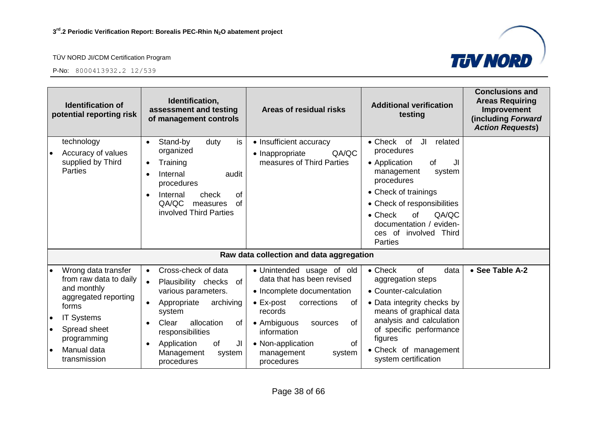

|                                     | <b>Identification of</b><br>potential reporting risk                                                                                                                             | Identification,<br>assessment and testing<br>of management controls                                                                                                                                                                                           | Areas of residual risks                                                                                                                                                                                                                                    | <b>Additional verification</b><br>testing                                                                                                                                                                                                                                             | <b>Conclusions and</b><br><b>Areas Requiring</b><br>Improvement<br>(including Forward<br><b>Action Requests)</b> |
|-------------------------------------|----------------------------------------------------------------------------------------------------------------------------------------------------------------------------------|---------------------------------------------------------------------------------------------------------------------------------------------------------------------------------------------------------------------------------------------------------------|------------------------------------------------------------------------------------------------------------------------------------------------------------------------------------------------------------------------------------------------------------|---------------------------------------------------------------------------------------------------------------------------------------------------------------------------------------------------------------------------------------------------------------------------------------|------------------------------------------------------------------------------------------------------------------|
|                                     | technology<br>Accuracy of values<br>supplied by Third<br><b>Parties</b>                                                                                                          | is<br>Stand-by<br>duty<br>$\bullet$<br>organized<br>Training<br>٠<br>Internal<br>audit<br>procedures<br>Internal<br>of<br>check<br>$\bullet$<br>QA/QC<br>of<br>measures<br>involved Third Parties                                                             | • Insufficient accuracy<br>QA/QC<br>• Inappropriate<br>measures of Third Parties                                                                                                                                                                           | JI<br>• Check of<br>related<br>procedures<br>• Application<br>of<br>JI<br>management<br>system<br>procedures<br>• Check of trainings<br>• Check of responsibilities<br><b>of</b><br>QA/QC<br>$\bullet$ Check<br>documentation /<br>eviden-<br>ces of involved Third<br><b>Parties</b> |                                                                                                                  |
|                                     |                                                                                                                                                                                  |                                                                                                                                                                                                                                                               | Raw data collection and data aggregation                                                                                                                                                                                                                   |                                                                                                                                                                                                                                                                                       |                                                                                                                  |
| $\bullet$<br>$\bullet$<br>$\bullet$ | Wrong data transfer<br>from raw data to daily<br>and monthly<br>aggregated reporting<br>forms<br><b>IT Systems</b><br>Spread sheet<br>programming<br>Manual data<br>transmission | Cross-check of data<br>$\bullet$<br>$\bullet$<br>Plausibility checks of<br>various parameters.<br>archiving<br>Appropriate<br>system<br>allocation<br>Clear<br><b>of</b><br>responsibilities<br>Application<br>of<br>JI<br>Management<br>system<br>procedures | • Unintended usage of old<br>data that has been revised<br>• Incomplete documentation<br>$\bullet$ Ex-post<br>corrections<br>of<br>records<br>• Ambiguous<br>of<br>sources<br>information<br>• Non-application<br>of<br>management<br>system<br>procedures | $\bullet$ Check<br>of<br>data<br>aggregation steps<br>• Counter-calculation<br>• Data integrity checks by<br>means of graphical data<br>analysis and calculation<br>of specific performance<br>figures<br>• Check of management<br>system certification                               | • See Table A-2                                                                                                  |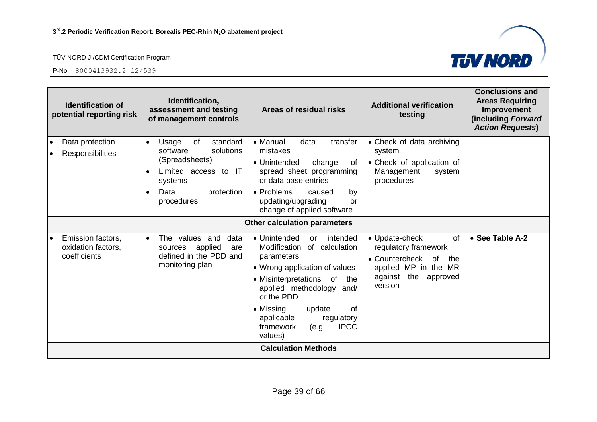**TUV NORD** 

| <b>Identification of</b><br>potential reporting risk    | Identification,<br>assessment and testing<br>of management controls                                                                                    | Areas of residual risks                                                                                                                                                                                                                                                                                 | <b>Additional verification</b><br>testing                                                                                                    | <b>Conclusions and</b><br><b>Areas Requiring</b><br>Improvement<br>(including Forward<br><b>Action Requests)</b> |  |  |  |
|---------------------------------------------------------|--------------------------------------------------------------------------------------------------------------------------------------------------------|---------------------------------------------------------------------------------------------------------------------------------------------------------------------------------------------------------------------------------------------------------------------------------------------------------|----------------------------------------------------------------------------------------------------------------------------------------------|------------------------------------------------------------------------------------------------------------------|--|--|--|
| Data protection<br><b>Responsibilities</b>              | standard<br>of<br>Usage<br>$\bullet$<br>solutions<br>software<br>(Spreadsheets)<br>Limited access to IT<br>systems<br>Data<br>protection<br>procedures | • Manual<br>data<br>transfer<br>mistakes<br>• Unintended<br>change<br>0f<br>spread sheet programming<br>or data base entries<br>$\bullet$ Problems<br>caused<br>by<br>updating/upgrading<br>or<br>change of applied software                                                                            | • Check of data archiving<br>system<br>• Check of application of<br>Management<br>system<br>procedures                                       |                                                                                                                  |  |  |  |
|                                                         | <b>Other calculation parameters</b>                                                                                                                    |                                                                                                                                                                                                                                                                                                         |                                                                                                                                              |                                                                                                                  |  |  |  |
| Emission factors,<br>oxidation factors,<br>coefficients | The values and<br>data<br>$\bullet$<br>applied<br>sources<br>are<br>defined in the PDD and<br>monitoring plan                                          | • Unintended<br>intended<br>or<br>Modification<br>of calculation<br>parameters<br>• Wrong application of values<br>• Misinterpretations<br>of<br>the<br>applied methodology and/<br>or the PDD<br>• Missing<br>update<br>0f<br>applicable<br>regulatory<br><b>IPCC</b><br>framework<br>(e.g.<br>values) | • Update-check<br>of<br>regulatory framework<br>• Countercheck<br>of<br>the<br>applied MP in the MR<br>the<br>against<br>approved<br>version | • See Table A-2                                                                                                  |  |  |  |
|                                                         |                                                                                                                                                        | <b>Calculation Methods</b>                                                                                                                                                                                                                                                                              |                                                                                                                                              |                                                                                                                  |  |  |  |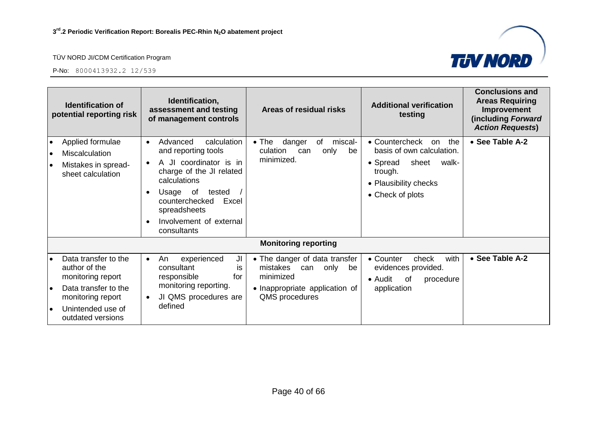

| <b>Identification of</b><br>potential reporting risk                                                                                                    | Identification,<br>assessment and testing<br>of management controls                                                                                                                                                                          | Areas of residual risks                                                                                                      | <b>Additional verification</b><br>testing                                                                                                      | <b>Conclusions and</b><br><b>Areas Requiring</b><br>Improvement<br>(including Forward<br><b>Action Requests)</b> |
|---------------------------------------------------------------------------------------------------------------------------------------------------------|----------------------------------------------------------------------------------------------------------------------------------------------------------------------------------------------------------------------------------------------|------------------------------------------------------------------------------------------------------------------------------|------------------------------------------------------------------------------------------------------------------------------------------------|------------------------------------------------------------------------------------------------------------------|
| Applied formulae<br>Miscalculation<br>Mistakes in spread-<br>sheet calculation                                                                          | calculation<br>Advanced<br>$\bullet$<br>and reporting tools<br>A JI coordinator is in<br>charge of the JI related<br>calculations<br>Usage of<br>tested<br>counterchecked<br>Excel<br>spreadsheets<br>Involvement of external<br>consultants | danger<br>$\bullet$ The<br>miscal-<br>of<br>culation<br>only<br>be<br>can<br>minimized.                                      | • Countercheck<br>the<br>on<br>basis of own calculation.<br>• Spread<br>sheet<br>walk-<br>trough.<br>• Plausibility checks<br>• Check of plots | • See Table A-2                                                                                                  |
|                                                                                                                                                         |                                                                                                                                                                                                                                              | <b>Monitoring reporting</b>                                                                                                  |                                                                                                                                                |                                                                                                                  |
| Data transfer to the<br>author of the<br>monitoring report<br>Data transfer to the<br>I۰<br>monitoring report<br>Unintended use of<br>outdated versions | experienced<br>JI<br>An<br>$\bullet$<br>consultant<br>İS.<br>responsible<br>for<br>monitoring reporting.<br>JI QMS procedures are<br>defined                                                                                                 | • The danger of data transfer<br>mistakes can<br>only<br>be<br>minimized<br>• Inappropriate application of<br>QMS procedures | • Counter<br>with<br>check<br>evidences provided.<br>$\bullet$ Audit<br>0f<br>procedure<br>application                                         | • See Table A-2                                                                                                  |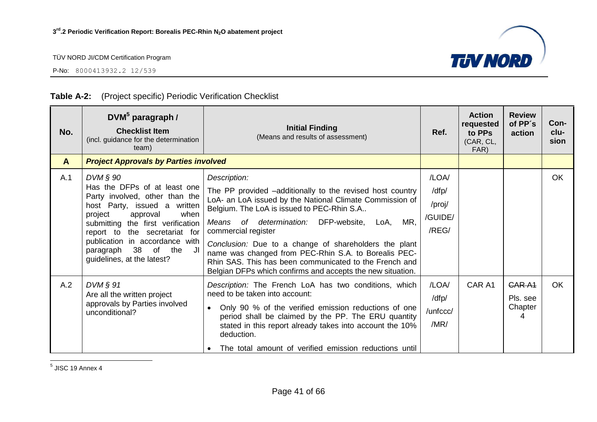P-No: 8000413932.2 12/539



|  |  |  | Table A-2: (Project specific) Periodic Verification Checklist |  |  |
|--|--|--|---------------------------------------------------------------|--|--|
|--|--|--|---------------------------------------------------------------|--|--|

| No.          | $DWM^5$ paragraph /<br><b>Checklist Item</b><br>(incl. guidance for the determination<br>team)                                                                                                                                                                                                                  | <b>Initial Finding</b><br>(Means and results of assessment)                                                                                                                                                                                                                                                                                                                                                                                                                                                | Ref.                                         | <b>Action</b><br>requested<br>to PPs<br>(CAR, CL,<br>FAR) | <b>Review</b><br>of PP's<br>action            | Con-<br>clu-<br>sion |
|--------------|-----------------------------------------------------------------------------------------------------------------------------------------------------------------------------------------------------------------------------------------------------------------------------------------------------------------|------------------------------------------------------------------------------------------------------------------------------------------------------------------------------------------------------------------------------------------------------------------------------------------------------------------------------------------------------------------------------------------------------------------------------------------------------------------------------------------------------------|----------------------------------------------|-----------------------------------------------------------|-----------------------------------------------|----------------------|
| $\mathsf{A}$ | <b>Project Approvals by Parties involved</b>                                                                                                                                                                                                                                                                    |                                                                                                                                                                                                                                                                                                                                                                                                                                                                                                            |                                              |                                                           |                                               |                      |
| A.1          | $DVM \S 90$<br>Has the DFPs of at least one<br>Party involved, other than the<br>host Party, issued a written<br>project<br>approval<br>when<br>submitting the first verification<br>report to the secretariat for<br>publication in accordance with<br>paragraph 38 of the<br>JI<br>guidelines, at the latest? | Description:<br>The PP provided -additionally to the revised host country<br>LoA- an LoA issued by the National Climate Commission of<br>Belgium. The LoA is issued to PEC-Rhin S.A<br>of determination: DFP-website, LoA,<br>MR.<br>Means<br>commercial register<br>Conclusion: Due to a change of shareholders the plant<br>name was changed from PEC-Rhin S.A. to Borealis PEC-<br>Rhin SAS. This has been communicated to the French and<br>Belgian DFPs which confirms and accepts the new situation. | /LOA/<br>/dfp/<br>/proj/<br>/GUIDE/<br>/REG/ |                                                           |                                               | <b>OK</b>            |
| A.2          | $DVM$ $\S$ 91<br>Are all the written project<br>approvals by Parties involved<br>unconditional?                                                                                                                                                                                                                 | Description: The French LoA has two conditions, which<br>need to be taken into account:<br>Only 90 % of the verified emission reductions of one<br>period shall be claimed by the PP. The ERU quantity<br>stated in this report already takes into account the 10%<br>deduction.<br>The total amount of verified emission reductions until                                                                                                                                                                 | /LOA/<br>/dfp/<br>/unfccc/<br>/MR/           | CAR A1                                                    | GAR <sub>A1</sub><br>Pls. see<br>Chapter<br>4 | OK                   |

<u>5</u><br><sup>5</sup> JISC 19 Annex 4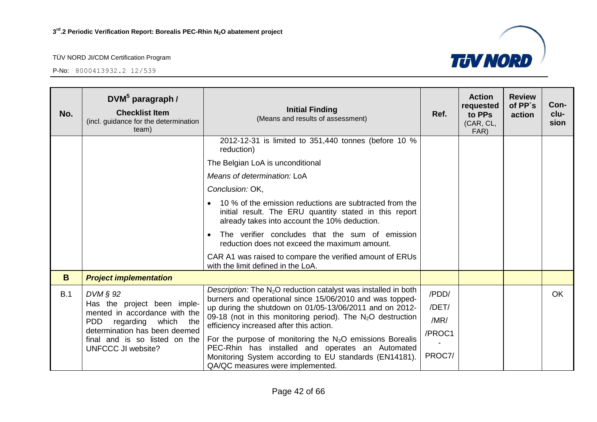

| No. | DVM <sup>5</sup> paragraph /<br><b>Checklist Item</b><br>(incl. guidance for the determination<br>team)                                                 | <b>Initial Finding</b><br>(Means and results of assessment)                                                                                                                                                                                                                                         | Ref.                             | <b>Action</b><br>requested<br>to PPs<br>(CAR, CL,<br>FAR) | <b>Review</b><br>of PP's<br>action | Con-<br>clu-<br>sion |
|-----|---------------------------------------------------------------------------------------------------------------------------------------------------------|-----------------------------------------------------------------------------------------------------------------------------------------------------------------------------------------------------------------------------------------------------------------------------------------------------|----------------------------------|-----------------------------------------------------------|------------------------------------|----------------------|
|     |                                                                                                                                                         | 2012-12-31 is limited to 351,440 tonnes (before 10 %<br>reduction)                                                                                                                                                                                                                                  |                                  |                                                           |                                    |                      |
|     |                                                                                                                                                         | The Belgian LoA is unconditional                                                                                                                                                                                                                                                                    |                                  |                                                           |                                    |                      |
|     |                                                                                                                                                         | Means of determination: LoA                                                                                                                                                                                                                                                                         |                                  |                                                           |                                    |                      |
|     |                                                                                                                                                         | Conclusion: OK,                                                                                                                                                                                                                                                                                     |                                  |                                                           |                                    |                      |
|     |                                                                                                                                                         | 10 % of the emission reductions are subtracted from the<br>initial result. The ERU quantity stated in this report<br>already takes into account the 10% deduction.                                                                                                                                  |                                  |                                                           |                                    |                      |
|     |                                                                                                                                                         | The verifier concludes that the sum of emission<br>reduction does not exceed the maximum amount.                                                                                                                                                                                                    |                                  |                                                           |                                    |                      |
|     |                                                                                                                                                         | CAR A1 was raised to compare the verified amount of ERUs<br>with the limit defined in the LoA.                                                                                                                                                                                                      |                                  |                                                           |                                    |                      |
| B.  | <b>Project implementation</b>                                                                                                                           |                                                                                                                                                                                                                                                                                                     |                                  |                                                           |                                    |                      |
| B.1 | $DVM \S 92$<br>Has the project been imple-<br>mented in accordance with the<br><b>PDD</b><br>which<br>regarding<br>the<br>determination has been deemed | Description: The $N_2O$ reduction catalyst was installed in both<br>burners and operational since 15/06/2010 and was topped-<br>up during the shutdown on 01/05-13/06/2011 and on 2012-<br>09-18 (not in this monitoring period). The $N_2O$ destruction<br>efficiency increased after this action. | /PDD/<br>/DET/<br>/MR/<br>/PROC1 |                                                           |                                    | <b>OK</b>            |
|     | final and is so listed on the<br>UNFCCC JI website?                                                                                                     | For the purpose of monitoring the $N_2O$ emissions Borealis<br>PEC-Rhin has installed and operates an Automated<br>Monitoring System according to EU standards (EN14181).<br>QA/QC measures were implemented.                                                                                       | PROC7/                           |                                                           |                                    |                      |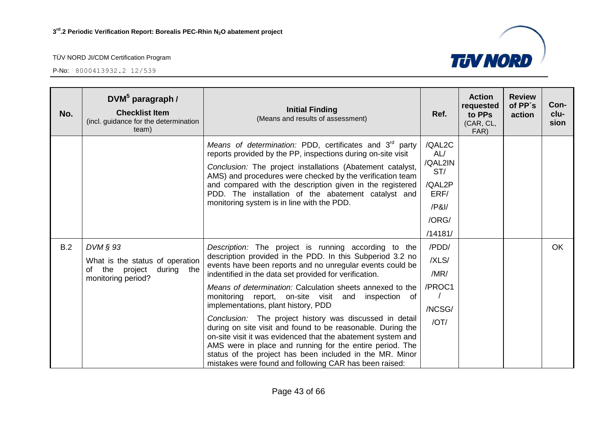

| No. | DVM <sup>5</sup> paragraph /<br><b>Checklist Item</b><br>(incl. guidance for the determination<br>team) | <b>Initial Finding</b><br>(Means and results of assessment)                                                                                                                                                                                                                                                                                                                                                                                                                                                                                                                                                                                                                                                                                                                       | Ref.                                                                           | <b>Action</b><br>requested<br>to PPs<br>(CAR, CL,<br>FAR) | <b>Review</b><br>of PP's<br>action | Con-<br>clu-<br>sion |
|-----|---------------------------------------------------------------------------------------------------------|-----------------------------------------------------------------------------------------------------------------------------------------------------------------------------------------------------------------------------------------------------------------------------------------------------------------------------------------------------------------------------------------------------------------------------------------------------------------------------------------------------------------------------------------------------------------------------------------------------------------------------------------------------------------------------------------------------------------------------------------------------------------------------------|--------------------------------------------------------------------------------|-----------------------------------------------------------|------------------------------------|----------------------|
|     |                                                                                                         | Means of determination: PDD, certificates and $3^{rd}$ party<br>reports provided by the PP, inspections during on-site visit<br>Conclusion: The project installations (Abatement catalyst,<br>AMS) and procedures were checked by the verification team<br>and compared with the description given in the registered<br>PDD. The installation of the abatement catalyst and<br>monitoring system is in line with the PDD.                                                                                                                                                                                                                                                                                                                                                         | /QAL2C<br>AL/<br>/QAL2IN<br>ST/<br>/QAL2P<br>ERF/<br>/P8I/<br>/ORG/<br>/14181/ |                                                           |                                    |                      |
| B.2 | $DVM \S 93$<br>What is the status of operation<br>the project<br>during the<br>of<br>monitoring period? | Description: The project is running according to the<br>description provided in the PDD. In this Subperiod 3.2 no<br>events have been reports and no unregular events could be<br>indentified in the data set provided for verification.<br>Means of determination: Calculation sheets annexed to the<br>monitoring report, on-site visit and<br>inspection of<br>implementations, plant history, PDD<br>Conclusion: The project history was discussed in detail<br>during on site visit and found to be reasonable. During the<br>on-site visit it was evidenced that the abatement system and<br>AMS were in place and running for the entire period. The<br>status of the project has been included in the MR. Minor<br>mistakes were found and following CAR has been raised: | /PDD/<br>/XLS/<br>/MR/<br>/PROC1<br>/NCSG/<br>/OT/                             |                                                           |                                    | <b>OK</b>            |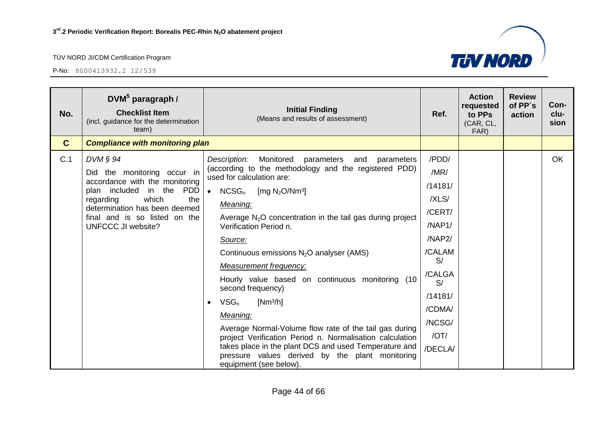

| No.          | DVM <sup>5</sup> paragraph /<br><b>Checklist Item</b><br>(incl. guidance for the determination<br>team)                  | <b>Initial Finding</b><br>(Means and results of assessment)                                                                        | Ref.         | <b>Action</b><br>requested<br>to PPs<br>(CAR, CL,<br>FAR) | <b>Review</b><br>of PP's<br>action | Con-<br>clu-<br>sion |
|--------------|--------------------------------------------------------------------------------------------------------------------------|------------------------------------------------------------------------------------------------------------------------------------|--------------|-----------------------------------------------------------|------------------------------------|----------------------|
| $\mathbf{C}$ | <b>Compliance with monitoring plan</b>                                                                                   |                                                                                                                                    |              |                                                           |                                    |                      |
| C.1          | DVM § 94                                                                                                                 | Monitored<br>Description:<br>parameters<br>and<br>parameters                                                                       | /PDD/        |                                                           |                                    | OK                   |
|              | Did the monitoring occur in                                                                                              | (according to the methodology and the registered PDD)<br>used for calculation are:                                                 | /MR/         |                                                           |                                    |                      |
|              | accordance with the monitoring<br><b>PDD</b><br>plan included<br>in the                                                  | $\bullet$<br>$NCSG_n$<br>[mg $N_2O/Nm^3$ ]                                                                                         | /14181/      |                                                           |                                    |                      |
|              | which<br>the<br>regarding<br>determination has been deemed<br>final and is so listed on the<br><b>UNFCCC JI website?</b> | Meaning:                                                                                                                           | /XLS/        |                                                           |                                    |                      |
|              |                                                                                                                          | Average $N_2O$ concentration in the tail gas during project<br>Verification Period n.                                              | /CERT/       |                                                           |                                    |                      |
|              |                                                                                                                          |                                                                                                                                    | /NAP1/       |                                                           |                                    |                      |
|              |                                                                                                                          | Source:                                                                                                                            | /NAP2/       |                                                           |                                    |                      |
|              |                                                                                                                          | Continuous emissions $N_2O$ analyser (AMS)                                                                                         | /CALAM<br>S/ |                                                           |                                    |                      |
|              |                                                                                                                          | <b>Measurement frequency:</b>                                                                                                      | /CALGA       |                                                           |                                    |                      |
|              |                                                                                                                          | Hourly value based on continuous monitoring (10<br>second frequency)                                                               | S/           |                                                           |                                    |                      |
|              |                                                                                                                          | $VSG_n$<br>$[Nm^3/h]$<br>$\bullet$                                                                                                 | /14181/      |                                                           |                                    |                      |
|              |                                                                                                                          | Meaning:                                                                                                                           | /CDMA/       |                                                           |                                    |                      |
|              |                                                                                                                          | Average Normal-Volume flow rate of the tail gas during                                                                             | /NCSG/       |                                                           |                                    |                      |
|              |                                                                                                                          | project Verification Period n. Normalisation calculation                                                                           | /OT/         |                                                           |                                    |                      |
|              |                                                                                                                          | takes place in the plant DCS and used Temperature and<br>pressure values derived by the plant monitoring<br>equipment (see below). | /DECLA/      |                                                           |                                    |                      |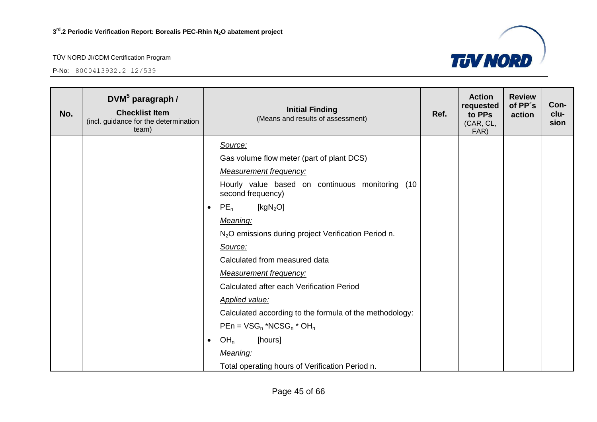

| No. | DVM <sup>5</sup> paragraph /<br><b>Checklist Item</b><br>(incl. guidance for the determination<br>team) | <b>Initial Finding</b><br>(Means and results of assessment)          | Ref. | <b>Action</b><br>requested<br>to PPs<br>(CAR, CL,<br>FAR) | <b>Review</b><br>of PP's<br>action | Con-<br>clu-<br>sion |
|-----|---------------------------------------------------------------------------------------------------------|----------------------------------------------------------------------|------|-----------------------------------------------------------|------------------------------------|----------------------|
|     |                                                                                                         | Source:                                                              |      |                                                           |                                    |                      |
|     |                                                                                                         | Gas volume flow meter (part of plant DCS)                            |      |                                                           |                                    |                      |
|     |                                                                                                         | <b>Measurement frequency:</b>                                        |      |                                                           |                                    |                      |
|     |                                                                                                         | Hourly value based on continuous monitoring (10<br>second frequency) |      |                                                           |                                    |                      |
|     |                                                                                                         | PE <sub>n</sub><br>[ $kgN2O$ ]<br>$\bullet$                          |      |                                                           |                                    |                      |
|     |                                                                                                         | Meaning:                                                             |      |                                                           |                                    |                      |
|     |                                                                                                         | N <sub>2</sub> O emissions during project Verification Period n.     |      |                                                           |                                    |                      |
|     |                                                                                                         | Source:                                                              |      |                                                           |                                    |                      |
|     |                                                                                                         | Calculated from measured data                                        |      |                                                           |                                    |                      |
|     |                                                                                                         | <b>Measurement frequency:</b>                                        |      |                                                           |                                    |                      |
|     |                                                                                                         | Calculated after each Verification Period                            |      |                                                           |                                    |                      |
|     |                                                                                                         | <b>Applied value:</b>                                                |      |                                                           |                                    |                      |
|     |                                                                                                         | Calculated according to the formula of the methodology:              |      |                                                           |                                    |                      |
|     |                                                                                                         | $PEn = VSG_n * NCSG_n * OH_n$                                        |      |                                                           |                                    |                      |
|     |                                                                                                         | OH <sub>n</sub><br>[hours]<br>$\bullet$                              |      |                                                           |                                    |                      |
|     |                                                                                                         | Meaning:                                                             |      |                                                           |                                    |                      |
|     |                                                                                                         | Total operating hours of Verification Period n.                      |      |                                                           |                                    |                      |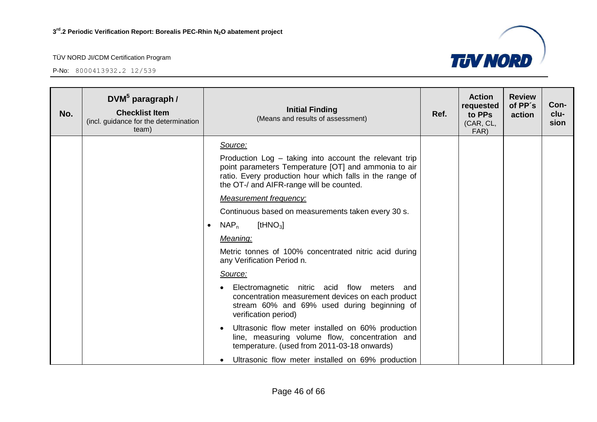

| No. | DVM <sup>5</sup> paragraph /<br><b>Checklist Item</b><br>(incl. guidance for the determination<br>team) | <b>Initial Finding</b><br>(Means and results of assessment)                                                                                                                                                                                                                                                                                                                                                                                                                                                                                                                                                                                                                                                                                                                                                             | Ref. | <b>Action</b><br>requested<br>to PPs<br>(CAR, CL,<br>FAR) | <b>Review</b><br>of PP's<br>action | Con-<br>clu-<br>sion |
|-----|---------------------------------------------------------------------------------------------------------|-------------------------------------------------------------------------------------------------------------------------------------------------------------------------------------------------------------------------------------------------------------------------------------------------------------------------------------------------------------------------------------------------------------------------------------------------------------------------------------------------------------------------------------------------------------------------------------------------------------------------------------------------------------------------------------------------------------------------------------------------------------------------------------------------------------------------|------|-----------------------------------------------------------|------------------------------------|----------------------|
|     |                                                                                                         | Source:<br>Production Log - taking into account the relevant trip<br>point parameters Temperature [OT] and ammonia to air<br>ratio. Every production hour which falls in the range of<br>the OT-/ and AIFR-range will be counted.<br><b>Measurement frequency:</b><br>Continuous based on measurements taken every 30 s.<br>$NAP_n$<br>[tHNO <sub>3</sub> ]<br>$\bullet$<br>Meaning:<br>Metric tonnes of 100% concentrated nitric acid during<br>any Verification Period n.<br>Source:<br>Electromagnetic nitric acid flow meters and<br>concentration measurement devices on each product<br>stream 60% and 69% used during beginning of<br>verification period)<br>Ultrasonic flow meter installed on 60% production<br>line, measuring volume flow, concentration and<br>temperature. (used from 2011-03-18 onwards) |      |                                                           |                                    |                      |
|     |                                                                                                         | Ultrasonic flow meter installed on 69% production                                                                                                                                                                                                                                                                                                                                                                                                                                                                                                                                                                                                                                                                                                                                                                       |      |                                                           |                                    |                      |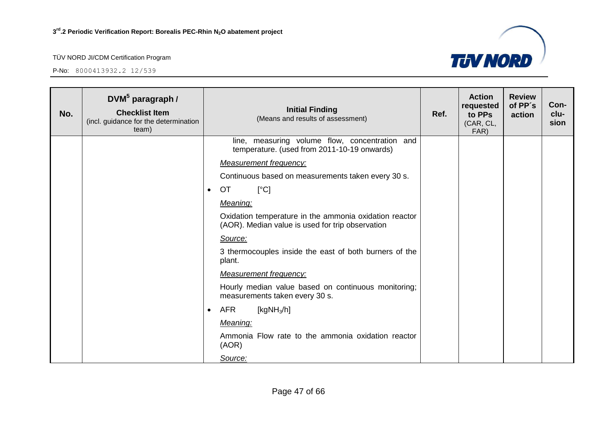

| No. | DVM <sup>5</sup> paragraph /<br><b>Checklist Item</b><br>(incl. guidance for the determination<br>team) | <b>Initial Finding</b><br>(Means and results of assessment)                                                | Ref. | <b>Action</b><br>requested<br>to PPs<br>(CAR, CL,<br>FAR) | <b>Review</b><br>of PP's<br>action | Con-<br>clu-<br>sion |
|-----|---------------------------------------------------------------------------------------------------------|------------------------------------------------------------------------------------------------------------|------|-----------------------------------------------------------|------------------------------------|----------------------|
|     |                                                                                                         | line, measuring volume flow, concentration and<br>temperature. (used from 2011-10-19 onwards)              |      |                                                           |                                    |                      |
|     |                                                                                                         | <b>Measurement frequency:</b>                                                                              |      |                                                           |                                    |                      |
|     |                                                                                                         | Continuous based on measurements taken every 30 s.                                                         |      |                                                           |                                    |                      |
|     |                                                                                                         | <b>OT</b><br>[°C]<br>$\bullet$                                                                             |      |                                                           |                                    |                      |
|     |                                                                                                         | Meaning:                                                                                                   |      |                                                           |                                    |                      |
|     |                                                                                                         | Oxidation temperature in the ammonia oxidation reactor<br>(AOR). Median value is used for trip observation |      |                                                           |                                    |                      |
|     |                                                                                                         | Source:                                                                                                    |      |                                                           |                                    |                      |
|     |                                                                                                         | 3 thermocouples inside the east of both burners of the<br>plant.                                           |      |                                                           |                                    |                      |
|     |                                                                                                         | <b>Measurement frequency:</b>                                                                              |      |                                                           |                                    |                      |
|     |                                                                                                         | Hourly median value based on continuous monitoring;<br>measurements taken every 30 s.                      |      |                                                           |                                    |                      |
|     |                                                                                                         | <b>AFR</b><br>[kg $NH3/h$ ]<br>$\bullet$                                                                   |      |                                                           |                                    |                      |
|     |                                                                                                         | Meaning:                                                                                                   |      |                                                           |                                    |                      |
|     |                                                                                                         | Ammonia Flow rate to the ammonia oxidation reactor<br>(AOR)                                                |      |                                                           |                                    |                      |
|     |                                                                                                         | Source:                                                                                                    |      |                                                           |                                    |                      |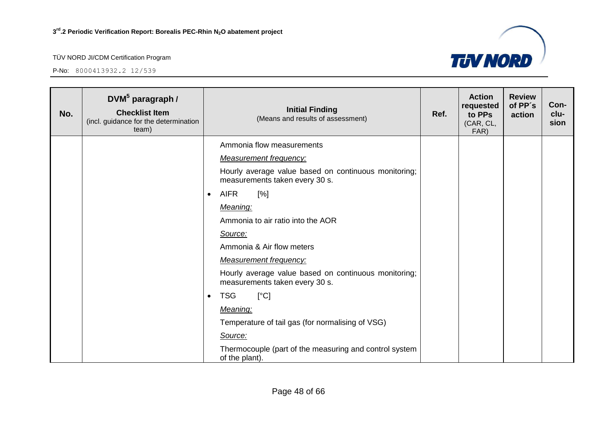

| No. | DVM <sup>5</sup> paragraph /<br><b>Checklist Item</b><br>(incl. guidance for the determination<br>team) | <b>Initial Finding</b><br>(Means and results of assessment)                            | Ref. | <b>Action</b><br>requested<br>to PPs<br>(CAR, CL,<br>FAR) | <b>Review</b><br>of PP's<br>action | Con-<br>clu-<br>sion |
|-----|---------------------------------------------------------------------------------------------------------|----------------------------------------------------------------------------------------|------|-----------------------------------------------------------|------------------------------------|----------------------|
|     |                                                                                                         | Ammonia flow measurements                                                              |      |                                                           |                                    |                      |
|     |                                                                                                         | <b>Measurement frequency:</b>                                                          |      |                                                           |                                    |                      |
|     |                                                                                                         | Hourly average value based on continuous monitoring;<br>measurements taken every 30 s. |      |                                                           |                                    |                      |
|     |                                                                                                         | <b>AIFR</b><br>[%]<br>$\bullet$                                                        |      |                                                           |                                    |                      |
|     |                                                                                                         | Meaning:                                                                               |      |                                                           |                                    |                      |
|     |                                                                                                         | Ammonia to air ratio into the AOR                                                      |      |                                                           |                                    |                      |
|     |                                                                                                         | Source:                                                                                |      |                                                           |                                    |                      |
|     |                                                                                                         | Ammonia & Air flow meters                                                              |      |                                                           |                                    |                      |
|     |                                                                                                         | <b>Measurement frequency:</b>                                                          |      |                                                           |                                    |                      |
|     |                                                                                                         | Hourly average value based on continuous monitoring;<br>measurements taken every 30 s. |      |                                                           |                                    |                      |
|     |                                                                                                         | <b>TSG</b><br>[°C]<br>$\bullet$                                                        |      |                                                           |                                    |                      |
|     |                                                                                                         | Meaning:                                                                               |      |                                                           |                                    |                      |
|     |                                                                                                         | Temperature of tail gas (for normalising of VSG)                                       |      |                                                           |                                    |                      |
|     |                                                                                                         | Source:                                                                                |      |                                                           |                                    |                      |
|     |                                                                                                         | Thermocouple (part of the measuring and control system<br>of the plant).               |      |                                                           |                                    |                      |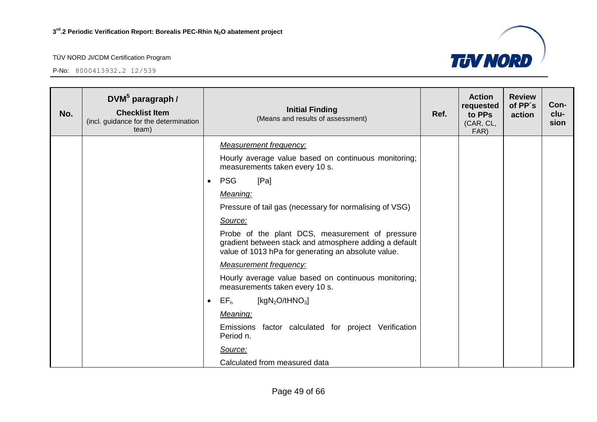

| No. | DVM <sup>5</sup> paragraph /<br><b>Checklist Item</b><br>(incl. guidance for the determination<br>team) | <b>Initial Finding</b><br>(Means and results of assessment)                                                                                                      | Ref. | <b>Action</b><br>requested<br>to PPs<br>(CAR, CL,<br>FAR) | <b>Review</b><br>of PP's<br>action | Con-<br>clu-<br>sion |
|-----|---------------------------------------------------------------------------------------------------------|------------------------------------------------------------------------------------------------------------------------------------------------------------------|------|-----------------------------------------------------------|------------------------------------|----------------------|
|     |                                                                                                         | <b>Measurement frequency:</b>                                                                                                                                    |      |                                                           |                                    |                      |
|     |                                                                                                         | Hourly average value based on continuous monitoring;<br>measurements taken every 10 s.                                                                           |      |                                                           |                                    |                      |
|     |                                                                                                         | <b>PSG</b><br>[Pa]<br>$\bullet$                                                                                                                                  |      |                                                           |                                    |                      |
|     |                                                                                                         | Meaning:                                                                                                                                                         |      |                                                           |                                    |                      |
|     |                                                                                                         | Pressure of tail gas (necessary for normalising of VSG)                                                                                                          |      |                                                           |                                    |                      |
|     |                                                                                                         | Source:                                                                                                                                                          |      |                                                           |                                    |                      |
|     |                                                                                                         | Probe of the plant DCS, measurement of pressure<br>gradient between stack and atmosphere adding a default<br>value of 1013 hPa for generating an absolute value. |      |                                                           |                                    |                      |
|     |                                                                                                         | <b>Measurement frequency:</b>                                                                                                                                    |      |                                                           |                                    |                      |
|     |                                                                                                         | Hourly average value based on continuous monitoring;<br>measurements taken every 10 s.                                                                           |      |                                                           |                                    |                      |
|     |                                                                                                         | [ $kgN2O/tHNO3$ ]<br>$EF_n$<br>$\bullet$                                                                                                                         |      |                                                           |                                    |                      |
|     |                                                                                                         | Meaning:                                                                                                                                                         |      |                                                           |                                    |                      |
|     |                                                                                                         | Emissions factor calculated for project Verification<br>Period n.                                                                                                |      |                                                           |                                    |                      |
|     |                                                                                                         | Source:                                                                                                                                                          |      |                                                           |                                    |                      |
|     |                                                                                                         | Calculated from measured data                                                                                                                                    |      |                                                           |                                    |                      |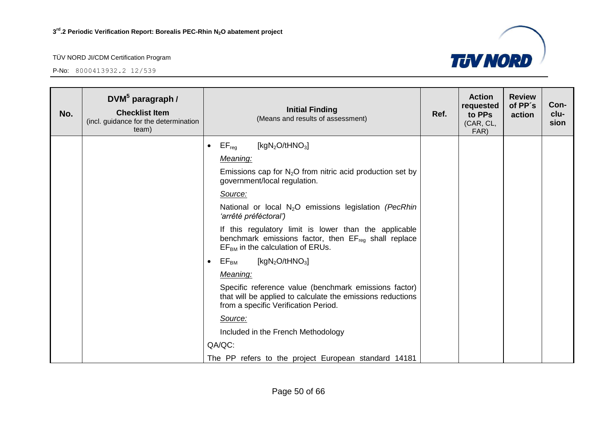

| No. | DVM <sup>5</sup> paragraph /<br><b>Checklist Item</b><br>(incl. guidance for the determination<br>team) |           | <b>Initial Finding</b><br>(Means and results of assessment)                                                                                                     | Ref. | <b>Action</b><br>requested<br>to PPs<br>(CAR, CL,<br>FAR) | <b>Review</b><br>of PP's<br>action | Con-<br>clu-<br>sion |
|-----|---------------------------------------------------------------------------------------------------------|-----------|-----------------------------------------------------------------------------------------------------------------------------------------------------------------|------|-----------------------------------------------------------|------------------------------------|----------------------|
|     |                                                                                                         | $\bullet$ | $\mathsf{EF}_{\mathsf{rea}}$<br>[kgN <sub>2</sub> O/tHNO <sub>3</sub> ]                                                                                         |      |                                                           |                                    |                      |
|     |                                                                                                         |           | Meaning:                                                                                                                                                        |      |                                                           |                                    |                      |
|     |                                                                                                         |           | Emissions cap for $N_2O$ from nitric acid production set by<br>government/local regulation.                                                                     |      |                                                           |                                    |                      |
|     |                                                                                                         |           | Source:                                                                                                                                                         |      |                                                           |                                    |                      |
|     |                                                                                                         |           | National or local N <sub>2</sub> O emissions legislation (PecRhin<br>'arrêté préféctoral')                                                                      |      |                                                           |                                    |                      |
|     |                                                                                                         |           | If this regulatory limit is lower than the applicable<br>benchmark emissions factor, then EF <sub>reg</sub> shall replace<br>$EFBM$ in the calculation of ERUs. |      |                                                           |                                    |                      |
|     |                                                                                                         |           | $\mathsf{EF}_\mathsf{BM}$<br>[kgN <sub>2</sub> O/tHNO <sub>3</sub> ]                                                                                            |      |                                                           |                                    |                      |
|     |                                                                                                         |           | Meaning:                                                                                                                                                        |      |                                                           |                                    |                      |
|     |                                                                                                         |           | Specific reference value (benchmark emissions factor)<br>that will be applied to calculate the emissions reductions<br>from a specific Verification Period.     |      |                                                           |                                    |                      |
|     |                                                                                                         |           | Source:                                                                                                                                                         |      |                                                           |                                    |                      |
|     |                                                                                                         |           | Included in the French Methodology                                                                                                                              |      |                                                           |                                    |                      |
|     |                                                                                                         |           | QA/QC:                                                                                                                                                          |      |                                                           |                                    |                      |
|     |                                                                                                         |           | The PP refers to the project European standard 14181                                                                                                            |      |                                                           |                                    |                      |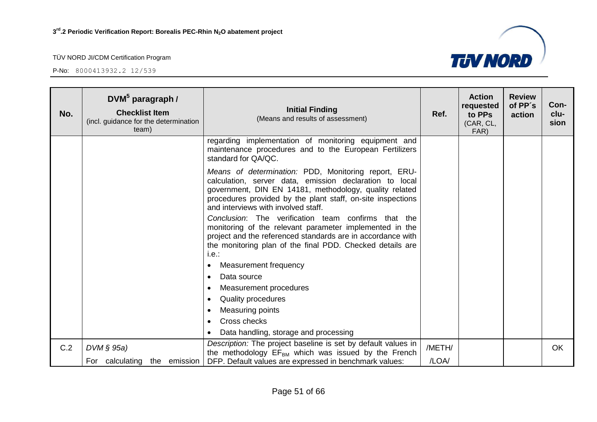

| No. | $DWM^5$ paragraph /<br><b>Checklist Item</b><br>(incl. guidance for the determination<br>team) | <b>Initial Finding</b><br>(Means and results of assessment)                                                                                                                                                                                                                     | Ref.   | <b>Action</b><br>requested<br>to PPs<br>(CAR, CL,<br>FAR) | <b>Review</b><br>of PP's<br>action | Con-<br>clu-<br>sion |
|-----|------------------------------------------------------------------------------------------------|---------------------------------------------------------------------------------------------------------------------------------------------------------------------------------------------------------------------------------------------------------------------------------|--------|-----------------------------------------------------------|------------------------------------|----------------------|
|     |                                                                                                | regarding implementation of monitoring equipment and<br>maintenance procedures and to the European Fertilizers<br>standard for QA/QC.                                                                                                                                           |        |                                                           |                                    |                      |
|     |                                                                                                | Means of determination: PDD, Monitoring report, ERU-<br>calculation, server data, emission declaration to local<br>government, DIN EN 14181, methodology, quality related<br>procedures provided by the plant staff, on-site inspections<br>and interviews with involved staff. |        |                                                           |                                    |                      |
|     |                                                                                                | Conclusion: The verification team confirms that the<br>monitoring of the relevant parameter implemented in the<br>project and the referenced standards are in accordance with<br>the monitoring plan of the final PDD. Checked details are<br>i.e.:                             |        |                                                           |                                    |                      |
|     |                                                                                                | Measurement frequency<br>$\bullet$                                                                                                                                                                                                                                              |        |                                                           |                                    |                      |
|     |                                                                                                | Data source<br>$\bullet$                                                                                                                                                                                                                                                        |        |                                                           |                                    |                      |
|     |                                                                                                | Measurement procedures                                                                                                                                                                                                                                                          |        |                                                           |                                    |                      |
|     |                                                                                                | <b>Quality procedures</b>                                                                                                                                                                                                                                                       |        |                                                           |                                    |                      |
|     |                                                                                                | Measuring points<br>Cross checks                                                                                                                                                                                                                                                |        |                                                           |                                    |                      |
|     |                                                                                                | Data handling, storage and processing                                                                                                                                                                                                                                           |        |                                                           |                                    |                      |
|     |                                                                                                | Description: The project baseline is set by default values in                                                                                                                                                                                                                   |        |                                                           |                                    |                      |
| C.2 | $DVM \S 95a$                                                                                   | the methodology EF <sub>BM</sub> which was issued by the French                                                                                                                                                                                                                 | /METH/ |                                                           |                                    | OK                   |
|     | For calculating<br>the emission                                                                | DFP. Default values are expressed in benchmark values:                                                                                                                                                                                                                          | /LOA/  |                                                           |                                    |                      |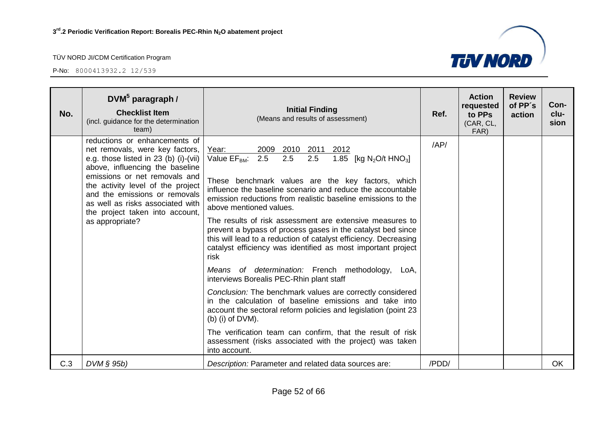

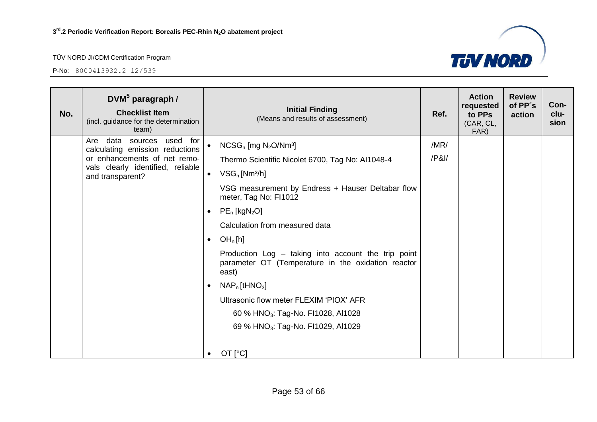

| No. | DVM <sup>5</sup> paragraph /<br><b>Checklist Item</b><br>(incl. guidance for the determination<br>team) |           | <b>Initial Finding</b><br>(Means and results of assessment)                                                        | Ref.        | <b>Action</b><br>requested<br>to PPs<br>(CAR, CL,<br>FAR) | <b>Review</b><br>of PP's<br>action | Con-<br>clu-<br>sion |
|-----|---------------------------------------------------------------------------------------------------------|-----------|--------------------------------------------------------------------------------------------------------------------|-------------|-----------------------------------------------------------|------------------------------------|----------------------|
|     | sources used for<br>Are data<br>calculating emission reductions                                         | $\bullet$ | $NCSG_n$ [mg N <sub>2</sub> O/Nm <sup>3</sup> ]                                                                    | /MR/        |                                                           |                                    |                      |
|     | or enhancements of net remo-                                                                            |           | Thermo Scientific Nicolet 6700, Tag No: Al1048-4                                                                   | $/$ P&I $/$ |                                                           |                                    |                      |
|     | vals clearly identified, reliable<br>and transparent?                                                   | $\bullet$ | $VSG_n$ [Nm <sup>3</sup> /h]                                                                                       |             |                                                           |                                    |                      |
|     |                                                                                                         |           | VSG measurement by Endress + Hauser Deltabar flow<br>meter, Tag No: FI1012                                         |             |                                                           |                                    |                      |
|     |                                                                                                         | $\bullet$ | $PE_n$ [kgN <sub>2</sub> O]                                                                                        |             |                                                           |                                    |                      |
|     |                                                                                                         |           | Calculation from measured data                                                                                     |             |                                                           |                                    |                      |
|     |                                                                                                         | $\bullet$ | OH <sub>n</sub> [h]                                                                                                |             |                                                           |                                    |                      |
|     |                                                                                                         |           | Production Log - taking into account the trip point<br>parameter OT (Temperature in the oxidation reactor<br>east) |             |                                                           |                                    |                      |
|     |                                                                                                         | $\bullet$ | $NAP_n$ [tHNO <sub>3</sub> ]                                                                                       |             |                                                           |                                    |                      |
|     |                                                                                                         |           | Ultrasonic flow meter FLEXIM 'PIOX' AFR                                                                            |             |                                                           |                                    |                      |
|     |                                                                                                         |           | 60 % HNO <sub>3</sub> : Tag-No. FI1028, AI1028                                                                     |             |                                                           |                                    |                      |
|     |                                                                                                         |           | 69 % HNO <sub>3</sub> : Tag-No. FI1029, AI1029                                                                     |             |                                                           |                                    |                      |
|     |                                                                                                         |           |                                                                                                                    |             |                                                           |                                    |                      |
|     |                                                                                                         | $\bullet$ | OT [°C]                                                                                                            |             |                                                           |                                    |                      |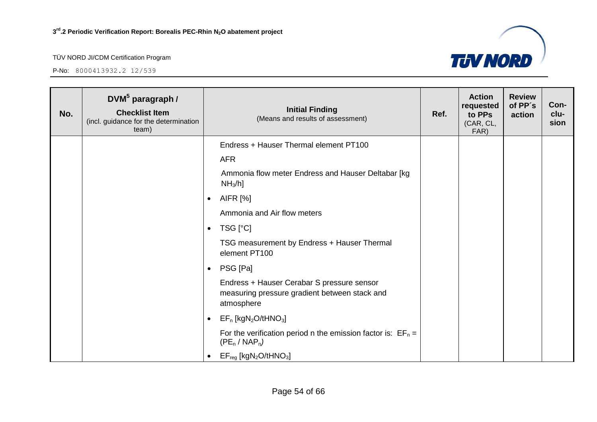

| No. | DVM <sup>5</sup> paragraph /<br><b>Checklist Item</b><br>(incl. guidance for the determination<br>team) | <b>Initial Finding</b><br>(Means and results of assessment)                                               | Ref. | <b>Action</b><br>requested<br>to PPs<br>(CAR, CL,<br>FAR) | <b>Review</b><br>of PP's<br>action | Con-<br>clu-<br>sion |
|-----|---------------------------------------------------------------------------------------------------------|-----------------------------------------------------------------------------------------------------------|------|-----------------------------------------------------------|------------------------------------|----------------------|
|     |                                                                                                         | Endress + Hauser Thermal element PT100                                                                    |      |                                                           |                                    |                      |
|     |                                                                                                         | <b>AFR</b>                                                                                                |      |                                                           |                                    |                      |
|     |                                                                                                         | Ammonia flow meter Endress and Hauser Deltabar [kg]<br>$NH3/h$ ]                                          |      |                                                           |                                    |                      |
|     |                                                                                                         | AIFR [%]<br>$\bullet$                                                                                     |      |                                                           |                                    |                      |
|     |                                                                                                         | Ammonia and Air flow meters                                                                               |      |                                                           |                                    |                      |
|     |                                                                                                         | TSG [°C]<br>٠                                                                                             |      |                                                           |                                    |                      |
|     |                                                                                                         | TSG measurement by Endress + Hauser Thermal<br>element PT100                                              |      |                                                           |                                    |                      |
|     |                                                                                                         | PSG [Pa]<br>٠                                                                                             |      |                                                           |                                    |                      |
|     |                                                                                                         | Endress + Hauser Cerabar S pressure sensor<br>measuring pressure gradient between stack and<br>atmosphere |      |                                                           |                                    |                      |
|     |                                                                                                         | $EF_n$ [kgN <sub>2</sub> O/tHNO <sub>3</sub> ]<br>$\bullet$                                               |      |                                                           |                                    |                      |
|     |                                                                                                         | For the verification period n the emission factor is: $EF_n =$<br>$(PE_n / NAP_n)$                        |      |                                                           |                                    |                      |
|     |                                                                                                         | $EF_{reg}$ [kgN <sub>2</sub> O/tHNO <sub>3</sub> ]<br>$\bullet$                                           |      |                                                           |                                    |                      |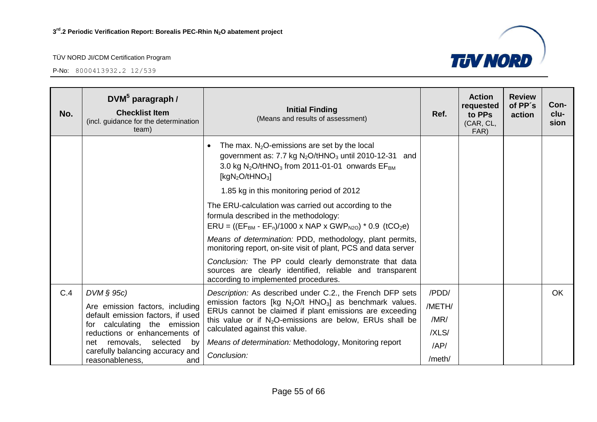

| No. | DVM <sup>5</sup> paragraph /<br><b>Checklist Item</b><br>(incl. guidance for the determination<br>team) | <b>Initial Finding</b><br>(Means and results of assessment)                                                                                                                                                                | Ref.   | <b>Action</b><br>requested<br>to PPs<br>(CAR, CL,<br>FAR) | <b>Review</b><br>of PP's<br>action | Con-<br>clu-<br>sion |
|-----|---------------------------------------------------------------------------------------------------------|----------------------------------------------------------------------------------------------------------------------------------------------------------------------------------------------------------------------------|--------|-----------------------------------------------------------|------------------------------------|----------------------|
|     |                                                                                                         | The max. $N2O$ -emissions are set by the local<br>government as: 7.7 kg $N_2O$ /tHNO <sub>3</sub> until 2010-12-31 and<br>3.0 kg N <sub>2</sub> O/tHNO <sub>3</sub> from 2011-01-01 onwards $EF_{BM}$<br>[ $kgN2O/tHNO3$ ] |        |                                                           |                                    |                      |
|     |                                                                                                         | 1.85 kg in this monitoring period of 2012                                                                                                                                                                                  |        |                                                           |                                    |                      |
|     |                                                                                                         | The ERU-calculation was carried out according to the<br>formula described in the methodology:<br>$ERU = ((EFBM - EFn)/1000 x NAP x GWPN2O) * 0.9 (tCO2e)$                                                                  |        |                                                           |                                    |                      |
|     |                                                                                                         | Means of determination: PDD, methodology, plant permits,<br>monitoring report, on-site visit of plant, PCS and data server                                                                                                 |        |                                                           |                                    |                      |
|     |                                                                                                         | Conclusion: The PP could clearly demonstrate that data<br>sources are clearly identified, reliable and transparent<br>according to implemented procedures.                                                                 |        |                                                           |                                    |                      |
| C.4 | $DVM \S 95c$                                                                                            | Description: As described under C.2., the French DFP sets                                                                                                                                                                  | /PDD/  |                                                           |                                    | <b>OK</b>            |
|     | Are emission factors, including                                                                         | emission factors [kg N <sub>2</sub> O/t HNO <sub>3</sub> ] as benchmark values.<br>ERUs cannot be claimed if plant emissions are exceeding                                                                                 | /METH/ |                                                           |                                    |                      |
|     | default emission factors, if used<br>for calculating the emission                                       | this value or if $N_2O$ -emissions are below, ERUs shall be                                                                                                                                                                | /MR/   |                                                           |                                    |                      |
|     | reductions or enhancements of                                                                           | calculated against this value.                                                                                                                                                                                             | /XLS/  |                                                           |                                    |                      |
|     | removals, selected<br>net<br>by<br>carefully balancing accuracy and                                     | Means of determination: Methodology, Monitoring report                                                                                                                                                                     | AP/    |                                                           |                                    |                      |
|     | reasonableness,<br>and                                                                                  | Conclusion:                                                                                                                                                                                                                | /meth/ |                                                           |                                    |                      |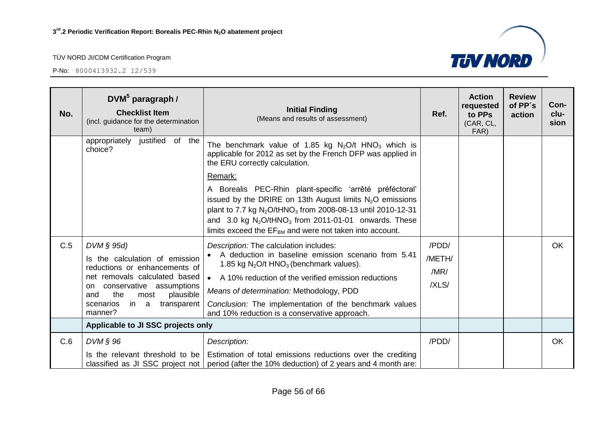

| No. | DVM <sup>5</sup> paragraph /<br><b>Checklist Item</b><br>(incl. guidance for the determination<br>team)                                                                                                                             | <b>Initial Finding</b><br>(Means and results of assessment)                                                                                                                                                                                                                                                                                                                       | Ref.                             | <b>Action</b><br>requested<br>to PPs<br>(CAR, CL,<br>FAR) | <b>Review</b><br>of PP's<br>action | Con-<br>clu-<br>sion |
|-----|-------------------------------------------------------------------------------------------------------------------------------------------------------------------------------------------------------------------------------------|-----------------------------------------------------------------------------------------------------------------------------------------------------------------------------------------------------------------------------------------------------------------------------------------------------------------------------------------------------------------------------------|----------------------------------|-----------------------------------------------------------|------------------------------------|----------------------|
|     | appropriately justified of the<br>choice?                                                                                                                                                                                           | The benchmark value of 1.85 kg $N_2O/t$ HNO <sub>3</sub> which is<br>applicable for 2012 as set by the French DFP was applied in<br>the ERU correctly calculation.<br>Remark:                                                                                                                                                                                                     |                                  |                                                           |                                    |                      |
|     |                                                                                                                                                                                                                                     | A Borealis PEC-Rhin plant-specific 'arrêté préféctoral'<br>issued by the DRIRE on 13th August limits $N_2O$ emissions<br>plant to 7.7 kg $N_2O/tHNO_3$ from 2008-08-13 until 2010-12-31<br>and 3.0 kg $N_2O/tHNO_3$ from 2011-01-01 onwards. These<br>limits exceed the EF <sub>BM</sub> and were not taken into account.                                                         |                                  |                                                           |                                    |                      |
| C.5 | DVM § 95d)<br>Is the calculation of emission<br>reductions or enhancements of<br>net removals calculated based<br>conservative assumptions<br>on.<br>plausible<br>the<br>and<br>most<br>scenarios<br>in a<br>transparent<br>manner? | Description: The calculation includes:<br>A deduction in baseline emission scenario from 5.41<br>1.85 kg $N_2O/t$ HNO <sub>3</sub> (benchmark values).<br>A 10% reduction of the verified emission reductions<br>$\bullet$<br>Means of determination: Methodology, PDD<br>Conclusion: The implementation of the benchmark values<br>and 10% reduction is a conservative approach. | /PDD/<br>/METH/<br>/MR/<br>/XLS/ |                                                           |                                    | <b>OK</b>            |
|     | Applicable to JI SSC projects only                                                                                                                                                                                                  |                                                                                                                                                                                                                                                                                                                                                                                   |                                  |                                                           |                                    |                      |
| C.6 | $DVM \S 96$                                                                                                                                                                                                                         | Description:<br>Is the relevant threshold to be Estimation of total emissions reductions over the crediting<br>classified as JI SSC project not $\vert$ period (after the 10% deduction) of 2 years and 4 month are:                                                                                                                                                              | /PDD/                            |                                                           |                                    | OK                   |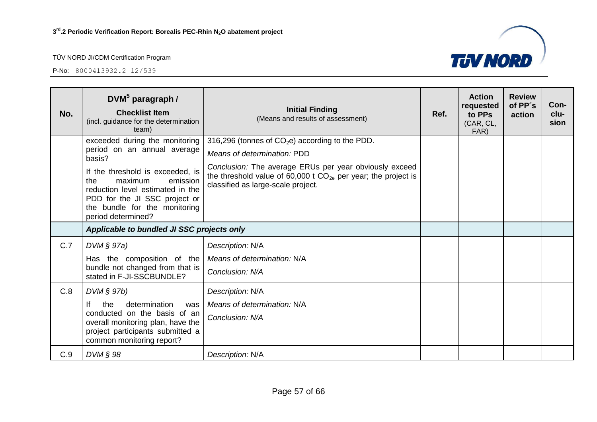P-No: 8000413932.2 12/539



| No. | $DWM^5$ paragraph /<br><b>Checklist Item</b><br>(incl. guidance for the determination<br>team)                                                                                             | <b>Initial Finding</b><br>(Means and results of assessment)                                                                                                        | Ref. | <b>Action</b><br>requested<br>to PPs<br>(CAR, CL,<br>FAR) | <b>Review</b><br>of PP's<br>action | Con-<br>clu-<br>sion |
|-----|--------------------------------------------------------------------------------------------------------------------------------------------------------------------------------------------|--------------------------------------------------------------------------------------------------------------------------------------------------------------------|------|-----------------------------------------------------------|------------------------------------|----------------------|
|     | exceeded during the monitoring<br>period on an annual average<br>basis?                                                                                                                    | 316,296 (tonnes of $CO2e$ ) according to the PDD.<br>Means of determination: PDD                                                                                   |      |                                                           |                                    |                      |
|     | If the threshold is exceeded, is<br>maximum<br>the<br>emission<br>reduction level estimated in the<br>PDD for the JI SSC project or<br>the bundle for the monitoring<br>period determined? | Conclusion: The average ERUs per year obviously exceed<br>the threshold value of 60,000 t $CO_{2e}$ per year; the project is<br>classified as large-scale project. |      |                                                           |                                    |                      |
|     | Applicable to bundled JI SSC projects only                                                                                                                                                 |                                                                                                                                                                    |      |                                                           |                                    |                      |
| C.7 | $DVM \S 97a$                                                                                                                                                                               | Description: N/A                                                                                                                                                   |      |                                                           |                                    |                      |
|     | Has the composition of the                                                                                                                                                                 | Means of determination: N/A                                                                                                                                        |      |                                                           |                                    |                      |
|     | bundle not changed from that is<br>stated in F-JI-SSCBUNDLE?                                                                                                                               | Conclusion: N/A                                                                                                                                                    |      |                                                           |                                    |                      |
| C.8 | $DVM \S 97b$                                                                                                                                                                               | Description: N/A                                                                                                                                                   |      |                                                           |                                    |                      |
|     | lf<br>determination<br>the<br>was                                                                                                                                                          | Means of determination: N/A                                                                                                                                        |      |                                                           |                                    |                      |
|     | conducted on the basis of an<br>overall monitoring plan, have the<br>project participants submitted a<br>common monitoring report?                                                         | Conclusion: N/A                                                                                                                                                    |      |                                                           |                                    |                      |
| C.9 | $DVM \S 98$                                                                                                                                                                                | Description: N/A                                                                                                                                                   |      |                                                           |                                    |                      |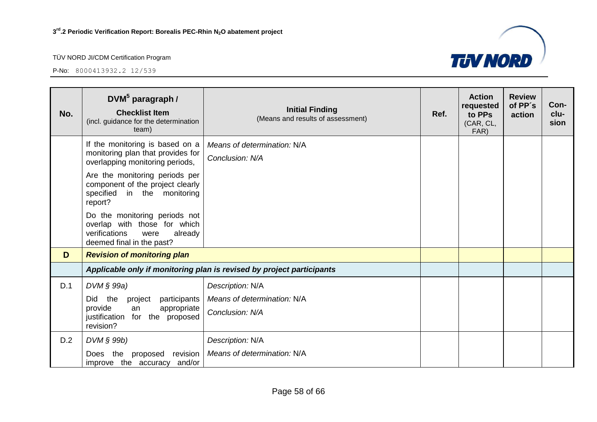

| No. | $DWM^5$ paragraph /<br><b>Checklist Item</b><br>(incl. guidance for the determination<br>team)                                 | <b>Initial Finding</b><br>(Means and results of assessment)           | Ref. | <b>Action</b><br>requested<br>to PPs<br>(CAR, CL,<br>FAR) | <b>Review</b><br>of PP's<br>action | Con-<br>clu-<br>sion |
|-----|--------------------------------------------------------------------------------------------------------------------------------|-----------------------------------------------------------------------|------|-----------------------------------------------------------|------------------------------------|----------------------|
|     | If the monitoring is based on a<br>monitoring plan that provides for<br>overlapping monitoring periods,                        | Means of determination: N/A<br>Conclusion: N/A                        |      |                                                           |                                    |                      |
|     | Are the monitoring periods per<br>component of the project clearly<br>specified<br>in the monitoring<br>report?                |                                                                       |      |                                                           |                                    |                      |
|     | Do the monitoring periods not<br>overlap with those for which<br>verifications<br>already<br>were<br>deemed final in the past? |                                                                       |      |                                                           |                                    |                      |
| D   | <b>Revision of monitoring plan</b>                                                                                             |                                                                       |      |                                                           |                                    |                      |
|     |                                                                                                                                | Applicable only if monitoring plan is revised by project participants |      |                                                           |                                    |                      |
| D.1 | $DVM \S 99a)$                                                                                                                  | Description: N/A                                                      |      |                                                           |                                    |                      |
|     | Did<br>the<br>participants<br>project<br>provide<br>appropriate<br>an<br>for the proposed<br>justification<br>revision?        | Means of determination: N/A<br>Conclusion: N/A                        |      |                                                           |                                    |                      |
| D.2 | DVM § 99b)                                                                                                                     | Description: N/A                                                      |      |                                                           |                                    |                      |
|     | revision<br>Does<br>the<br>proposed<br>improve the accuracy<br>and/or                                                          | Means of determination: N/A                                           |      |                                                           |                                    |                      |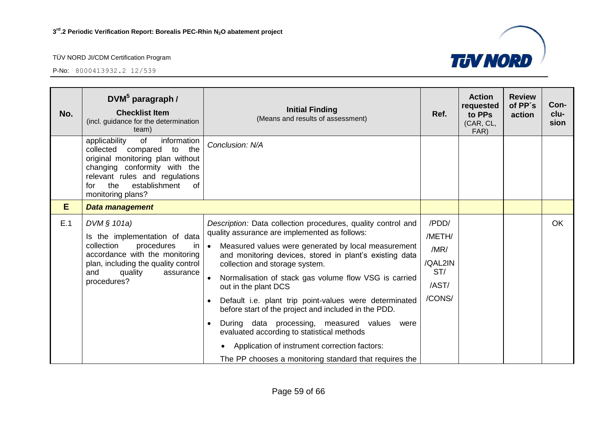

| No. | $DWM^5$ paragraph /<br><b>Checklist Item</b><br>(incl. guidance for the determination<br>team)                                                                                                                                         | <b>Initial Finding</b><br>(Means and results of assessment)                                                                                                                                                                                                                                                                                                                                                                                                                                                                                                                                                                                                                                                                          | Ref.                                                         | <b>Action</b><br>requested<br>to PPs<br>(CAR, CL,<br>FAR) | <b>Review</b><br>of PP's<br>action | Con-<br>clu-<br>sion |
|-----|----------------------------------------------------------------------------------------------------------------------------------------------------------------------------------------------------------------------------------------|--------------------------------------------------------------------------------------------------------------------------------------------------------------------------------------------------------------------------------------------------------------------------------------------------------------------------------------------------------------------------------------------------------------------------------------------------------------------------------------------------------------------------------------------------------------------------------------------------------------------------------------------------------------------------------------------------------------------------------------|--------------------------------------------------------------|-----------------------------------------------------------|------------------------------------|----------------------|
|     | of<br>information<br>applicability<br>collected compared to the<br>original monitoring plan without<br>changing conformity with the<br>relevant rules and regulations<br>establishment<br>the<br><b>of</b><br>for<br>monitoring plans? | Conclusion: N/A                                                                                                                                                                                                                                                                                                                                                                                                                                                                                                                                                                                                                                                                                                                      |                                                              |                                                           |                                    |                      |
| E   | Data management                                                                                                                                                                                                                        |                                                                                                                                                                                                                                                                                                                                                                                                                                                                                                                                                                                                                                                                                                                                      |                                                              |                                                           |                                    |                      |
| E.1 | DVM § 101a)<br>Is the implementation of data<br>collection<br>procedures<br>-in<br>accordance with the monitoring<br>plan, including the quality control<br>and<br>quality<br>assurance<br>procedures?                                 | Description: Data collection procedures, quality control and<br>quality assurance are implemented as follows:<br>Measured values were generated by local measurement<br>$\bullet$<br>and monitoring devices, stored in plant's existing data<br>collection and storage system.<br>Normalisation of stack gas volume flow VSG is carried<br>$\bullet$<br>out in the plant DCS<br>Default i.e. plant trip point-values were determinated<br>before start of the project and included in the PDD.<br>During data processing, measured values<br>were<br>$\bullet$<br>evaluated according to statistical methods<br>Application of instrument correction factors:<br>$\bullet$<br>The PP chooses a monitoring standard that requires the | /PDD/<br>/METH/<br>/MR/<br>/QAL2IN<br>ST/<br>/AST/<br>/CONS/ |                                                           |                                    | <b>OK</b>            |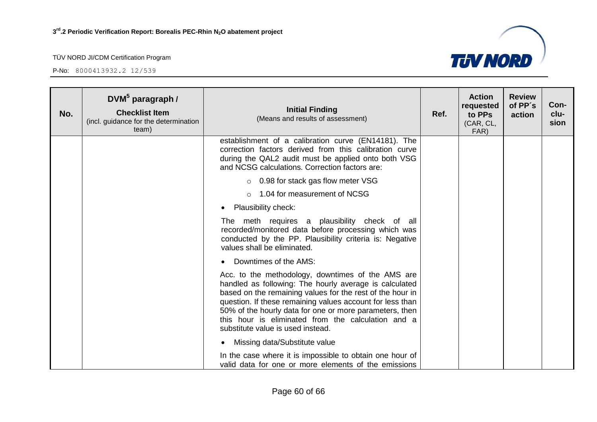

| No. | DVM <sup>5</sup> paragraph /<br><b>Checklist Item</b><br>(incl. guidance for the determination<br>team) | <b>Initial Finding</b><br>(Means and results of assessment)                                                                                                                                                                                                                                                                                                                                 | Ref. | <b>Action</b><br>requested<br>to PPs<br>(CAR, CL,<br>FAR) | <b>Review</b><br>of PP's<br>action | Con-<br>clu-<br>sion |
|-----|---------------------------------------------------------------------------------------------------------|---------------------------------------------------------------------------------------------------------------------------------------------------------------------------------------------------------------------------------------------------------------------------------------------------------------------------------------------------------------------------------------------|------|-----------------------------------------------------------|------------------------------------|----------------------|
|     |                                                                                                         | establishment of a calibration curve (EN14181). The<br>correction factors derived from this calibration curve<br>during the QAL2 audit must be applied onto both VSG<br>and NCSG calculations. Correction factors are:                                                                                                                                                                      |      |                                                           |                                    |                      |
|     |                                                                                                         | o 0.98 for stack gas flow meter VSG                                                                                                                                                                                                                                                                                                                                                         |      |                                                           |                                    |                      |
|     |                                                                                                         | 1.04 for measurement of NCSG                                                                                                                                                                                                                                                                                                                                                                |      |                                                           |                                    |                      |
|     |                                                                                                         | <b>Plausibility check:</b>                                                                                                                                                                                                                                                                                                                                                                  |      |                                                           |                                    |                      |
|     |                                                                                                         | The meth requires a plausibility check of all<br>recorded/monitored data before processing which was<br>conducted by the PP. Plausibility criteria is: Negative<br>values shall be eliminated.                                                                                                                                                                                              |      |                                                           |                                    |                      |
|     |                                                                                                         | Downtimes of the AMS:                                                                                                                                                                                                                                                                                                                                                                       |      |                                                           |                                    |                      |
|     |                                                                                                         | Acc. to the methodology, downtimes of the AMS are<br>handled as following: The hourly average is calculated<br>based on the remaining values for the rest of the hour in<br>question. If these remaining values account for less than<br>50% of the hourly data for one or more parameters, then<br>this hour is eliminated from the calculation and a<br>substitute value is used instead. |      |                                                           |                                    |                      |
|     |                                                                                                         | Missing data/Substitute value                                                                                                                                                                                                                                                                                                                                                               |      |                                                           |                                    |                      |
|     |                                                                                                         | In the case where it is impossible to obtain one hour of<br>valid data for one or more elements of the emissions                                                                                                                                                                                                                                                                            |      |                                                           |                                    |                      |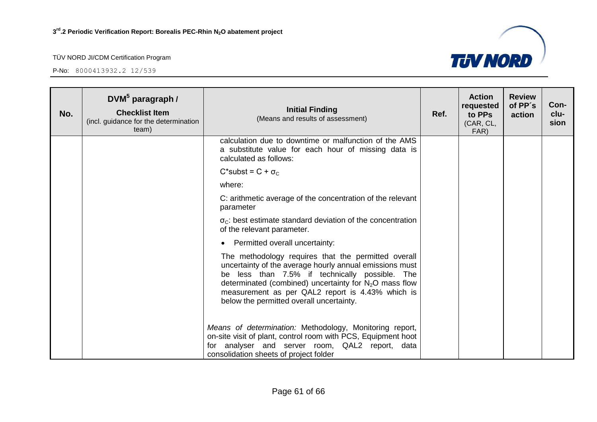

| No. | $DWM^5$ paragraph /<br><b>Checklist Item</b><br>(incl. guidance for the determination<br>team) | <b>Initial Finding</b><br>(Means and results of assessment)                                                                                                                                                                                                                                                                  | Ref. | <b>Action</b><br>requested<br>to PPs<br>(CAR, CL,<br>FAR) | <b>Review</b><br>of PP's<br>action | Con-<br>clu-<br>sion |
|-----|------------------------------------------------------------------------------------------------|------------------------------------------------------------------------------------------------------------------------------------------------------------------------------------------------------------------------------------------------------------------------------------------------------------------------------|------|-----------------------------------------------------------|------------------------------------|----------------------|
|     |                                                                                                | calculation due to downtime or malfunction of the AMS<br>a substitute value for each hour of missing data is<br>calculated as follows:                                                                                                                                                                                       |      |                                                           |                                    |                      |
|     |                                                                                                | $C^*$ subst = $C + \sigma_C$                                                                                                                                                                                                                                                                                                 |      |                                                           |                                    |                      |
|     |                                                                                                | where:                                                                                                                                                                                                                                                                                                                       |      |                                                           |                                    |                      |
|     |                                                                                                | C: arithmetic average of the concentration of the relevant<br>parameter                                                                                                                                                                                                                                                      |      |                                                           |                                    |                      |
|     |                                                                                                | $\sigma_{\rm C}$ : best estimate standard deviation of the concentration<br>of the relevant parameter.                                                                                                                                                                                                                       |      |                                                           |                                    |                      |
|     |                                                                                                | Permitted overall uncertainty:<br>$\bullet$                                                                                                                                                                                                                                                                                  |      |                                                           |                                    |                      |
|     |                                                                                                | The methodology requires that the permitted overall<br>uncertainty of the average hourly annual emissions must<br>be less than 7.5% if technically possible. The<br>determinated (combined) uncertainty for $N_2O$ mass flow<br>measurement as per QAL2 report is 4.43% which is<br>below the permitted overall uncertainty. |      |                                                           |                                    |                      |
|     |                                                                                                | Means of determination: Methodology, Monitoring report,<br>on-site visit of plant, control room with PCS, Equipment hoot<br>for analyser and server room, QAL2 report, data<br>consolidation sheets of project folder                                                                                                        |      |                                                           |                                    |                      |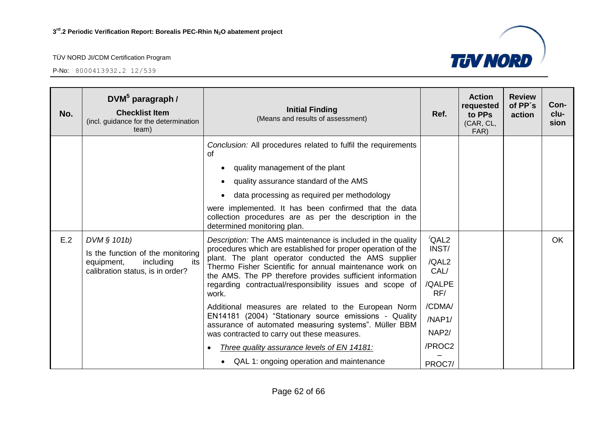

| No.   | DVM <sup>5</sup> paragraph /<br><b>Checklist Item</b><br>(incl. guidance for the determination<br>team) | <b>Initial Finding</b><br>(Means and results of assessment)                                                                                     | Ref.                   | <b>Action</b><br>requested<br>to PPs<br>(CAR, CL,<br>FAR) | <b>Review</b><br>of PP's<br>action | Con-<br>clu-<br>sion |
|-------|---------------------------------------------------------------------------------------------------------|-------------------------------------------------------------------------------------------------------------------------------------------------|------------------------|-----------------------------------------------------------|------------------------------------|----------------------|
|       |                                                                                                         | Conclusion: All procedures related to fulfil the requirements<br>οf<br>quality management of the plant                                          |                        |                                                           |                                    |                      |
|       |                                                                                                         | quality assurance standard of the AMS                                                                                                           |                        |                                                           |                                    |                      |
|       |                                                                                                         | data processing as required per methodology<br>$\bullet$                                                                                        |                        |                                                           |                                    |                      |
|       |                                                                                                         | were implemented. It has been confirmed that the data<br>collection procedures are as per the description in the<br>determined monitoring plan. |                        |                                                           |                                    |                      |
| E.2   | DVM § 101b)                                                                                             | Description: The AMS maintenance is included in the quality                                                                                     | $\sqrt{\mathsf{QAL2}}$ |                                                           |                                    | <b>OK</b>            |
|       | Is the function of the monitoring<br>including<br>equipment,<br>its                                     | procedures which are established for proper operation of the<br>plant. The plant operator conducted the AMS supplier                            | INST/<br>/QAL2         |                                                           |                                    |                      |
|       | calibration status, is in order?                                                                        | Thermo Fisher Scientific for annual maintenance work on<br>the AMS. The PP therefore provides sufficient information                            | CAL/                   |                                                           |                                    |                      |
| work. | regarding contractual/responsibility issues and scope of                                                | /QALPE<br>RF/                                                                                                                                   |                        |                                                           |                                    |                      |
|       |                                                                                                         | Additional measures are related to the European Norm                                                                                            | /CDMA/                 |                                                           |                                    |                      |
|       |                                                                                                         | EN14181 (2004) "Stationary source emissions - Quality<br>assurance of automated measuring systems". Müller BBM                                  | /NAP1/                 |                                                           |                                    |                      |
|       |                                                                                                         | was contracted to carry out these measures.                                                                                                     | NAP <sub>2</sub> /     |                                                           |                                    |                      |
|       |                                                                                                         | Three quality assurance levels of EN 14181:<br>$\bullet$                                                                                        | /PROC2                 |                                                           |                                    |                      |
|       |                                                                                                         | • QAL 1: ongoing operation and maintenance                                                                                                      | PROC7/                 |                                                           |                                    |                      |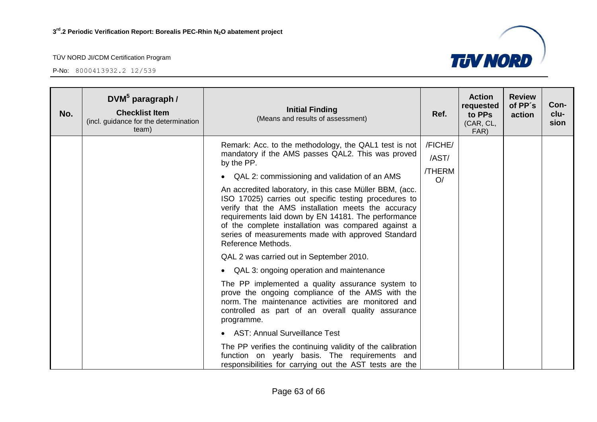

| No. | $DWM^5$ paragraph /<br><b>Checklist Item</b><br>(incl. guidance for the determination<br>team) | <b>Initial Finding</b><br>(Means and results of assessment)                                                                                                                                                                                                                                                                                                        | Ref.                | <b>Action</b><br>requested<br>to PPs<br>(CAR, CL,<br>FAR) | <b>Review</b><br>of PP's<br>action | Con-<br>clu-<br>sion |
|-----|------------------------------------------------------------------------------------------------|--------------------------------------------------------------------------------------------------------------------------------------------------------------------------------------------------------------------------------------------------------------------------------------------------------------------------------------------------------------------|---------------------|-----------------------------------------------------------|------------------------------------|----------------------|
|     |                                                                                                | Remark: Acc. to the methodology, the QAL1 test is not                                                                                                                                                                                                                                                                                                              | /FICHE/             |                                                           |                                    |                      |
|     |                                                                                                | mandatory if the AMS passes QAL2. This was proved<br>by the PP.                                                                                                                                                                                                                                                                                                    | /AST/               |                                                           |                                    |                      |
|     |                                                                                                | • QAL 2: commissioning and validation of an AMS                                                                                                                                                                                                                                                                                                                    | <b>/THERM</b><br>O/ |                                                           |                                    |                      |
|     |                                                                                                | An accredited laboratory, in this case Müller BBM, (acc.<br>ISO 17025) carries out specific testing procedures to<br>verify that the AMS installation meets the accuracy<br>requirements laid down by EN 14181. The performance<br>of the complete installation was compared against a<br>series of measurements made with approved Standard<br>Reference Methods. |                     |                                                           |                                    |                      |
|     |                                                                                                | QAL 2 was carried out in September 2010.                                                                                                                                                                                                                                                                                                                           |                     |                                                           |                                    |                      |
|     |                                                                                                | • QAL 3: ongoing operation and maintenance                                                                                                                                                                                                                                                                                                                         |                     |                                                           |                                    |                      |
|     |                                                                                                | The PP implemented a quality assurance system to<br>prove the ongoing compliance of the AMS with the<br>norm. The maintenance activities are monitored and<br>controlled as part of an overall quality assurance<br>programme.                                                                                                                                     |                     |                                                           |                                    |                      |
|     |                                                                                                | • AST: Annual Surveillance Test                                                                                                                                                                                                                                                                                                                                    |                     |                                                           |                                    |                      |
|     |                                                                                                | The PP verifies the continuing validity of the calibration<br>function on yearly basis. The requirements and<br>responsibilities for carrying out the AST tests are the                                                                                                                                                                                            |                     |                                                           |                                    |                      |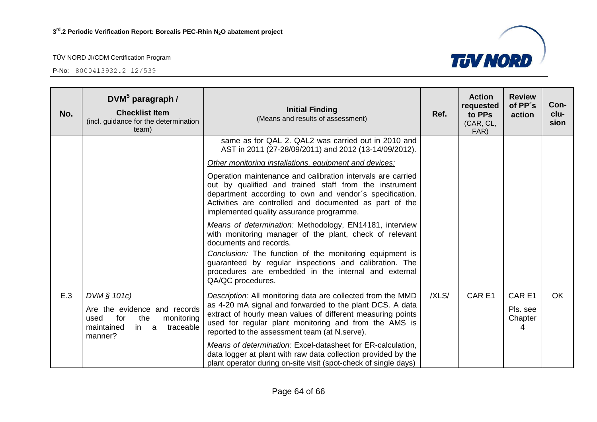

| No. | DVM <sup>5</sup> paragraph /<br><b>Checklist Item</b><br>(incl. guidance for the determination<br>team)                       | <b>Initial Finding</b><br>(Means and results of assessment)                                                                                                                                                                                                                                                                                    | Ref.  | <b>Action</b><br>requested<br>to PPs<br>(CAR, CL,<br>FAR) | <b>Review</b><br>of PP's<br>action       | Con-<br>clu-<br>sion |
|-----|-------------------------------------------------------------------------------------------------------------------------------|------------------------------------------------------------------------------------------------------------------------------------------------------------------------------------------------------------------------------------------------------------------------------------------------------------------------------------------------|-------|-----------------------------------------------------------|------------------------------------------|----------------------|
|     |                                                                                                                               | same as for QAL 2. QAL2 was carried out in 2010 and<br>AST in 2011 (27-28/09/2011) and 2012 (13-14/09/2012).                                                                                                                                                                                                                                   |       |                                                           |                                          |                      |
|     |                                                                                                                               | Other monitoring installations, equipment and devices:                                                                                                                                                                                                                                                                                         |       |                                                           |                                          |                      |
|     |                                                                                                                               | Operation maintenance and calibration intervals are carried<br>out by qualified and trained staff from the instrument<br>department according to own and vendor's specification.<br>Activities are controlled and documented as part of the<br>implemented quality assurance programme.                                                        |       |                                                           |                                          |                      |
|     |                                                                                                                               | Means of determination: Methodology, EN14181, interview<br>with monitoring manager of the plant, check of relevant<br>documents and records.<br>Conclusion: The function of the monitoring equipment is<br>guaranteed by regular inspections and calibration. The<br>procedures are embedded in the internal and external<br>QA/QC procedures. |       |                                                           |                                          |                      |
| E.3 | DVM § 101c)<br>Are the evidence and records<br>for<br>the<br>used<br>monitoring<br>maintained<br>in a<br>traceable<br>manner? | Description: All monitoring data are collected from the MMD<br>as 4-20 mA signal and forwarded to the plant DCS. A data<br>extract of hourly mean values of different measuring points<br>used for regular plant monitoring and from the AMS is<br>reported to the assessment team (at N.serve).                                               | /XLS/ | CAR <sub>E1</sub>                                         | <b>CARE1</b><br>Pls. see<br>Chapter<br>4 | <b>OK</b>            |
|     |                                                                                                                               | Means of determination: Excel-datasheet for ER-calculation,<br>data logger at plant with raw data collection provided by the<br>plant operator during on-site visit (spot-check of single days)                                                                                                                                                |       |                                                           |                                          |                      |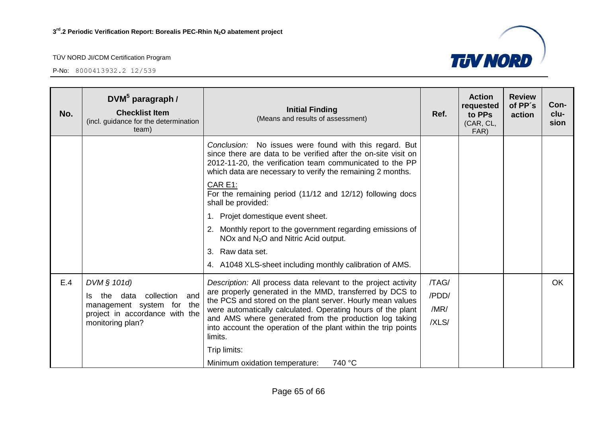P-No: 8000413932.2 12/539



| No. | DVM <sup>5</sup> paragraph /<br><b>Checklist Item</b><br>(incl. guidance for the determination<br>team)                                | <b>Initial Finding</b><br>(Means and results of assessment)                                                                                                                                                                                                                                                                                                                                                                                                                                                                                                                   | Ref.                            | <b>Action</b><br>requested<br>to PPs<br>(CAR, CL,<br>FAR) | <b>Review</b><br>of PP's<br>action | Con-<br>clu-<br>sion |
|-----|----------------------------------------------------------------------------------------------------------------------------------------|-------------------------------------------------------------------------------------------------------------------------------------------------------------------------------------------------------------------------------------------------------------------------------------------------------------------------------------------------------------------------------------------------------------------------------------------------------------------------------------------------------------------------------------------------------------------------------|---------------------------------|-----------------------------------------------------------|------------------------------------|----------------------|
|     |                                                                                                                                        | Conclusion: No issues were found with this regard. But<br>since there are data to be verified after the on-site visit on<br>2012-11-20, the verification team communicated to the PP<br>which data are necessary to verify the remaining 2 months.<br>CAR E1:<br>For the remaining period (11/12 and 12/12) following docs<br>shall be provided:<br>1. Projet domestique event sheet.<br>Monthly report to the government regarding emissions of<br>NOx and $N_2O$ and Nitric Acid output.<br>Raw data set.<br>3.<br>4. A1048 XLS-sheet including monthly calibration of AMS. |                                 |                                                           |                                    |                      |
| E.4 | DVM § 101d)<br>collection and<br>the<br>data<br>ls.<br>management system for the<br>project in accordance with the<br>monitoring plan? | Description: All process data relevant to the project activity<br>are properly generated in the MMD, transferred by DCS to<br>the PCS and stored on the plant server. Hourly mean values<br>were automatically calculated. Operating hours of the plant<br>and AMS where generated from the production log taking<br>into account the operation of the plant within the trip points<br>limits.<br>Trip limits:<br>740 °C<br>Minimum oxidation temperature:                                                                                                                    | /TAG/<br>/PDD/<br>/MR/<br>/XLS/ |                                                           |                                    | OK                   |